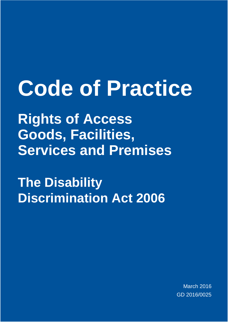# **Code of Practice**

**Rights of Access Goods, Facilities, Services and Premises**

**The Disability Discrimination Act 2006**

> March 2016 GD 2016/0025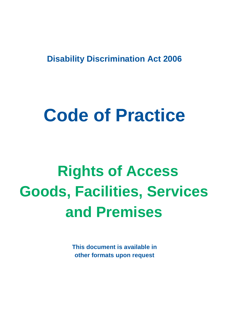**Disability Discrimination Act 2006**

# **Code of Practice**

# **Rights of Access Goods, Facilities, Services and Premises**

**This document is available in other formats upon request**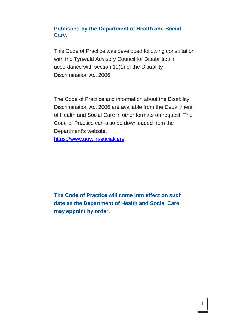#### **Published by the Department of Health and Social Care.**

This Code of Practice was developed following consultation with the Tynwald Advisory Council for Disabilities in accordance with section 19(1) of the Disability Discrimination Act 2006.

The Code of Practice and information about the Disability Discrimination Act 2006 are available from the Department of Health and Social Care in other formats on request. The Code of Practice can also be downloaded from the Department's website.

[https://www.gov.im/socialcare](https://www.gov.im/dda)

**The Code of Practice will come into effect on such date as the Department of Health and Social Care may appoint by order.**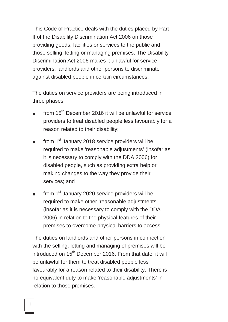This Code of Practice deals with the duties placed by Part II of the Disability Discrimination Act 2006 on those providing goods, facilities or services to the public and those selling, letting or managing premises. The Disability Discrimination Act 2006 makes it unlawful for service providers, landlords and other persons to discriminate against disabled people in certain circumstances.

The duties on service providers are being introduced in three phases:

- from  $15<sup>th</sup>$  December 2016 it will be unlawful for service providers to treat disabled people less favourably for a reason related to their disability;
- from 1<sup>st</sup> January 2018 service providers will be required to make 'reasonable adjustments' (insofar as it is necessary to comply with the DDA 2006) for disabled people, such as providing extra help or making changes to the way they provide their services; and
- from 1<sup>st</sup> January 2020 service providers will be required to make other 'reasonable adjustments' (insofar as it is necessary to comply with the DDA 2006) in relation to the physical features of their premises to overcome physical barriers to access.

The duties on landlords and other persons in connection with the selling, letting and managing of premises will be introduced on 15<sup>th</sup> December 2016. From that date, it will be unlawful for them to treat disabled people less favourably for a reason related to their disability. There is no equivalent duty to make 'reasonable adjustments' in relation to those premises.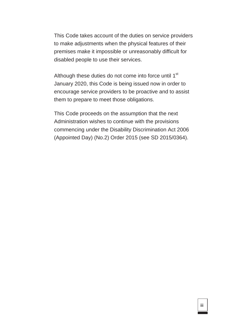This Code takes account of the duties on service providers to make adjustments when the physical features of their premises make it impossible or unreasonably difficult for disabled people to use their services.

Although these duties do not come into force until 1<sup>st</sup> January 2020, this Code is being issued now in order to encourage service providers to be proactive and to assist them to prepare to meet those obligations.

This Code proceeds on the assumption that the next Administration wishes to continue with the provisions commencing under the Disability Discrimination Act 2006 (Appointed Day) (No.2) Order 2015 (see SD 2015/0364).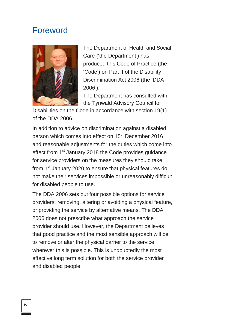## Foreword



The Department of Health and Social Care ('the Department') has produced this Code of Practice (the 'Code') on Part II of the Disability Discrimination Act 2006 (the 'DDA 2006').

The Department has consulted with the Tynwald Advisory Council for

Disabilities on the Code in accordance with section 19(1) of the DDA 2006.

In addition to advice on discrimination against a disabled person which comes into effect on 15<sup>th</sup> December 2016 and reasonable adjustments for the duties which come into effect from 1<sup>st</sup> January 2018 the Code provides guidance for service providers on the measures they should take from 1<sup>st</sup> January 2020 to ensure that physical features do not make their services impossible or unreasonably difficult for disabled people to use.

The DDA 2006 sets out four possible options for service providers: removing, altering or avoiding a physical feature, or providing the service by alternative means. The DDA 2006 does not prescribe what approach the service provider should use. However, the Department believes that good practice and the most sensible approach will be to remove or alter the physical barrier to the service wherever this is possible. This is undoubtedly the most effective long term solution for both the service provider and disabled people.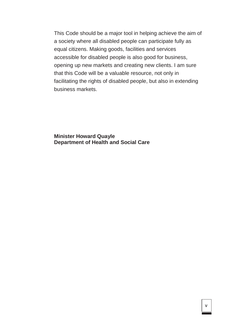This Code should be a major tool in helping achieve the aim of a society where all disabled people can participate fully as equal citizens. Making goods, facilities and services accessible for disabled people is also good for business, opening up new markets and creating new clients. I am sure that this Code will be a valuable resource, not only in facilitating the rights of disabled people, but also in extending business markets.

**Minister Howard Quayle Department of Health and Social Care**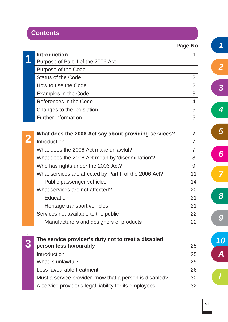# **Contents**

 $\sim$ 

**Page No.**

| <b>Introduction</b>                |   |
|------------------------------------|---|
| Purpose of Part II of the 2006 Act |   |
| Purpose of the Code                |   |
| <b>Status of the Code</b>          |   |
| How to use the Code                |   |
| Examples in the Code               | 3 |
| References in the Code             |   |
| Changes to the legislation         | 5 |
| <b>Further information</b>         | 5 |

| What does the 2006 Act say about providing services?   |    |
|--------------------------------------------------------|----|
| Introduction                                           |    |
| What does the 2006 Act make unlawful?                  |    |
| What does the 2006 Act mean by 'discrimination'?       | 8  |
| Who has rights under the 2006 Act?                     | 9  |
| What services are affected by Part II of the 2006 Act? | 11 |
| Public passenger vehicles                              | 14 |
| What services are not affected?                        | 20 |
| Education                                              | 21 |
| Heritage transport vehicles                            | 21 |
| Services not available to the public                   | 22 |
| Manufacturers and designers of products                | 22 |

| The service provider's duty not to treat a disabled     |    |
|---------------------------------------------------------|----|
| person less favourably                                  | 25 |
| Introduction                                            | 25 |
| What is unlawful?                                       | 25 |
| Less favourable treatment                               | 26 |
| Must a service provider know that a person is disabled? | 30 |
| A service provider's legal liability for its employees  | 32 |

*5 6*

*1*

*2*

*4*

*3*

*8*

*7*

*I*

*9*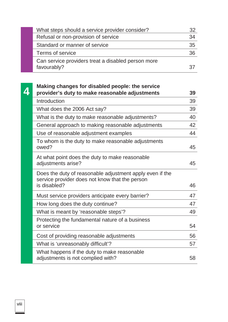| What steps should a service provider consider?     | 32 |
|----------------------------------------------------|----|
| Refusal or non-provision of service                | 34 |
| Standard or manner of service                      | 35 |
| Terms of service                                   | 36 |
| Can service providers treat a disabled person more |    |
| favourably?                                        | 37 |

| Making changes for disabled people: the service                                                                            |    |
|----------------------------------------------------------------------------------------------------------------------------|----|
| provider's duty to make reasonable adjustments                                                                             | 39 |
| Introduction                                                                                                               | 39 |
| What does the 2006 Act say?                                                                                                | 39 |
| What is the duty to make reasonable adjustments?                                                                           | 40 |
| General approach to making reasonable adjustments                                                                          | 42 |
| Use of reasonable adjustment examples                                                                                      | 44 |
| To whom is the duty to make reasonable adjustments<br>owed?                                                                | 45 |
| At what point does the duty to make reasonable<br>adjustments arise?                                                       | 45 |
| Does the duty of reasonable adjustment apply even if the<br>service provider does not know that the person<br>is disabled? | 46 |
| Must service providers anticipate every barrier?                                                                           | 47 |
| How long does the duty continue?                                                                                           | 47 |
| What is meant by 'reasonable steps'?                                                                                       | 49 |
| Protecting the fundamental nature of a business<br>or service                                                              | 54 |
| Cost of providing reasonable adjustments                                                                                   | 56 |
| What is 'unreasonably difficult'?                                                                                          | 57 |
| What happens if the duty to make reasonable<br>adjustments is not complied with?                                           | 58 |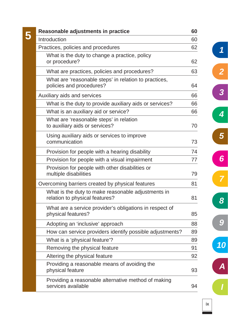|              | Reasonable adjustments in practice                                                   | 60 |
|--------------|--------------------------------------------------------------------------------------|----|
| Introduction |                                                                                      | 60 |
|              | Practices, policies and procedures                                                   | 62 |
|              | What is the duty to change a practice, policy<br>or procedure?                       | 62 |
|              | What are practices, policies and procedures?                                         | 63 |
|              | What are 'reasonable steps' in relation to practices,<br>policies and procedures?    | 64 |
|              | Auxiliary aids and services                                                          | 66 |
|              | What is the duty to provide auxiliary aids or services?                              | 66 |
|              | What is an auxiliary aid or service?                                                 | 66 |
|              | What are 'reasonable steps' in relation<br>to auxiliary aids or services?            | 70 |
|              | Using auxiliary aids or services to improve<br>communication                         | 73 |
|              | Provision for people with a hearing disability                                       | 74 |
|              | Provision for people with a visual impairment                                        | 77 |
|              | Provision for people with other disabilities or<br>multiple disabilities             | 79 |
|              | Overcoming barriers created by physical features                                     | 81 |
|              | What is the duty to make reasonable adjustments in<br>relation to physical features? | 81 |
|              | What are a service provider's obligations in respect of<br>physical features?        | 85 |
|              | Adopting an 'inclusive' approach                                                     | 88 |
|              | How can service providers identify possible adjustments?                             | 89 |
|              | What is a 'physical feature'?                                                        | 89 |
|              | Removing the physical feature                                                        | 91 |
|              | Altering the physical feature                                                        | 92 |
|              | Providing a reasonable means of avoiding the<br>physical feature                     | 93 |
|              | Providing a reasonable alternative method of making<br>services available            | 94 |

*1*

*2*

*3*

*4*

*5*

*6*

*7*

*8*

*9*

*10*

*A*

*I*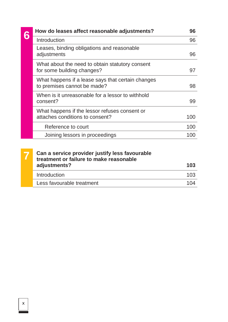| How do leases affect reasonable adjustments?                                     | 96  |
|----------------------------------------------------------------------------------|-----|
| Introduction                                                                     | 96  |
| Leases, binding obligations and reasonable<br>adjustments                        | 96  |
| What about the need to obtain statutory consent<br>for some building changes?    | 97  |
| What happens if a lease says that certain changes<br>to premises cannot be made? | 98  |
| When is it unreasonable for a lessor to withhold<br>consent?                     | 99  |
| What happens if the lessor refuses consent or<br>attaches conditions to consent? | 100 |
| Reference to court                                                               | 100 |
| Joining lessors in proceedings                                                   | 100 |
|                                                                                  |     |

| Can a service provider justify less favourable<br>treatment or failure to make reasonable |     |
|-------------------------------------------------------------------------------------------|-----|
| adjustments?                                                                              | 103 |
| Introduction                                                                              | 103 |
| Less favourable treatment                                                                 | 104 |
|                                                                                           |     |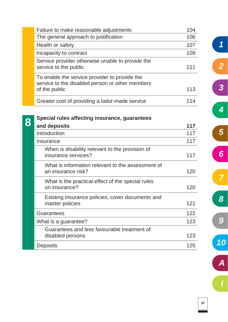|   | Failure to make reasonable adjustments                                                                            | 104 |
|---|-------------------------------------------------------------------------------------------------------------------|-----|
|   | The general approach to justification                                                                             | 106 |
|   | Health or safety                                                                                                  | 107 |
|   | Incapacity to contract                                                                                            | 109 |
|   | Service provider otherwise unable to provide the<br>service to the public                                         | 111 |
|   | To enable the service provider to provide the<br>service to the disabled person or other members<br>of the public | 113 |
|   | Greater cost of providing a tailor-made service                                                                   | 114 |
|   | Special rules affecting insurance, guarantees                                                                     |     |
| 8 | and deposits                                                                                                      | 117 |
|   | Introduction                                                                                                      | 117 |
|   | Insurance                                                                                                         | 117 |
|   | When is disability relevant to the provision of<br>insurance services?                                            | 117 |
|   | What is information relevant to the assessment of<br>an insurance risk?                                           | 120 |
|   | What is the practical effect of the special rules<br>on insurance?                                                | 120 |
|   | Existing insurance policies, cover documents and<br>master policies                                               | 121 |
|   | <b>Guarantees</b>                                                                                                 | 122 |
|   | What is a guarantee?                                                                                              | 123 |
|   | Guarantees and less favourable treatment of<br>disabled persons                                                   | 123 |
|   | <b>Deposits</b>                                                                                                   | 125 |

*10 A I*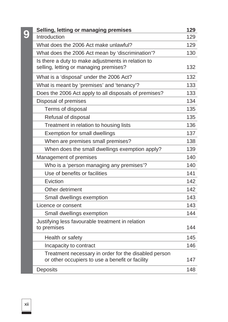|   | Selling, letting or managing premises                                                                   | 129 |
|---|---------------------------------------------------------------------------------------------------------|-----|
| 9 | Introduction                                                                                            | 129 |
|   | What does the 2006 Act make unlawful?                                                                   | 129 |
|   | What does the 2006 Act mean by 'discrimination'?                                                        | 130 |
|   | Is there a duty to make adjustments in relation to<br>selling, letting or managing premises?            | 132 |
|   | What is a 'disposal' under the 2006 Act?                                                                | 132 |
|   | What is meant by 'premises' and 'tenancy'?                                                              | 133 |
|   | Does the 2006 Act apply to all disposals of premises?                                                   | 133 |
|   | Disposal of premises                                                                                    | 134 |
|   | Terms of disposal                                                                                       | 135 |
|   | Refusal of disposal                                                                                     | 135 |
|   | Treatment in relation to housing lists                                                                  | 136 |
|   | <b>Exemption for small dwellings</b>                                                                    | 137 |
|   | When are premises small premises?                                                                       | 138 |
|   | When does the small dwellings exemption apply?                                                          | 139 |
|   | Management of premises                                                                                  | 140 |
|   | Who is a 'person managing any premises'?                                                                | 140 |
|   | Use of benefits or facilities                                                                           | 141 |
|   | Eviction                                                                                                | 142 |
|   | Other detriment                                                                                         | 142 |
|   | Small dwellings exemption                                                                               | 143 |
|   | Licence or consent                                                                                      | 143 |
|   | Small dwellings exemption                                                                               | 144 |
|   | Justifying less favourable treatment in relation<br>to premises                                         | 144 |
|   | Health or safety                                                                                        | 145 |
|   | Incapacity to contract                                                                                  | 146 |
|   | Treatment necessary in order for the disabled person<br>or other occupiers to use a benefit or facility | 147 |
|   | <b>Deposits</b>                                                                                         | 148 |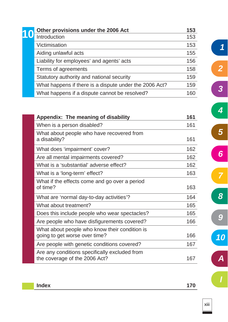| Other provisions under the 2006 Act                    | 153 |
|--------------------------------------------------------|-----|
| Introduction                                           | 153 |
| Victimisation                                          | 153 |
| Aiding unlawful acts                                   | 155 |
| Liability for employees' and agents' acts              | 156 |
| Terms of agreements                                    | 158 |
| Statutory authority and national security              | 159 |
| What happens if there is a dispute under the 2006 Act? | 159 |
| What happens if a dispute cannot be resolved?          | 160 |

| Appendix: The meaning of disability                                            | 161 |
|--------------------------------------------------------------------------------|-----|
| When is a person disabled?                                                     | 161 |
| What about people who have recovered from<br>a disability?                     | 161 |
| What does 'impairment' cover?                                                  | 162 |
| Are all mental impairments covered?                                            | 162 |
| What is a 'substantial' adverse effect?                                        | 162 |
| What is a 'long-term' effect?                                                  | 163 |
| What if the effects come and go over a period<br>of time?                      | 163 |
| What are 'normal day-to-day activities'?                                       | 164 |
| What about treatment?                                                          | 165 |
| Does this include people who wear spectacles?                                  | 165 |
| Are people who have disfigurements covered?                                    | 166 |
| What about people who know their condition is<br>going to get worse over time? | 166 |
| Are people with genetic conditions covered?                                    | 167 |
| Are any conditions specifically excluded from<br>the coverage of the 2006 Act? | 167 |

| <b>Index</b> | 170 |
|--------------|-----|
|              |     |

*1*

*2*

*3*

*4*

*5*

*6*

*7*

*8*

*9*

*10*

*A*

*I*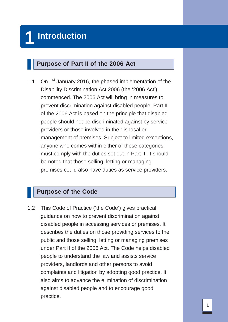#### **Purpose of Part II of the 2006 Act**

1.1 On 1<sup>st</sup> January 2016, the phased implementation of the Disability Discrimination Act 2006 (the '2006 Act') commenced. The 2006 Act will bring in measures to prevent discrimination against disabled people. Part II of the 2006 Act is based on the principle that disabled people should not be discriminated against by service providers or those involved in the disposal or management of premises. Subject to limited exceptions, anyone who comes within either of these categories must comply with the duties set out in Part II. It should be noted that those selling, letting or managing premises could also have duties as service providers.

#### **Purpose of the Code**

1.2 This Code of Practice ('the Code') gives practical guidance on how to prevent discrimination against disabled people in accessing services or premises. It describes the duties on those providing services to the public and those selling, letting or managing premises under Part II of the 2006 Act. The Code helps disabled people to understand the law and assists service providers, landlords and other persons to avoid complaints and litigation by adopting good practice. It also aims to advance the elimination of discrimination against disabled people and to encourage good practice.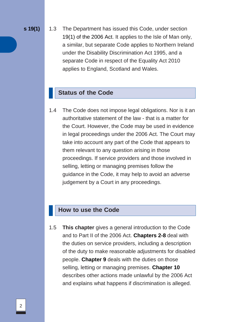**s 19(1)** 1.3 The Department has issued this Code, under section 19(1) of the 2006 Act. It applies to the Isle of Man only, a similar, but separate Code applies to Northern Ireland under the Disability Discrimination Act 1995, and a separate Code in respect of the Equality Act 2010 applies to England, Scotland and Wales.

### **Status of the Code**

1.4 The Code does not impose legal obligations. Nor is it an authoritative statement of the law - that is a matter for the Court. However, the Code may be used in evidence in legal proceedings under the 2006 Act. The Court may take into account any part of the Code that appears to them relevant to any question arising in those proceedings. If service providers and those involved in selling, letting or managing premises follow the guidance in the Code, it may help to avoid an adverse judgement by a Court in any proceedings.

#### **How to use the Code**

1.5 **This chapter** gives a general introduction to the Code and to Part II of the 2006 Act. **Chapters 2-8** deal with the duties on service providers, including a description of the duty to make reasonable adjustments for disabled people. **Chapter 9** deals with the duties on those selling, letting or managing premises. **Chapter 10**  describes other actions made unlawful by the 2006 Act and explains what happens if discrimination is alleged.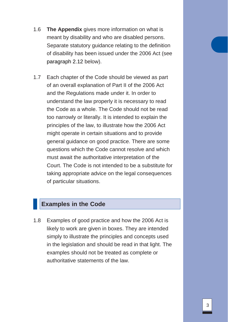- 1.6 **The Appendix** gives more information on what is meant by disability and who are disabled persons. Separate statutory guidance relating to the definition of disability has been issued under the 2006 Act (see paragraph 2.12 below).
- 1.7 Each chapter of the Code should be viewed as part of an overall explanation of Part II of the 2006 Act and the Regulations made under it. In order to understand the law properly it is necessary to read the Code as a whole. The Code should not be read too narrowly or literally. It is intended to explain the principles of the law, to illustrate how the 2006 Act might operate in certain situations and to provide general guidance on good practice. There are some questions which the Code cannot resolve and which must await the authoritative interpretation of the Court. The Code is not intended to be a substitute for taking appropriate advice on the legal consequences of particular situations.

#### **Examples in the Code**

1.8 Examples of good practice and how the 2006 Act is likely to work are given in boxes. They are intended simply to illustrate the principles and concepts used in the legislation and should be read in that light. The examples should not be treated as complete or authoritative statements of the law.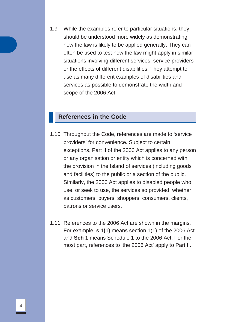1.9 While the examples refer to particular situations, they should be understood more widely as demonstrating how the law is likely to be applied generally. They can often be used to test how the law might apply in similar situations involving different services, service providers or the effects of different disabilities. They attempt to use as many different examples of disabilities and services as possible to demonstrate the width and scope of the 2006 Act.

#### **References in the Code**

- 1.10 Throughout the Code, references are made to 'service providers' for convenience. Subject to certain exceptions, Part II of the 2006 Act applies to any person or any organisation or entity which is concerned with the provision in the Island of services (including goods and facilities) to the public or a section of the public. Similarly, the 2006 Act applies to disabled people who use, or seek to use, the services so provided, whether as customers, buyers, shoppers, consumers, clients, patrons or service users.
- 1.11 References to the 2006 Act are shown in the margins. For example, **s 1(1)** means section 1(1) of the 2006 Act and **Sch 1** means Schedule 1 to the 2006 Act. For the most part, references to 'the 2006 Act' apply to Part II.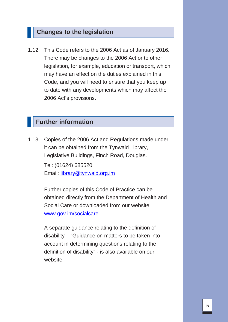#### **Changes to the legislation**

1.12 This Code refers to the 2006 Act as of January 2016. There may be changes to the 2006 Act or to other legislation, for example, education or transport, which may have an effect on the duties explained in this Code, and you will need to ensure that you keep up to date with any developments which may affect the 2006 Act's provisions.

#### **Further information**

1.13 Copies of the 2006 Act and Regulations made under it can be obtained from the Tynwald Library, Legislative Buildings, Finch Road, Douglas. Tel: (01624) 685520 Email: [library@tynwald.org.im](mailto:library@tynwald.org.im)

> Further copies of this Code of Practice can be obtained directly from the Department of Health and Social Care or downloaded from our website: [www.gov.im/socialcare](http://www.gov.im/dda)

A separate guidance relating to the definition of disability – "Guidance on matters to be taken into account in determining questions relating to the definition of disability" - is also available on our website.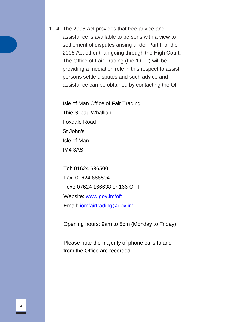1.14 The 2006 Act provides that free advice and assistance is available to persons with a view to settlement of disputes arising under Part II of the 2006 Act other than going through the High Court. The Office of Fair Trading (the 'OFT') will be providing a mediation role in this respect to assist persons settle disputes and such advice and assistance can be obtained by contacting the OFT:

Isle of Man Office of Fair Trading Thie Slieau Whallian Foxdale Road St John's Isle of Man IM4 3AS

Tel: 01624 686500 Fax: 01624 686504 Text: 07624 166638 or 166 OFT Website: [www.gov.im/oft](http://www.gov.im/oft) Email: [iomfairtrading@gov.im](mailto:iomfairtrading@gov.im)

Opening hours: 9am to 5pm (Monday to Friday)

Please note the majority of phone calls to and from the Office are recorded.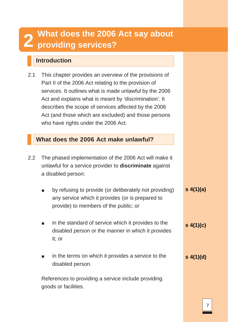# **2 What does the 2006 Act say about providing services?**

# **Introduction**

| 2.1 | This chapter provides an overview of the provisions of  |
|-----|---------------------------------------------------------|
|     | Part II of the 2006 Act relating to the provision of    |
|     | services. It outlines what is made unlawful by the 2006 |
|     | Act and explains what is meant by 'discrimination'. It  |
|     | describes the scope of services affected by the 2006    |
|     | Act (and those which are excluded) and those persons    |
|     | who have rights under the 2006 Act.                     |

## **What does the 2006 Act make unlawful?**

| 2.2 The phased implementation of the 2006 Act will make it     |
|----------------------------------------------------------------|
| unlawful for a service provider to <b>discriminate</b> against |
| a disabled person:                                             |

| by refusing to provide (or deliberately not providing) | s(4(1)(a)) |
|--------------------------------------------------------|------------|
| any service which it provides (or is prepared to       |            |
| provide) to members of the public; or                  |            |

- in the standard of service which it provides to the disabled person or the manner in which it provides it; or **s 4(1)(c)**
- in the terms on which it provides a service to the disabled person. **s 4(1)(d)**

References to providing a service include providing goods or facilities.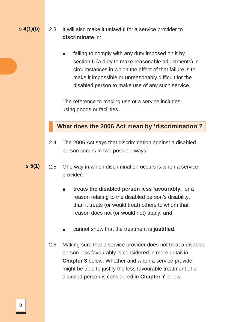#### **s 4(1)(b)**

2.3 It will also make it unlawful for a service provider to **discriminate** in:

> failing to comply with any duty imposed on it by section 6 (a duty to make reasonable adjustments) in circumstances in which the effect of that failure is to make it impossible or unreasonably difficult for the disabled person to make use of any such service.

The reference to making use of a service includes using goods or facilities.

#### **What does the 2006 Act mean by 'discrimination'?**

- 2.4 The 2006 Act says that discrimination against a disabled person occurs in two possible ways.
- **s 5(1)** 2.5 One way in which discrimination occurs is when a service provider:
	- **treats the disabled person less favourably, for a** reason relating to the disabled person's disability, than it treats (or would treat) others to whom that reason does not (or would not) apply; **and**
	- cannot show that the treatment is justified.
	- 2.6 Making sure that a service provider does not treat a disabled person less favourably is considered in more detail in **Chapter 3** below. Whether and when a service provider might be able to justify the less favourable treatment of a disabled person is considered in **Chapter 7** below.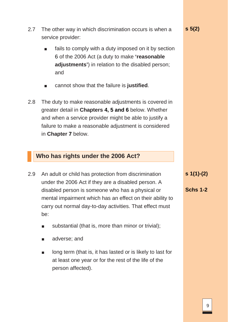- 2.7 The other way in which discrimination occurs is when a service provider:
	- fails to comply with a duty imposed on it by section 6 of the 2006 Act (a duty to make **'reasonable adjustments'**) in relation to the disabled person; and
	- cannot show that the failure is **justified**.
- 2.8 The duty to make reasonable adjustments is covered in greater detail in **Chapters 4, 5 and 6** below. Whether and when a service provider might be able to justify a failure to make a reasonable adjustment is considered in **Chapter 7** below.

### **Who has rights under the 2006 Act?**

- 2.9 An adult or child has protection from discrimination under the 2006 Act if they are a disabled person. A disabled person is someone who has a physical or mental impairment which has an effect on their ability to carry out normal day-to-day activities. That effect must be:
	- substantial (that is, more than minor or trivial);
	- adverse; and
	- long term (that is, it has lasted or is likely to last for at least one year or for the rest of the life of the person affected).

**s 1(1)-(2)**

**Schs 1-2**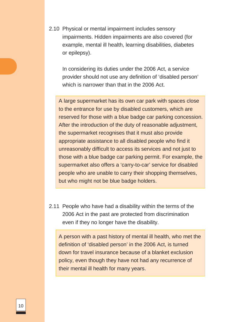2.10 Physical or mental impairment includes sensory impairments. Hidden impairments are also covered (for example, mental ill health, learning disabilities, diabetes or epilepsy).

In considering its duties under the 2006 Act, a service provider should not use any definition of 'disabled person' which is narrower than that in the 2006 Act.

A large supermarket has its own car park with spaces close to the entrance for use by disabled customers, which are reserved for those with a blue badge car parking concession. After the introduction of the duty of reasonable adjustment, the supermarket recognises that it must also provide appropriate assistance to all disabled people who find it unreasonably difficult to access its services and not just to those with a blue badge car parking permit. For example, the supermarket also offers a 'carry-to-car' service for disabled people who are unable to carry their shopping themselves, but who might not be blue badge holders.

2.11 People who have had a disability within the terms of the 2006 Act in the past are protected from discrimination even if they no longer have the disability.

A person with a past history of mental ill health, who met the definition of 'disabled person' in the 2006 Act, is turned down for travel insurance because of a blanket exclusion policy, even though they have not had any recurrence of their mental ill health for many years.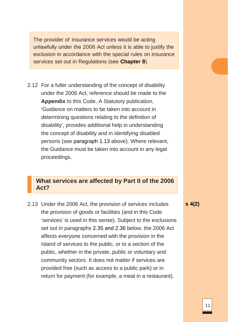The provider of insurance services would be acting unlawfully under the 2006 Act unless it is able to justify the exclusion in accordance with the special rules on insurance services set out in Regulations (see **Chapter 8**).

2.12 For a fuller understanding of the concept of disability under the 2006 Act, reference should be made to the **Appendix** to this Code. A Statutory publication, 'Guidance on matters to be taken into account in determining questions relating to the definition of disability', provides additional help in understanding the concept of disability and in identifying disabled persons (see paragraph 1.13 above). Where relevant, the Guidance must be taken into account in any legal proceedings.

#### **What services are affected by Part II of the 2006 Act?**

- 2.13 Under the 2006 Act, the provision of services includes the provision of goods or facilities (and in this Code 'services' is used in this sense). Subject to the exclusions set out in paragraphs 2.35 and 2.36 below, the 2006 Act affects everyone concerned with the provision in the Island of services to the public, or to a section of the public, whether in the private, public or voluntary and community sectors. It does not matter if services are provided free (such as access to a public park) or in return for payment (for example, a meal in a restaurant).
- **s 4(2)**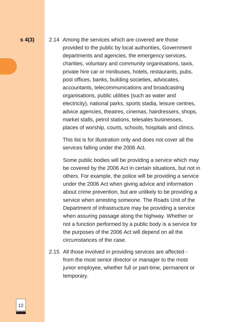**s 4(3)** 2.14 Among the services which are covered are those provided to the public by local authorities, Government departments and agencies, the emergency services, charities, voluntary and community organisations, taxis, private hire car or minibuses, hotels, restaurants, pubs, post offices, banks, building societies, advocates, accountants, telecommunications and broadcasting organisations, public utilities (such as water and electricity), national parks, sports stadia, leisure centres, advice agencies, theatres, cinemas, hairdressers, shops, market stalls, petrol stations, telesales businesses, places of worship, courts, schools, hospitals and clinics.

> This list is for illustration only and does not cover all the services falling under the 2006 Act.

Some public bodies will be providing a service which may be covered by the 2006 Act in certain situations, but not in others. For example, the police will be providing a service under the 2006 Act when giving advice and information about crime prevention, but are unlikely to be providing a service when arresting someone. The Roads Unit of the Department of Infrastructure may be providing a service when assuring passage along the highway. Whether or not a function performed by a public body is a service for the purposes of the 2006 Act will depend on all the circumstances of the case.

2.15 All those involved in providing services are affected from the most senior director or manager to the most junior employee, whether full or part-time, permanent or temporary.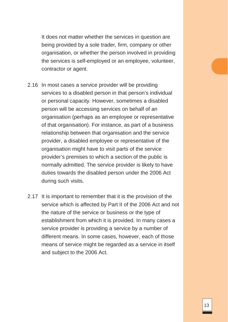It does not matter whether the services in question are being provided by a sole trader, firm, company or other organisation, or whether the person involved in providing the services is self-employed or an employee, volunteer, contractor or agent.

- 2.16 In most cases a service provider will be providing services to a disabled person in that person's individual or personal capacity. However, sometimes a disabled person will be accessing services on behalf of an organisation (perhaps as an employee or representative of that organisation). For instance, as part of a business relationship between that organisation and the service provider, a disabled employee or representative of the organisation might have to visit parts of the service provider's premises to which a section of the public is normally admitted. The service provider is likely to have duties towards the disabled person under the 2006 Act during such visits.
- 2.17 It is important to remember that it is the provision of the service which is affected by Part II of the 2006 Act and not the nature of the service or business or the type of establishment from which it is provided. In many cases a service provider is providing a service by a number of different means. In some cases, however, each of those means of service might be regarded as a service in itself and subject to the 2006 Act.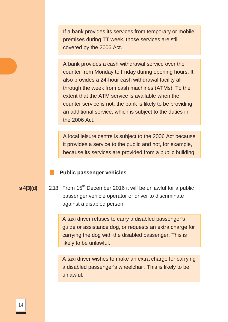If a bank provides its services from temporary or mobile premises during TT week, those services are still covered by the 2006 Act.

A bank provides a cash withdrawal service over the counter from Monday to Friday during opening hours. It also provides a 24-hour cash withdrawal facility all through the week from cash machines (ATMs). To the extent that the ATM service is available when the counter service is not, the bank is likely to be providing an additional service, which is subject to the duties in the 2006 Act.

A local leisure centre is subject to the 2006 Act because it provides a service to the public and not, for example, because its services are provided from a public building.

#### **Public passenger vehicles**

**s 4(3)(d)** 2.18 From 15<sup>th</sup> December 2016 it will be unlawful for a public passenger vehicle operator or driver to discriminate against a disabled person.

> A taxi driver refuses to carry a disabled passenger's guide or assistance dog, or requests an extra charge for carrying the dog with the disabled passenger. This is likely to be unlawful.

> A taxi driver wishes to make an extra charge for carrying a disabled passenger's wheelchair. This is likely to be unlawful.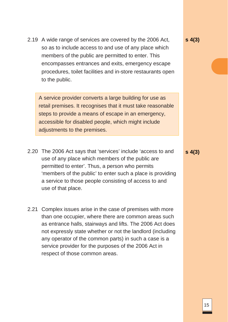2.19 A wide range of services are covered by the 2006 Act, so as to include access to and use of any place which members of the public are permitted to enter. This encompasses entrances and exits, emergency escape procedures, toilet facilities and in-store restaurants open to the public.

A service provider converts a large building for use as retail premises. It recognises that it must take reasonable steps to provide a means of escape in an emergency, accessible for disabled people, which might include adjustments to the premises.

- 2.20 The 2006 Act says that 'services' include 'access to and use of any place which members of the public are permitted to enter'. Thus, a person who permits 'members of the public' to enter such a place is providing a service to those people consisting of access to and use of that place.
- 2.21 Complex issues arise in the case of premises with more than one occupier, where there are common areas such as entrance halls, stairways and lifts. The 2006 Act does not expressly state whether or not the landlord (including any operator of the common parts) in such a case is a service provider for the purposes of the 2006 Act in respect of those common areas.

**s 4(3)**

**s 4(3)**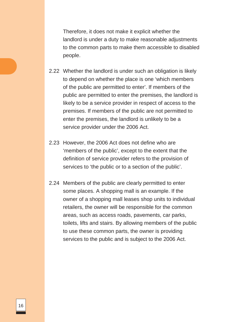Therefore, it does not make it explicit whether the landlord is under a duty to make reasonable adjustments to the common parts to make them accessible to disabled people.

- 2.22 Whether the landlord is under such an obligation is likely to depend on whether the place is one 'which members of the public are permitted to enter'. If members of the public are permitted to enter the premises, the landlord is likely to be a service provider in respect of access to the premises. If members of the public are not permitted to enter the premises, the landlord is unlikely to be a service provider under the 2006 Act.
- 2.23 However, the 2006 Act does not define who are 'members of the public', except to the extent that the definition of service provider refers to the provision of services to 'the public or to a section of the public'.
- 2.24 Members of the public are clearly permitted to enter some places. A shopping mall is an example. If the owner of a shopping mall leases shop units to individual retailers, the owner will be responsible for the common areas, such as access roads, pavements, car parks, toilets, lifts and stairs. By allowing members of the public to use these common parts, the owner is providing services to the public and is subject to the 2006 Act.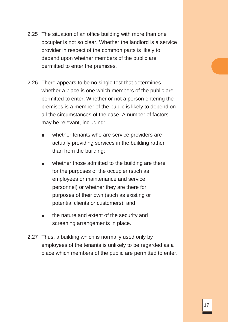- 2.25 The situation of an office building with more than one occupier is not so clear. Whether the landlord is a service provider in respect of the common parts is likely to depend upon whether members of the public are permitted to enter the premises.
- 2.26 There appears to be no single test that determines whether a place is one which members of the public are permitted to enter. Whether or not a person entering the premises is a member of the public is likely to depend on all the circumstances of the case. A number of factors may be relevant, including:
	- whether tenants who are service providers are actually providing services in the building rather than from the building;
	- whether those admitted to the building are there for the purposes of the occupier (such as employees or maintenance and service personnel) or whether they are there for purposes of their own (such as existing or potential clients or customers); and
	- the nature and extent of the security and screening arrangements in place.
- 2.27 Thus, a building which is normally used only by employees of the tenants is unlikely to be regarded as a place which members of the public are permitted to enter.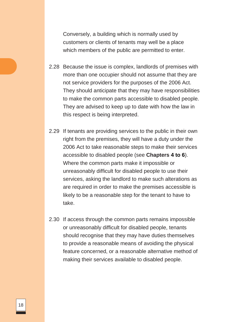Conversely, a building which is normally used by customers or clients of tenants may well be a place which members of the public are permitted to enter.

- 2.28 Because the issue is complex, landlords of premises with more than one occupier should not assume that they are not service providers for the purposes of the 2006 Act. They should anticipate that they may have responsibilities to make the common parts accessible to disabled people. They are advised to keep up to date with how the law in this respect is being interpreted.
- 2.29 If tenants are providing services to the public in their own right from the premises, they will have a duty under the 2006 Act to take reasonable steps to make their services accessible to disabled people (see **Chapters 4 to 6**). Where the common parts make it impossible or unreasonably difficult for disabled people to use their services, asking the landlord to make such alterations as are required in order to make the premises accessible is likely to be a reasonable step for the tenant to have to take.
- 2.30 If access through the common parts remains impossible or unreasonably difficult for disabled people, tenants should recognise that they may have duties themselves to provide a reasonable means of avoiding the physical feature concerned, or a reasonable alternative method of making their services available to disabled people.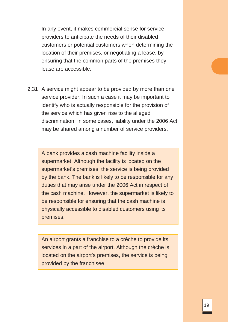In any event, it makes commercial sense for service providers to anticipate the needs of their disabled customers or potential customers when determining the location of their premises, or negotiating a lease, by ensuring that the common parts of the premises they lease are accessible.

2.31 A service might appear to be provided by more than one service provider. In such a case it may be important to identify who is actually responsible for the provision of the service which has given rise to the alleged discrimination. In some cases, liability under the 2006 Act may be shared among a number of service providers.

A bank provides a cash machine facility inside a supermarket. Although the facility is located on the supermarket's premises, the service is being provided by the bank. The bank is likely to be responsible for any duties that may arise under the 2006 Act in respect of the cash machine. However, the supermarket is likely to be responsible for ensuring that the cash machine is physically accessible to disabled customers using its premises.

An airport grants a franchise to a crèche to provide its services in a part of the airport. Although the crèche is located on the airport's premises, the service is being provided by the franchisee.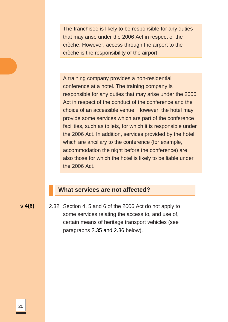The franchisee is likely to be responsible for any duties that may arise under the 2006 Act in respect of the crèche. However, access through the airport to the crèche is the responsibility of the airport.

A training company provides a non-residential conference at a hotel. The training company is responsible for any duties that may arise under the 2006 Act in respect of the conduct of the conference and the choice of an accessible venue. However, the hotel may provide some services which are part of the conference facilities, such as toilets, for which it is responsible under the 2006 Act. In addition, services provided by the hotel which are ancillary to the conference (for example, accommodation the night before the conference) are also those for which the hotel is likely to be liable under the 2006 Act.

#### **What services are not affected?**

**s 4(6)** 2.32 Section 4, 5 and 6 of the 2006 Act do not apply to some services relating the access to, and use of, certain means of heritage transport vehicles (see paragraphs 2.35 and 2.36 below).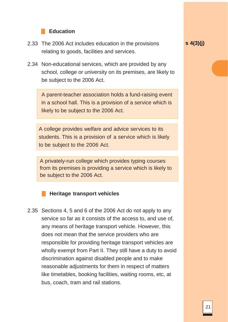#### **Education**

- 2.33 The 2006 Act includes education in the provisions relating to goods, facilities and services.
- 2.34 Non-educational services, which are provided by any school, college or university on its premises, are likely to be subject to the 2006 Act.

A parent-teacher association holds a fund-raising event in a school hall. This is a provision of a service which is likely to be subject to the 2006 Act.

A college provides welfare and advice services to its students. This is a provision of a service which is likely to be subject to the 2006 Act.

A privately-run college which provides typing courses from its premises is providing a service which is likely to be subject to the 2006 Act.



2.35 Sections 4, 5 and 6 of the 2006 Act do not apply to any service so far as it consists of the access to, and use of, any means of heritage transport vehicle. However, this does not mean that the service providers who are responsible for providing heritage transport vehicles are wholly exempt from Part II. They still have a duty to avoid discrimination against disabled people and to make reasonable adjustments for them in respect of matters like timetables, booking facilities, waiting rooms, etc, at bus, coach, tram and rail stations.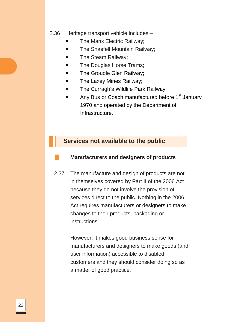#### 2.36 Heritage transport vehicle includes –

- The Manx Electric Railway;
- The Snaefell Mountain Railway;
- The Steam Railway;
- The Douglas Horse Trams;
- The Groudle Glen Railway;
- The Laxey Mines Railway;
- The Curragh's Wildlife Park Railway;
- Any Bus or Coach manufactured before 1<sup>st</sup> January 1970 and operated by the Department of Infrastructure.

#### **Services not available to the public**

#### **Manufacturers and designers of products**

2.37 The manufacture and design of products are not in themselves covered by Part II of the 2006 Act because they do not involve the provision of services direct to the public. Nothing in the 2006 Act requires manufacturers or designers to make changes to their products, packaging or instructions.

> However, it makes good business sense for manufacturers and designers to make goods (and user information) accessible to disabled customers and they should consider doing so as a matter of good practice.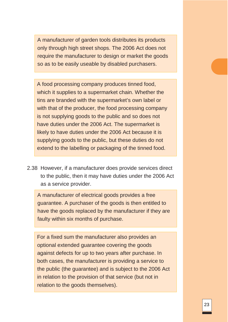A manufacturer of garden tools distributes its products only through high street shops. The 2006 Act does not require the manufacturer to design or market the goods so as to be easily useable by disabled purchasers.

A food processing company produces tinned food, which it supplies to a supermarket chain. Whether the tins are branded with the supermarket's own label or with that of the producer, the food processing company is not supplying goods to the public and so does not have duties under the 2006 Act. The supermarket is likely to have duties under the 2006 Act because it is supplying goods to the public, but these duties do not extend to the labelling or packaging of the tinned food.

2.38 However, if a manufacturer does provide services direct to the public, then it may have duties under the 2006 Act as a service provider.

A manufacturer of electrical goods provides a free guarantee. A purchaser of the goods is then entitled to have the goods replaced by the manufacturer if they are faulty within six months of purchase.

For a fixed sum the manufacturer also provides an optional extended guarantee covering the goods against defects for up to two years after purchase. In both cases, the manufacturer is providing a service to the public (the guarantee) and is subject to the 2006 Act in relation to the provision of that service (but not in relation to the goods themselves).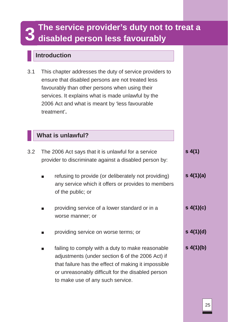# **3** The service provider's duty not to treat a disabled person less favourably

# **Introduction**

3.1 This chapter addresses the duty of service providers to ensure that disabled persons are not treated less favourably than other persons when using their services. It explains what is made unlawful by the 2006 Act and what is meant by 'less favourable treatment'**.**

## **What is unlawful?**

| 3.2 | The 2006 Act says that it is unlawful for a service<br>provider to discriminate against a disabled person by: |                                                                                                                                                                                                                                                      |            |
|-----|---------------------------------------------------------------------------------------------------------------|------------------------------------------------------------------------------------------------------------------------------------------------------------------------------------------------------------------------------------------------------|------------|
|     | ш                                                                                                             | refusing to provide (or deliberately not providing)<br>any service which it offers or provides to members<br>of the public; or                                                                                                                       | s(4(1)(a)) |
|     | <b>The State</b>                                                                                              | providing service of a lower standard or in a<br>worse manner; or                                                                                                                                                                                    | s(4)(c)    |
|     | <b>The State</b>                                                                                              | providing service on worse terms; or                                                                                                                                                                                                                 | s(4(1)(d)) |
|     | $\blacksquare$                                                                                                | failing to comply with a duty to make reasonable<br>adjustments (under section 6 of the 2006 Act) if<br>that failure has the effect of making it impossible<br>or unreasonably difficult for the disabled person<br>to make use of any such service. | s(4(1)(b)) |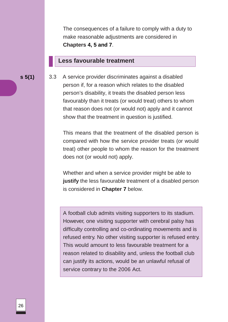The consequences of a failure to comply with a duty to make reasonable adjustments are considered in **Chapters 4, 5 and 7**.

#### **Less favourable treatment**

**s 5(1)** 3.3 A service provider discriminates against a disabled person if, for a reason which relates to the disabled person's disability, it treats the disabled person less favourably than it treats (or would treat) others to whom that reason does not (or would not) apply and it cannot show that the treatment in question is justified.

> This means that the treatment of the disabled person is compared with how the service provider treats (or would treat) other people to whom the reason for the treatment does not (or would not) apply.

> Whether and when a service provider might be able to **justify** the less favourable treatment of a disabled person is considered in **Chapter 7** below.

> A football club admits visiting supporters to its stadium. However, one visiting supporter with cerebral palsy has difficulty controlling and co-ordinating movements and is refused entry. No other visiting supporter is refused entry. This would amount to less favourable treatment for a reason related to disability and, unless the football club can justify its actions, would be an unlawful refusal of service contrary to the 2006 Act.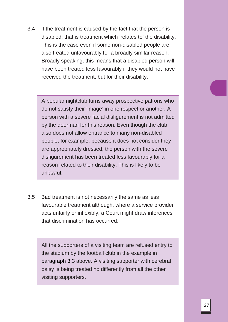3.4 If the treatment is caused by the fact that the person is disabled, that is treatment which 'relates to' the disability. This is the case even if some non-disabled people are also treated unfavourably for a broadly similar reason. Broadly speaking, this means that a disabled person will have been treated less favourably if they would not have received the treatment, but for their disability.

A popular nightclub turns away prospective patrons who do not satisfy their 'image' in one respect or another. A person with a severe facial disfigurement is not admitted by the doorman for this reason. Even though the club also does not allow entrance to many non-disabled people, for example, because it does not consider they are appropriately dressed, the person with the severe disfigurement has been treated less favourably for a reason related to their disability. This is likely to be unlawful.

3.5 Bad treatment is not necessarily the same as less favourable treatment although, where a service provider acts unfairly or inflexibly, a Court might draw inferences that discrimination has occurred.

All the supporters of a visiting team are refused entry to the stadium by the football club in the example in paragraph 3.3 above. A visiting supporter with cerebral palsy is being treated no differently from all the other visiting supporters.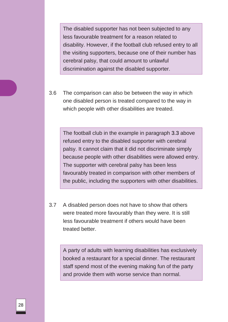The disabled supporter has not been subjected to any less favourable treatment for a reason related to disability. However, if the football club refused entry to all the visiting supporters, because one of their number has cerebral palsy, that could amount to unlawful discrimination against the disabled supporter.

3.6 The comparison can also be between the way in which one disabled person is treated compared to the way in which people with other disabilities are treated.

The football club in the example in paragraph 3.3 above refused entry to the disabled supporter with cerebral palsy. It cannot claim that it did not discriminate simply because people with other disabilities were allowed entry. The supporter with cerebral palsy has been less favourably treated in comparison with other members of the public, including the supporters with other disabilities.

3.7 A disabled person does not have to show that others were treated more favourably than they were. It is still less favourable treatment if others would have been treated better.

A party of adults with learning disabilities has exclusively booked a restaurant for a special dinner. The restaurant staff spend most of the evening making fun of the party and provide them with worse service than normal.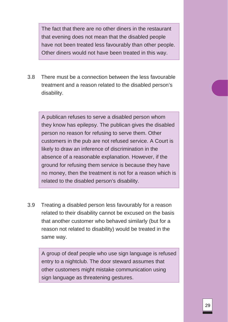The fact that there are no other diners in the restaurant that evening does not mean that the disabled people have not been treated less favourably than other people. Other diners would not have been treated in this way.

3.8 There must be a connection between the less favourable treatment and a reason related to the disabled person's disability.

A publican refuses to serve a disabled person whom they know has epilepsy. The publican gives the disabled person no reason for refusing to serve them. Other customers in the pub are not refused service. A Court is likely to draw an inference of discrimination in the absence of a reasonable explanation. However, if the ground for refusing them service is because they have no money, then the treatment is not for a reason which is related to the disabled person's disability.

3.9 Treating a disabled person less favourably for a reason related to their disability cannot be excused on the basis that another customer who behaved similarly (but for a reason not related to disability) would be treated in the same way.

A group of deaf people who use sign language is refused entry to a nightclub. The door steward assumes that other customers might mistake communication using sign language as threatening gestures.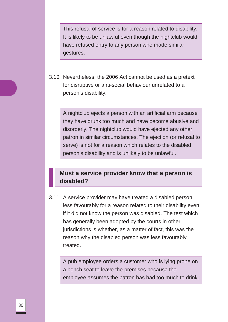This refusal of service is for a reason related to disability. It is likely to be unlawful even though the nightclub would have refused entry to any person who made similar gestures.

3.10 Nevertheless, the 2006 Act cannot be used as a pretext for disruptive or anti-social behaviour unrelated to a person's disability.

A nightclub ejects a person with an artificial arm because they have drunk too much and have become abusive and disorderly. The nightclub would have ejected any other patron in similar circumstances. The ejection (or refusal to serve) is not for a reason which relates to the disabled person's disability and is unlikely to be unlawful.

## **Must a service provider know that a person is disabled?**

3.11 A service provider may have treated a disabled person less favourably for a reason related to their disability even if it did not know the person was disabled. The test which has generally been adopted by the courts in other jurisdictions is whether, as a matter of fact, this was the reason why the disabled person was less favourably treated.

A pub employee orders a customer who is lying prone on a bench seat to leave the premises because the employee assumes the patron has had too much to drink.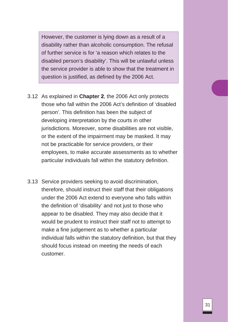However, the customer is lying down as a result of a disability rather than alcoholic consumption. The refusal of further service is for 'a reason which relates to the disabled person's disability'. This will be unlawful unless the service provider is able to show that the treatment in question is justified, as defined by the 2006 Act.

- 3.12 As explained in **Chapter 2**, the 2006 Act only protects those who fall within the 2006 Act's definition of 'disabled person'. This definition has been the subject of developing interpretation by the courts in other jurisdictions. Moreover, some disabilities are not visible, or the extent of the impairment may be masked. It may not be practicable for service providers, or their employees, to make accurate assessments as to whether particular individuals fall within the statutory definition.
- 3.13 Service providers seeking to avoid discrimination, therefore, should instruct their staff that their obligations under the 2006 Act extend to everyone who falls within the definition of 'disability' and not just to those who appear to be disabled. They may also decide that it would be prudent to instruct their staff not to attempt to make a fine judgement as to whether a particular individual falls within the statutory definition, but that they should focus instead on meeting the needs of each customer.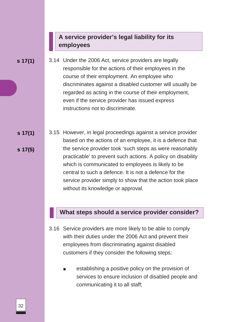## **A service provider's legal liability for its employees**

**s 17(1)**

- 3.14 Under the 2006 Act, service providers are legally responsible for the actions of their employees in the course of their employment. An employee who discriminates against a disabled customer will usually be regarded as acting in the course of their employment, even if the service provider has issued express instructions not to discriminate.
- **s 17(1) s 17(5)** 3.15 However, in legal proceedings against a service provider based on the actions of an employee, it is a defence that the service provider took 'such steps as were reasonably practicable' to prevent such actions. A policy on disability which is communicated to employees is likely to be central to such a defence. It is not a defence for the service provider simply to show that the action took place without its knowledge or approval.

#### **What steps should a service provider consider?**

- 3.16 Service providers are more likely to be able to comply with their duties under the 2006 Act and prevent their employees from discriminating against disabled customers if they consider the following steps:
	- establishing a positive policy on the provision of services to ensure inclusion of disabled people and communicating it to all staff;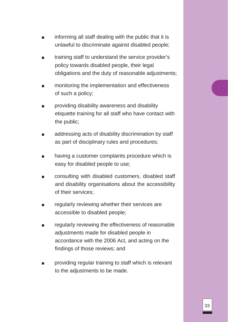- informing all staff dealing with the public that it is unlawful to discriminate against disabled people;
- training staff to understand the service provider's policy towards disabled people, their legal obligations and the duty of reasonable adjustments;
- monitoring the implementation and effectiveness of such a policy;
- providing disability awareness and disability etiquette training for all staff who have contact with the public;
- addressing acts of disability discrimination by staff as part of disciplinary rules and procedures;
- having a customer complaints procedure which is easy for disabled people to use;
- consulting with disabled customers, disabled staff and disability organisations about the accessibility of their services;
- regularly reviewing whether their services are accessible to disabled people;
- regularly reviewing the effectiveness of reasonable adjustments made for disabled people in accordance with the 2006 Act, and acting on the findings of those reviews; and
- providing regular training to staff which is relevant to the adjustments to be made.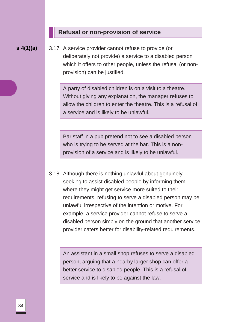#### **Refusal or non-provision of service**

**s 4(1)(a)** 3.17 A service provider cannot refuse to provide (or deliberately not provide) a service to a disabled person which it offers to other people, unless the refusal (or nonprovision) can be justified.

> A party of disabled children is on a visit to a theatre. Without giving any explanation, the manager refuses to allow the children to enter the theatre. This is a refusal of a service and is likely to be unlawful.

Bar staff in a pub pretend not to see a disabled person who is trying to be served at the bar. This is a nonprovision of a service and is likely to be unlawful.

3.18 Although there is nothing unlawful about genuinely seeking to assist disabled people by informing them where they might get service more suited to their requirements, refusing to serve a disabled person may be unlawful irrespective of the intention or motive. For example, a service provider cannot refuse to serve a disabled person simply on the ground that another service provider caters better for disability-related requirements.

An assistant in a small shop refuses to serve a disabled person, arguing that a nearby larger shop can offer a better service to disabled people. This is a refusal of service and is likely to be against the law.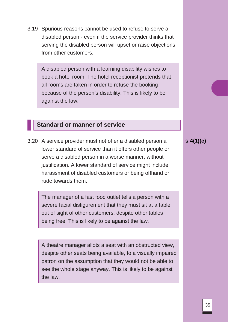3.19 Spurious reasons cannot be used to refuse to serve a disabled person - even if the service provider thinks that serving the disabled person will upset or raise objections from other customers.

A disabled person with a learning disability wishes to book a hotel room. The hotel receptionist pretends that all rooms are taken in order to refuse the booking because of the person's disability. This is likely to be against the law.

#### **Standard or manner of service**

3.20 A service provider must not offer a disabled person a lower standard of service than it offers other people or serve a disabled person in a worse manner, without justification. A lower standard of service might include harassment of disabled customers or being offhand or rude towards them.

The manager of a fast food outlet tells a person with a severe facial disfigurement that they must sit at a table out of sight of other customers, despite other tables being free. This is likely to be against the law.

A theatre manager allots a seat with an obstructed view, despite other seats being available, to a visually impaired patron on the assumption that they would not be able to see the whole stage anyway. This is likely to be against the law.

**s 4(1)(c)**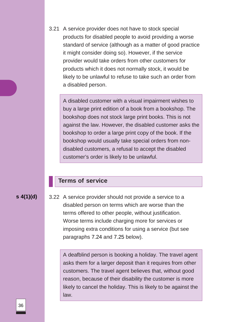3.21 A service provider does not have to stock special products for disabled people to avoid providing a worse standard of service (although as a matter of good practice it might consider doing so). However, if the service provider would take orders from other customers for products which it does not normally stock, it would be likely to be unlawful to refuse to take such an order from a disabled person.

A disabled customer with a visual impairment wishes to buy a large print edition of a book from a bookshop. The bookshop does not stock large print books. This is not against the law. However, the disabled customer asks the bookshop to order a large print copy of the book. If the bookshop would usually take special orders from nondisabled customers, a refusal to accept the disabled customer's order is likely to be unlawful.

#### **Terms of service**

**s 4(1)(d)** 3.22 A service provider should not provide a service to a disabled person on terms which are worse than the terms offered to other people, without justification. Worse terms include charging more for services or imposing extra conditions for using a service (but see paragraphs 7.24 and 7.25 below).

> A deafblind person is booking a holiday. The travel agent asks them for a larger deposit than it requires from other customers. The travel agent believes that, without good reason, because of their disability the customer is more likely to cancel the holiday. This is likely to be against the law.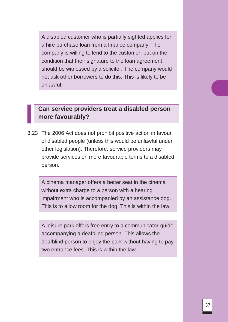A disabled customer who is partially sighted applies for a hire purchase loan from a finance company. The company is willing to lend to the customer, but on the condition that their signature to the loan agreement should be witnessed by a solicitor. The company would not ask other borrowers to do this. This is likely to be unlawful.

## **Can service providers treat a disabled person more favourably?**

3.23 The 2006 Act does not prohibit positive action in favour of disabled people (unless this would be unlawful under other legislation). Therefore, service providers may provide services on more favourable terms to a disabled person.

A cinema manager offers a better seat in the cinema without extra charge to a person with a hearing impairment who is accompanied by an assistance dog. This is to allow room for the dog. This is within the law.

A leisure park offers free entry to a communicator-guide accompanying a deafblind person. This allows the deafblind person to enjoy the park without having to pay two entrance fees. This is within the law.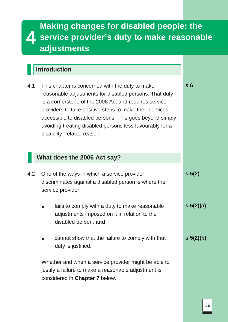# **4 Making changes for disabled people: the service provider's duty to make reasonable adjustments**

# **Introduction**

| 4.1 | This chapter is concerned with the duty to make          |
|-----|----------------------------------------------------------|
|     | reasonable adjustments for disabled persons. That duty   |
|     | is a cornerstone of the 2006 Act and requires service    |
|     | providers to take positive steps to make their services  |
|     | accessible to disabled persons. This goes beyond simply  |
|     | avoiding treating disabled persons less favourably for a |
|     | disability- related reason.                              |

## **What does the 2006 Act say?**

disabled person; **and**

| 4.2 |                   | One of the ways in which a service provider          | $s \, 5(2)$   |
|-----|-------------------|------------------------------------------------------|---------------|
|     |                   | discriminates against a disabled person is where the |               |
|     | service provider: |                                                      |               |
|     |                   | fails to comply with a duty to make reasonable       | $s \ 5(2)(a)$ |
|     |                   | adjustments imposed on it in relation to the         |               |

cannot show that the failure to comply with that duty is justified.

Whether and when a service provider might be able to justify a failure to make a reasonable adjustment is considered in **Chapter 7** below.

**s 5(2)(b)**

**s 6**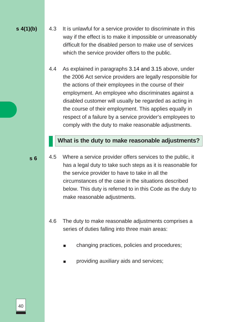**s 4(1)(b)** 4.3 It is unlawful for a service provider to discriminate in this way if the effect is to make it impossible or unreasonably difficult for the disabled person to make use of services which the service provider offers to the public.

> 4.4 As explained in paragraphs 3.14 and 3.15 above, under the 2006 Act service providers are legally responsible for the actions of their employees in the course of their employment. An employee who discriminates against a disabled customer will usually be regarded as acting in the course of their employment. This applies equally in respect of a failure by a service provider's employees to comply with the duty to make reasonable adjustments.

## **What is the duty to make reasonable adjustments?**

- 4.5 Where a service provider offers services to the public, it has a legal duty to take such steps as it is reasonable for the service provider to have to take in all the circumstances of the case in the situations described below. This duty is referred to in this Code as the duty to make reasonable adjustments.
	- 4.6 The duty to make reasonable adjustments comprises a series of duties falling into three main areas:
		- changing practices, policies and procedures;
		- providing auxiliary aids and services;

**s 6**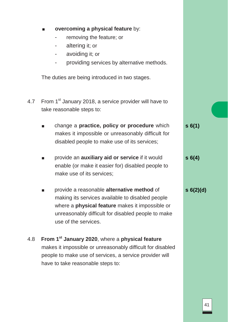- **overcoming a physical feature** by:
	- removing the feature; or
	- altering it; or
	- avoiding it; or
	- providing services by alternative methods.

The duties are being introduced in two stages.

- 4.7 From 1<sup>st</sup> January 2018, a service provider will have to take reasonable steps to:
	- change a **practice, policy or procedure** which makes it impossible or unreasonably difficult for disabled people to make use of its services; **s 6(1)**
	- provide an **auxiliary aid or service** if it would enable (or make it easier for) disabled people to make use of its services;
	- provide a reasonable **alternative method** of making its services available to disabled people where a **physical feature** makes it impossible or unreasonably difficult for disabled people to make use of the services.

## 4.8 **From 1st January 2020**, where a **physical feature**  makes it impossible or unreasonably difficult for disabled people to make use of services, a service provider will have to take reasonable steps to:

**s 6(4)**

**s 6(2)(d)**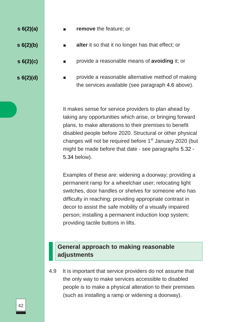**s 6(2)(a)**

- **s 6(2)(b)**
- **s 6(2)(c)**
- **s 6(2)(d)**
- **EXECUTE: remove** the feature; or
- **alter** it so that it no longer has that effect; or
- provide a reasonable means of **avoiding** it; or
- provide a reasonable alternative method of making the services available (see paragraph 4.6 above).

It makes sense for service providers to plan ahead by taking any opportunities which arise, or bringing forward plans, to make alterations to their premises to benefit disabled people before 2020. Structural or other physical changes will not be required before  $1<sup>st</sup>$  January 2020 (but might be made before that date - see paragraphs 5.32 - 5.34 below).

Examples of these are: widening a doorway; providing a permanent ramp for a wheelchair user; relocating light switches, door handles or shelves for someone who has difficulty in reaching; providing appropriate contrast in decor to assist the safe mobility of a visually impaired person; installing a permanent induction loop system; providing tactile buttons in lifts.

### **General approach to making reasonable adjustments**

4.9 It is important that service providers do not assume that the only way to make services accessible to disabled people is to make a physical alteration to their premises (such as installing a ramp or widening a doorway).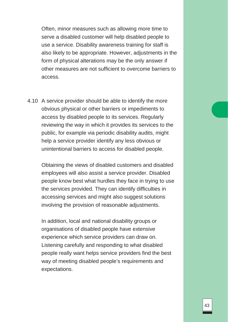Often, minor measures such as allowing more time to serve a disabled customer will help disabled people to use a service. Disability awareness training for staff is also likely to be appropriate. However, adjustments in the form of physical alterations may be the only answer if other measures are not sufficient to overcome barriers to access.

4.10 A service provider should be able to identify the more obvious physical or other barriers or impediments to access by disabled people to its services. Regularly reviewing the way in which it provides its services to the public, for example via periodic disability audits, might help a service provider identify any less obvious or unintentional barriers to access for disabled people.

Obtaining the views of disabled customers and disabled employees will also assist a service provider. Disabled people know best what hurdles they face in trying to use the services provided. They can identify difficulties in accessing services and might also suggest solutions involving the provision of reasonable adjustments.

In addition, local and national disability groups or organisations of disabled people have extensive experience which service providers can draw on. Listening carefully and responding to what disabled people really want helps service providers find the best way of meeting disabled people's requirements and expectations.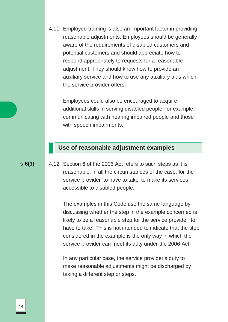4.11 Employee training is also an important factor in providing reasonable adjustments. Employees should be generally aware of the requirements of disabled customers and potential customers and should appreciate how to respond appropriately to requests for a reasonable adjustment. They should know how to provide an auxiliary service and how to use any auxiliary aids which the service provider offers.

Employees could also be encouraged to acquire additional skills in serving disabled people; for example, communicating with hearing impaired people and those with speech impairments.

#### **Use of reasonable adjustment examples**

#### **s 6(1)**

4.12 Section 6 of the 2006 Act refers to such steps as it is reasonable, in all the circumstances of the case, for the service provider 'to have to take' to make its services accessible to disabled people.

The examples in this Code use the same language by discussing whether the step in the example concerned is likely to be a reasonable step for the service provider 'to have to take'. This is not intended to indicate that the step considered in the example is the only way in which the service provider can meet its duty under the 2006 Act.

In any particular case, the service provider's duty to make reasonable adjustments might be discharged by taking a different step or steps.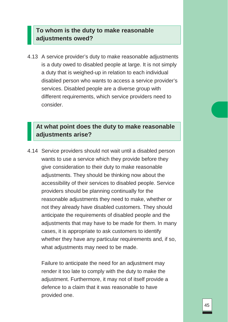## **To whom is the duty to make reasonable adjustments owed?**

4.13 A service provider's duty to make reasonable adjustments is a duty owed to disabled people at large. It is not simply a duty that is weighed-up in relation to each individual disabled person who wants to access a service provider's services. Disabled people are a diverse group with different requirements, which service providers need to consider.

## **At what point does the duty to make reasonable adjustments arise?**

4.14 Service providers should not wait until a disabled person wants to use a service which they provide before they give consideration to their duty to make reasonable adjustments. They should be thinking now about the accessibility of their services to disabled people. Service providers should be planning continually for the reasonable adjustments they need to make, whether or not they already have disabled customers. They should anticipate the requirements of disabled people and the adjustments that may have to be made for them. In many cases, it is appropriate to ask customers to identify whether they have any particular requirements and, if so, what adjustments may need to be made.

Failure to anticipate the need for an adjustment may render it too late to comply with the duty to make the adjustment. Furthermore, it may not of itself provide a defence to a claim that it was reasonable to have provided one.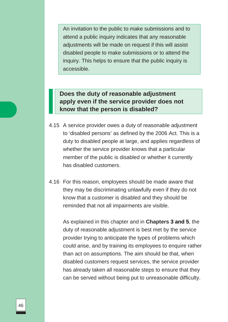An invitation to the public to make submissions and to attend a public inquiry indicates that any reasonable adjustments will be made on request if this will assist disabled people to make submissions or to attend the inquiry. This helps to ensure that the public inquiry is accessible.

## **Does the duty of reasonable adjustment apply even if the service provider does not know that the person is disabled?**

- 4.15 A service provider owes a duty of reasonable adjustment to 'disabled persons' as defined by the 2006 Act. This is a duty to disabled people at large, and applies regardless of whether the service provider knows that a particular member of the public is disabled or whether it currently has disabled customers.
- 4.16 For this reason, employees should be made aware that they may be discriminating unlawfully even if they do not know that a customer is disabled and they should be reminded that not all impairments are visible.

As explained in this chapter and in **Chapters 3 and 5**, the duty of reasonable adjustment is best met by the service provider trying to anticipate the types of problems which could arise, and by training its employees to enquire rather than act on assumptions. The aim should be that, when disabled customers request services, the service provider has already taken all reasonable steps to ensure that they can be served without being put to unreasonable difficulty.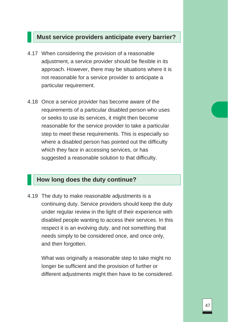#### **Must service providers anticipate every barrier?**

- 4.17 When considering the provision of a reasonable adjustment, a service provider should be flexible in its approach. However, there may be situations where it is not reasonable for a service provider to anticipate a particular requirement.
- 4.18 Once a service provider has become aware of the requirements of a particular disabled person who uses or seeks to use its services, it might then become reasonable for the service provider to take a particular step to meet these requirements. This is especially so where a disabled person has pointed out the difficulty which they face in accessing services, or has suggested a reasonable solution to that difficulty.

#### **How long does the duty continue?**

4.19 The duty to make reasonable adjustments is a continuing duty. Service providers should keep the duty under regular review in the light of their experience with disabled people wanting to access their services. In this respect it is an evolving duty, and not something that needs simply to be considered once, and once only, and then forgotten.

What was originally a reasonable step to take might no longer be sufficient and the provision of further or different adjustments might then have to be considered.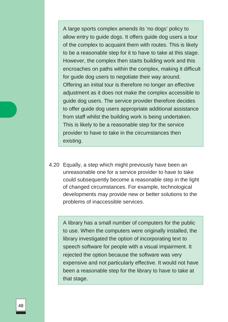A large sports complex amends its 'no dogs' policy to allow entry to guide dogs. It offers guide dog users a tour of the complex to acquaint them with routes. This is likely to be a reasonable step for it to have to take at this stage. However, the complex then starts building work and this encroaches on paths within the complex, making it difficult for guide dog users to negotiate their way around. Offering an initial tour is therefore no longer an effective adjustment as it does not make the complex accessible to guide dog users. The service provider therefore decides to offer guide dog users appropriate additional assistance from staff whilst the building work is being undertaken. This is likely to be a reasonable step for the service provider to have to take in the circumstances then existing.

4.20 Equally, a step which might previously have been an unreasonable one for a service provider to have to take could subsequently become a reasonable step in the light of changed circumstances. For example, technological developments may provide new or better solutions to the problems of inaccessible services.

A library has a small number of computers for the public to use. When the computers were originally installed, the library investigated the option of incorporating text to speech software for people with a visual impairment. It rejected the option because the software was very expensive and not particularly effective. It would not have been a reasonable step for the library to have to take at that stage.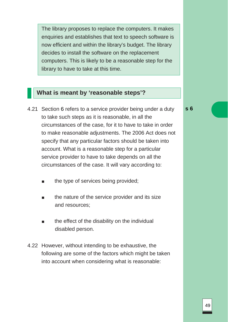The library proposes to replace the computers. It makes enquiries and establishes that text to speech software is now efficient and within the library's budget. The library decides to install the software on the replacement computers. This is likely to be a reasonable step for the library to have to take at this time.

## **What is meant by 'reasonable steps'?**

- 4.21 Section 6 refers to a service provider being under a duty to take such steps as it is reasonable, in all the circumstances of the case, for it to have to take in order to make reasonable adjustments. The 2006 Act does not specify that any particular factors should be taken into account. What is a reasonable step for a particular service provider to have to take depends on all the circumstances of the case. It will vary according to:
	- the type of services being provided;
	- the nature of the service provider and its size and resources;
	- the effect of the disability on the individual disabled person.
- 4.22 However, without intending to be exhaustive, the following are some of the factors which might be taken into account when considering what is reasonable:

**s 6**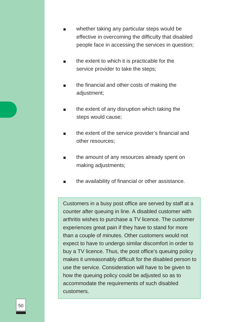- whether taking any particular steps would be effective in overcoming the difficulty that disabled people face in accessing the services in question;
- the extent to which it is practicable for the service provider to take the steps;
- the financial and other costs of making the adjustment;
- the extent of any disruption which taking the steps would cause;
- the extent of the service provider's financial and other resources;
- the amount of any resources already spent on making adjustments;
- the availability of financial or other assistance.

Customers in a busy post office are served by staff at a counter after queuing in line. A disabled customer with arthritis wishes to purchase a TV licence. The customer experiences great pain if they have to stand for more than a couple of minutes. Other customers would not expect to have to undergo similar discomfort in order to buy a TV licence. Thus, the post office's queuing policy makes it unreasonably difficult for the disabled person to use the service. Consideration will have to be given to how the queuing policy could be adjusted so as to accommodate the requirements of such disabled customers.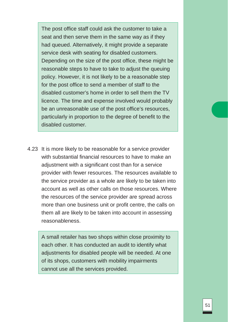The post office staff could ask the customer to take a seat and then serve them in the same way as if they had queued. Alternatively, it might provide a separate service desk with seating for disabled customers. Depending on the size of the post office, these might be reasonable steps to have to take to adjust the queuing policy. However, it is not likely to be a reasonable step for the post office to send a member of staff to the disabled customer's home in order to sell them the TV licence. The time and expense involved would probably be an unreasonable use of the post office's resources, particularly in proportion to the degree of benefit to the disabled customer.

4.23 It is more likely to be reasonable for a service provider with substantial financial resources to have to make an adjustment with a significant cost than for a service provider with fewer resources. The resources available to the service provider as a whole are likely to be taken into account as well as other calls on those resources. Where the resources of the service provider are spread across more than one business unit or profit centre, the calls on them all are likely to be taken into account in assessing reasonableness.

A small retailer has two shops within close proximity to each other. It has conducted an audit to identify what adjustments for disabled people will be needed. At one of its shops, customers with mobility impairments cannot use all the services provided.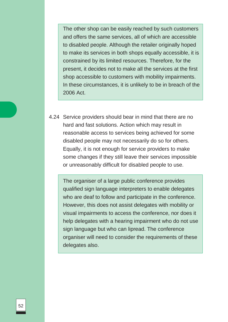The other shop can be easily reached by such customers and offers the same services, all of which are accessible to disabled people. Although the retailer originally hoped to make its services in both shops equally accessible, it is constrained by its limited resources. Therefore, for the present, it decides not to make all the services at the first shop accessible to customers with mobility impairments. In these circumstances, it is unlikely to be in breach of the 2006 Act.

4.24 Service providers should bear in mind that there are no hard and fast solutions. Action which may result in reasonable access to services being achieved for some disabled people may not necessarily do so for others. Equally, it is not enough for service providers to make some changes if they still leave their services impossible or unreasonably difficult for disabled people to use.

The organiser of a large public conference provides qualified sign language interpreters to enable delegates who are deaf to follow and participate in the conference. However, this does not assist delegates with mobility or visual impairments to access the conference, nor does it help delegates with a hearing impairment who do not use sign language but who can lipread. The conference organiser will need to consider the requirements of these delegates also.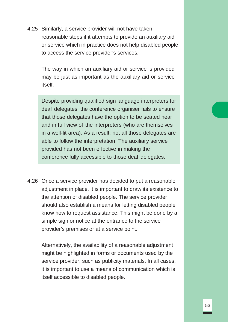4.25 Similarly, a service provider will not have taken reasonable steps if it attempts to provide an auxiliary aid or service which in practice does not help disabled people to access the service provider's services.

The way in which an auxiliary aid or service is provided may be just as important as the auxiliary aid or service itself.

Despite providing qualified sign language interpreters for deaf delegates, the conference organiser fails to ensure that those delegates have the option to be seated near and in full view of the interpreters (who are themselves in a well-lit area). As a result, not all those delegates are able to follow the interpretation. The auxiliary service provided has not been effective in making the conference fully accessible to those deaf delegates.

4.26 Once a service provider has decided to put a reasonable adjustment in place, it is important to draw its existence to the attention of disabled people. The service provider should also establish a means for letting disabled people know how to request assistance. This might be done by a simple sign or notice at the entrance to the service provider's premises or at a service point.

Alternatively, the availability of a reasonable adjustment might be highlighted in forms or documents used by the service provider, such as publicity materials. In all cases, it is important to use a means of communication which is itself accessible to disabled people.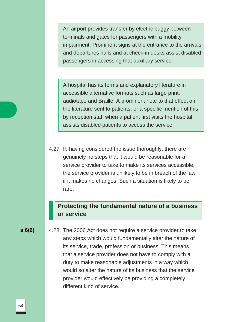An airport provides transfer by electric buggy between terminals and gates for passengers with a mobility impairment. Prominent signs at the entrance to the arrivals and departures halls and at check-in desks assist disabled passengers in accessing that auxiliary service.

A hospital has its forms and explanatory literature in accessible alternative formats such as large print, audiotape and Braille. A prominent note to that effect on the literature sent to patients, or a specific mention of this by reception staff when a patient first visits the hospital, assists disabled patients to access the service.

4.27 If, having considered the issue thoroughly, there are genuinely no steps that it would be reasonable for a service provider to take to make its services accessible, the service provider is unlikely to be in breach of the law if it makes no changes. Such a situation is likely to be rare.

### **Protecting the fundamental nature of a business or service**

**s 6(6)** 4.28 The 2006 Act does not require a service provider to take any steps which would fundamentally alter the nature of its service, trade, profession or business. This means that a service provider does not have to comply with a duty to make reasonable adjustments in a way which would so alter the nature of its business that the service provider would effectively be providing a completely different kind of service.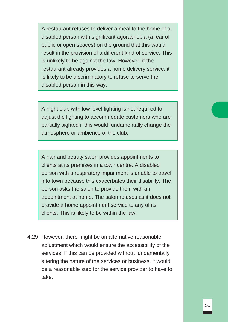A restaurant refuses to deliver a meal to the home of a disabled person with significant agoraphobia (a fear of public or open spaces) on the ground that this would result in the provision of a different kind of service. This is unlikely to be against the law. However, if the restaurant already provides a home delivery service, it is likely to be discriminatory to refuse to serve the disabled person in this way.

A night club with low level lighting is not required to adjust the lighting to accommodate customers who are partially sighted if this would fundamentally change the atmosphere or ambience of the club.

A hair and beauty salon provides appointments to clients at its premises in a town centre. A disabled person with a respiratory impairment is unable to travel into town because this exacerbates their disability. The person asks the salon to provide them with an appointment at home. The salon refuses as it does not provide a home appointment service to any of its clients. This is likely to be within the law.

4.29 However, there might be an alternative reasonable adjustment which would ensure the accessibility of the services. If this can be provided without fundamentally altering the nature of the services or business, it would be a reasonable step for the service provider to have to take.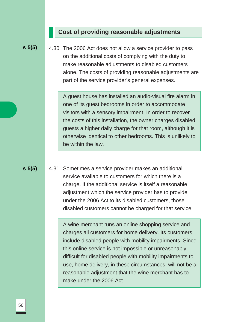### **Cost of providing reasonable adjustments**

**s 5(5)**

4.30 The 2006 Act does not allow a service provider to pass on the additional costs of complying with the duty to make reasonable adjustments to disabled customers alone. The costs of providing reasonable adjustments are part of the service provider's general expenses.

A guest house has installed an audio-visual fire alarm in one of its guest bedrooms in order to accommodate visitors with a sensory impairment. In order to recover the costs of this installation, the owner charges disabled guests a higher daily charge for that room, although it is otherwise identical to other bedrooms. This is unlikely to be within the law.

**s 5(5)**

4.31 Sometimes a service provider makes an additional service available to customers for which there is a charge. If the additional service is itself a reasonable adjustment which the service provider has to provide under the 2006 Act to its disabled customers, those disabled customers cannot be charged for that service.

> A wine merchant runs an online shopping service and charges all customers for home delivery. Its customers include disabled people with mobility impairments. Since this online service is not impossible or unreasonably difficult for disabled people with mobility impairments to use, home delivery, in these circumstances, will not be a reasonable adjustment that the wine merchant has to make under the 2006 Act.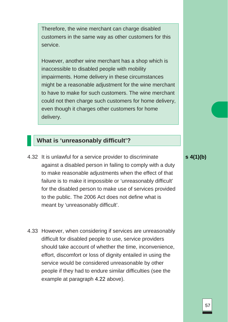Therefore, the wine merchant can charge disabled customers in the same way as other customers for this service.

However, another wine merchant has a shop which is inaccessible to disabled people with mobility impairments. Home delivery in these circumstances might be a reasonable adjustment for the wine merchant to have to make for such customers. The wine merchant could not then charge such customers for home delivery, even though it charges other customers for home delivery.

### **What is 'unreasonably difficult'?**

- 4.32 It is unlawful for a service provider to discriminate against a disabled person in failing to comply with a duty to make reasonable adjustments when the effect of that failure is to make it impossible or 'unreasonably difficult' for the disabled person to make use of services provided to the public. The 2006 Act does not define what is meant by 'unreasonably difficult'.
- 4.33 However, when considering if services are unreasonably difficult for disabled people to use, service providers should take account of whether the time, inconvenience, effort, discomfort or loss of dignity entailed in using the service would be considered unreasonable by other people if they had to endure similar difficulties (see the example at paragraph 4.22 above).

**s 4(1)(b)**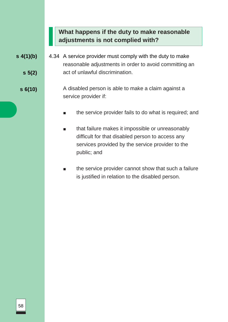# **What happens if the duty to make reasonable adjustments is not complied with?**

- **s 4(1)(b) s 5(2)** 4.34 A service provider must comply with the duty to make reasonable adjustments in order to avoid committing an act of unlawful discrimination.
	- **s 6(10)** A disabled person is able to make a claim against a service provider if:
		- the service provider fails to do what is required; and
		- that failure makes it impossible or unreasonably difficult for that disabled person to access any services provided by the service provider to the public; and
		- the service provider cannot show that such a failure is justified in relation to the disabled person.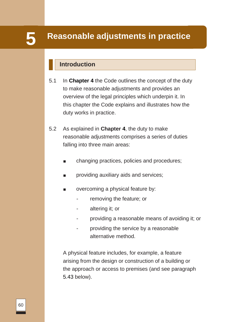# **Reasonable adjustments in practice 5**

# **Introduction**

- 5.1 In **Chapter 4** the Code outlines the concept of the duty to make reasonable adjustments and provides an overview of the legal principles which underpin it. In this chapter the Code explains and illustrates how the duty works in practice.
- 5.2 As explained in **Chapter 4**, the duty to make reasonable adjustments comprises a series of duties falling into three main areas:
	- changing practices, policies and procedures;
	- providing auxiliary aids and services;
	- overcoming a physical feature by:
		- removing the feature; or
		- altering it; or
		- providing a reasonable means of avoiding it; or
		- providing the service by a reasonable alternative method.

A physical feature includes, for example, a feature arising from the design or construction of a building or the approach or access to premises (and see paragraph 5.43 below).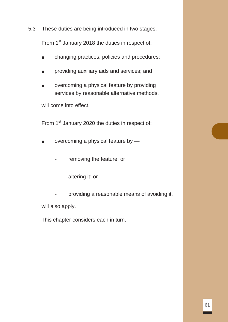5.3 These duties are being introduced in two stages.

From 1<sup>st</sup> January 2018 the duties in respect of:

- changing practices, policies and procedures;
- providing auxiliary aids and services; and
- overcoming a physical feature by providing services by reasonable alternative methods,

will come into effect.

From 1<sup>st</sup> January 2020 the duties in respect of:

- overcoming a physical feature by
	- removing the feature; or
	- altering it; or

- providing a reasonable means of avoiding it, will also apply.

This chapter considers each in turn.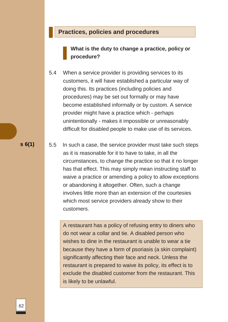### **Practices, policies and procedures**

**What is the duty to change a practice, policy or procedure?**

5.4 When a service provider is providing services to its customers, it will have established a particular way of doing this. Its practices (including policies and procedures) may be set out formally or may have become established informally or by custom. A service provider might have a practice which - perhaps unintentionally - makes it impossible or unreasonably difficult for disabled people to make use of its services.

5.5 In such a case, the service provider must take such steps as it is reasonable for it to have to take, in all the circumstances, to change the practice so that it no longer has that effect. This may simply mean instructing staff to waive a practice or amending a policy to allow exceptions or abandoning it altogether. Often, such a change involves little more than an extension of the courtesies which most service providers already show to their customers.

> A restaurant has a policy of refusing entry to diners who do not wear a collar and tie. A disabled person who wishes to dine in the restaurant is unable to wear a tie because they have a form of psoriasis (a skin complaint) significantly affecting their face and neck. Unless the restaurant is prepared to waive its policy, its effect is to exclude the disabled customer from the restaurant. This is likely to be unlawful.

**s 6(1)**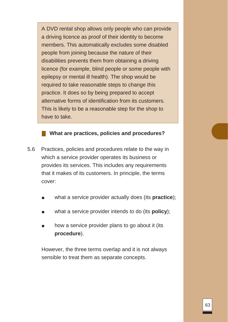A DVD rental shop allows only people who can provide a driving licence as proof of their identity to become members. This automatically excludes some disabled people from joining because the nature of their disabilities prevents them from obtaining a driving licence (for example, blind people or some people with epilepsy or mental ill health). The shop would be required to take reasonable steps to change this practice. It does so by being prepared to accept alternative forms of identification from its customers. This is likely to be a reasonable step for the shop to have to take.

**What are practices, policies and procedures?**

- 5.6 Practices, policies and procedures relate to the way in which a service provider operates its business or provides its services. This includes any requirements that it makes of its customers. In principle, the terms cover:
	- what a service provider actually does (its **practice**);
	- what a service provider intends to do (its **policy**);
	- how a service provider plans to go about it (its **procedure**).

However, the three terms overlap and it is not always sensible to treat them as separate concepts.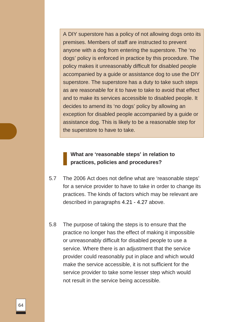A DIY superstore has a policy of not allowing dogs onto its premises. Members of staff are instructed to prevent anyone with a dog from entering the superstore. The 'no dogs' policy is enforced in practice by this procedure. The policy makes it unreasonably difficult for disabled people accompanied by a guide or assistance dog to use the DIY superstore. The superstore has a duty to take such steps as are reasonable for it to have to take to avoid that effect and to make its services accessible to disabled people. It decides to amend its 'no dogs' policy by allowing an exception for disabled people accompanied by a guide or assistance dog. This is likely to be a reasonable step for the superstore to have to take.

### **What are 'reasonable steps' in relation to practices, policies and procedures?**

- 5.7 The 2006 Act does not define what are 'reasonable steps' for a service provider to have to take in order to change its practices. The kinds of factors which may be relevant are described in paragraphs 4.21 - 4.27 above.
- 5.8 The purpose of taking the steps is to ensure that the practice no longer has the effect of making it impossible or unreasonably difficult for disabled people to use a service. Where there is an adjustment that the service provider could reasonably put in place and which would make the service accessible, it is not sufficient for the service provider to take some lesser step which would not result in the service being accessible.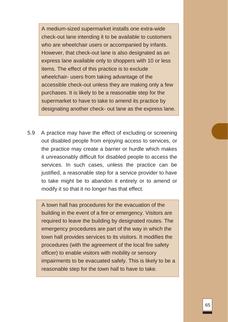A medium-sized supermarket installs one extra-wide check-out lane intending it to be available to customers who are wheelchair users or accompanied by infants. However, that check-out lane is also designated as an express lane available only to shoppers with 10 or less items. The effect of this practice is to exclude wheelchair- users from taking advantage of the accessible check-out unless they are making only a few purchases. It is likely to be a reasonable step for the supermarket to have to take to amend its practice by designating another check- out lane as the express lane.

5.9 A practice may have the effect of excluding or screening out disabled people from enjoying access to services, or the practice may create a barrier or hurdle which makes it unreasonably difficult for disabled people to access the services. In such cases, unless the practice can be justified, a reasonable step for a service provider to have to take might be to abandon it entirely or to amend or modify it so that it no longer has that effect.

A town hall has procedures for the evacuation of the building in the event of a fire or emergency. Visitors are required to leave the building by designated routes. The emergency procedures are part of the way in which the town hall provides services to its visitors. It modifies the procedures (with the agreement of the local fire safety officer) to enable visitors with mobility or sensory impairments to be evacuated safely. This is likely to be a reasonable step for the town hall to have to take.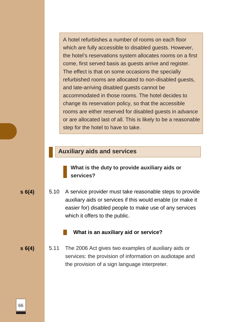A hotel refurbishes a number of rooms on each floor which are fully accessible to disabled guests. However, the hotel's reservations system allocates rooms on a first come, first served basis as guests arrive and register. The effect is that on some occasions the specially refurbished rooms are allocated to non-disabled guests, and late-arriving disabled guests cannot be accommodated in those rooms. The hotel decides to change its reservation policy, so that the accessible rooms are either reserved for disabled guests in advance or are allocated last of all. This is likely to be a reasonable step for the hotel to have to take.

### **Auxiliary aids and services**

**What is the duty to provide auxiliary aids or services?**

**s 6(4)** 5.10 A service provider must take reasonable steps to provide auxiliary aids or services if this would enable (or make it easier for) disabled people to make use of any services which it offers to the public.

#### **What is an auxiliary aid or service?**

**s 6(4)** 5.11 The 2006 Act gives two examples of auxiliary aids or services: the provision of information on audiotape and the provision of a sign language interpreter.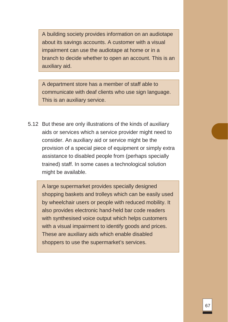A building society provides information on an audiotape about its savings accounts. A customer with a visual impairment can use the audiotape at home or in a branch to decide whether to open an account. This is an auxiliary aid.

A department store has a member of staff able to communicate with deaf clients who use sign language. This is an auxiliary service.

5.12 But these are only illustrations of the kinds of auxiliary aids or services which a service provider might need to consider. An auxiliary aid or service might be the provision of a special piece of equipment or simply extra assistance to disabled people from (perhaps specially trained) staff. In some cases a technological solution might be available.

A large supermarket provides specially designed shopping baskets and trolleys which can be easily used by wheelchair users or people with reduced mobility. It also provides electronic hand-held bar code readers with synthesised voice output which helps customers with a visual impairment to identify goods and prices. These are auxiliary aids which enable disabled shoppers to use the supermarket's services.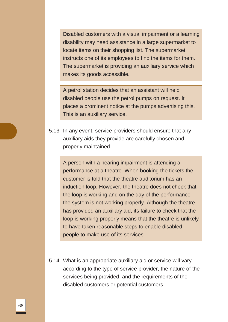Disabled customers with a visual impairment or a learning disability may need assistance in a large supermarket to locate items on their shopping list. The supermarket instructs one of its employees to find the items for them. The supermarket is providing an auxiliary service which makes its goods accessible.

A petrol station decides that an assistant will help disabled people use the petrol pumps on request. It places a prominent notice at the pumps advertising this. This is an auxiliary service.

5.13 In any event, service providers should ensure that any auxiliary aids they provide are carefully chosen and properly maintained.

A person with a hearing impairment is attending a performance at a theatre. When booking the tickets the customer is told that the theatre auditorium has an induction loop. However, the theatre does not check that the loop is working and on the day of the performance the system is not working properly. Although the theatre has provided an auxiliary aid, its failure to check that the loop is working properly means that the theatre is unlikely to have taken reasonable steps to enable disabled people to make use of its services.

5.14 What is an appropriate auxiliary aid or service will vary according to the type of service provider, the nature of the services being provided, and the requirements of the disabled customers or potential customers.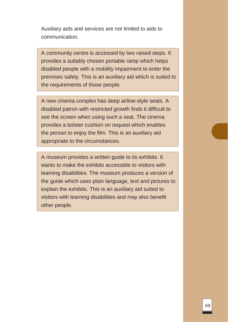Auxiliary aids and services are not limited to aids to communication.

A community centre is accessed by two raised steps. It provides a suitably chosen portable ramp which helps disabled people with a mobility impairment to enter the premises safely. This is an auxiliary aid which is suited to the requirements of those people.

A new cinema complex has deep airline-style seats. A disabled patron with restricted growth finds it difficult to see the screen when using such a seat. The cinema provides a bolster cushion on request which enables the person to enjoy the film. This is an auxiliary aid appropriate to the circumstances.

A museum provides a written guide to its exhibits. It wants to make the exhibits accessible to visitors with learning disabilities. The museum produces a version of the guide which uses plain language, text and pictures to explain the exhibits. This is an auxiliary aid suited to visitors with learning disabilities and may also benefit other people.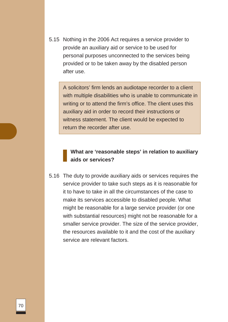5.15 Nothing in the 2006 Act requires a service provider to provide an auxiliary aid or service to be used for personal purposes unconnected to the services being provided or to be taken away by the disabled person after use.

A solicitors' firm lends an audiotape recorder to a client with multiple disabilities who is unable to communicate in writing or to attend the firm's office. The client uses this auxiliary aid in order to record their instructions or witness statement. The client would be expected to return the recorder after use.

### **What are 'reasonable steps' in relation to auxiliary aids or services?**

5.16 The duty to provide auxiliary aids or services requires the service provider to take such steps as it is reasonable for it to have to take in all the circumstances of the case to make its services accessible to disabled people. What might be reasonable for a large service provider (or one with substantial resources) might not be reasonable for a smaller service provider. The size of the service provider, the resources available to it and the cost of the auxiliary service are relevant factors.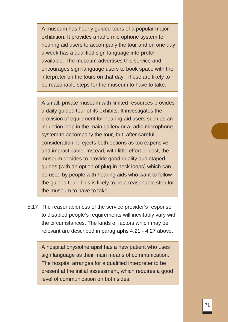A museum has hourly guided tours of a popular major exhibition. It provides a radio microphone system for hearing aid users to accompany the tour and on one day a week has a qualified sign language interpreter available. The museum advertises this service and encourages sign language users to book space with the interpreter on the tours on that day. These are likely to be reasonable steps for the museum to have to take.

A small, private museum with limited resources provides a daily guided tour of its exhibits. It investigates the provision of equipment for hearing aid users such as an induction loop in the main gallery or a radio microphone system to accompany the tour, but, after careful consideration, it rejects both options as too expensive and impracticable. Instead, with little effort or cost, the museum decides to provide good quality audiotaped guides (with an option of plug-in neck loops) which can be used by people with hearing aids who want to follow the guided tour. This is likely to be a reasonable step for the museum to have to take.

5.17 The reasonableness of the service provider's response to disabled people's requirements will inevitably vary with the circumstances. The kinds of factors which may be relevant are described in paragraphs 4.21 - 4.27 above.

A hospital physiotherapist has a new patient who uses sign language as their main means of communication. The hospital arranges for a qualified interpreter to be present at the initial assessment, which requires a good level of communication on both sides.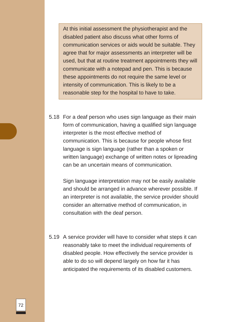At this initial assessment the physiotherapist and the disabled patient also discuss what other forms of communication services or aids would be suitable. They agree that for major assessments an interpreter will be used, but that at routine treatment appointments they will communicate with a notepad and pen. This is because these appointments do not require the same level or intensity of communication. This is likely to be a reasonable step for the hospital to have to take.

5.18 For a deaf person who uses sign language as their main form of communication, having a qualified sign language interpreter is the most effective method of communication. This is because for people whose first language is sign language (rather than a spoken or written language) exchange of written notes or lipreading can be an uncertain means of communication.

Sign language interpretation may not be easily available and should be arranged in advance wherever possible. If an interpreter is not available, the service provider should consider an alternative method of communication, in consultation with the deaf person.

5.19 A service provider will have to consider what steps it can reasonably take to meet the individual requirements of disabled people. How effectively the service provider is able to do so will depend largely on how far it has anticipated the requirements of its disabled customers.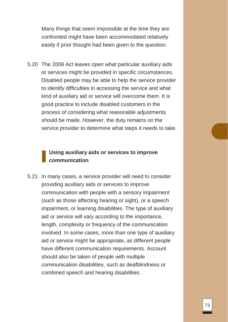Many things that seem impossible at the time they are confronted might have been accommodated relatively easily if prior thought had been given to the question.

5.20 The 2006 Act leaves open what particular auxiliary aids or services might be provided in specific circumstances. Disabled people may be able to help the service provider to identify difficulties in accessing the service and what kind of auxiliary aid or service will overcome them. It is good practice to include disabled customers in the process of considering what reasonable adjustments should be made. However, the duty remains on the service provider to determine what steps it needs to take.

# **Using auxiliary aids or services to improve communication**

5.21 In many cases, a service provider will need to consider providing auxiliary aids or services to improve communication with people with a sensory impairment (such as those affecting hearing or sight), or a speech impairment, or learning disabilities. The type of auxiliary aid or service will vary according to the importance, length, complexity or frequency of the communication involved. In some cases, more than one type of auxiliary aid or service might be appropriate, as different people have different communication requirements. Account should also be taken of people with multiple communication disabilities, such as deafblindness or combined speech and hearing disabilities.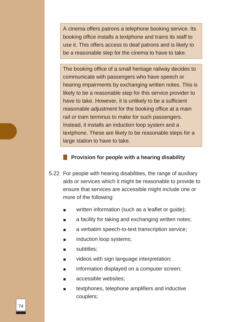A cinema offers patrons a telephone booking service. Its booking office installs a textphone and trains its staff to use it. This offers access to deaf patrons and is likely to be a reasonable step for the cinema to have to take.

The booking office of a small heritage railway decides to communicate with passengers who have speech or hearing impairments by exchanging written notes. This is likely to be a reasonable step for this service provider to have to take. However, it is unlikely to be a sufficient reasonable adjustment for the booking office at a main rail or tram terminus to make for such passengers. Instead, it installs an induction loop system and a textphone. These are likely to be reasonable steps for a large station to have to take.

#### **Provision for people with a hearing disability**

- 5.22 For people with hearing disabilities, the range of auxiliary aids or services which it might be reasonable to provide to ensure that services are accessible might include one or more of the following:
	- written information (such as a leaflet or guide);
	- a facility for taking and exchanging written notes;
	- a verbatim speech-to-text transcription service;
	- induction loop systems;
	- subtitles;
	- videos with sign language interpretation;
	- information displayed on a computer screen;
	- accessible websites;
	- textphones, telephone amplifiers and inductive couplers;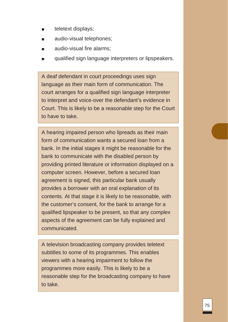- teletext displays;
- audio-visual telephones;
- audio-visual fire alarms;
- qualified sign language interpreters or lipspeakers.

A deaf defendant in court proceedings uses sign language as their main form of communication. The court arranges for a qualified sign language interpreter to interpret and voice-over the defendant's evidence in Court. This is likely to be a reasonable step for the Court to have to take.

A hearing impaired person who lipreads as their main form of communication wants a secured loan from a bank. In the initial stages it might be reasonable for the bank to communicate with the disabled person by providing printed literature or information displayed on a computer screen. However, before a secured loan agreement is signed, this particular bank usually provides a borrower with an oral explanation of its contents. At that stage it is likely to be reasonable, with the customer's consent, for the bank to arrange for a qualified lipspeaker to be present, so that any complex aspects of the agreement can be fully explained and communicated.

A television broadcasting company provides teletext subtitles to some of its programmes. This enables viewers with a hearing impairment to follow the programmes more easily. This is likely to be a reasonable step for the broadcasting company to have to take.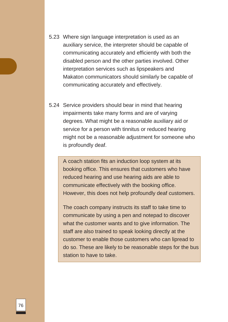- 5.23 Where sign language interpretation is used as an auxiliary service, the interpreter should be capable of communicating accurately and efficiently with both the disabled person and the other parties involved. Other interpretation services such as lipspeakers and Makaton communicators should similarly be capable of communicating accurately and effectively.
- 5.24 Service providers should bear in mind that hearing impairments take many forms and are of varying degrees. What might be a reasonable auxiliary aid or service for a person with tinnitus or reduced hearing might not be a reasonable adjustment for someone who is profoundly deaf.

A coach station fits an induction loop system at its booking office. This ensures that customers who have reduced hearing and use hearing aids are able to communicate effectively with the booking office. However, this does not help profoundly deaf customers.

The coach company instructs its staff to take time to communicate by using a pen and notepad to discover what the customer wants and to give information. The staff are also trained to speak looking directly at the customer to enable those customers who can lipread to do so. These are likely to be reasonable steps for the bus station to have to take.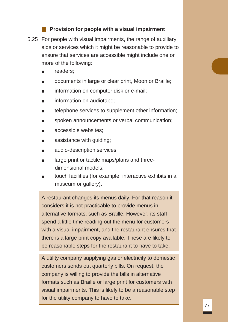#### **Provision for people with a visual impairment**

- 5.25 For people with visual impairments, the range of auxiliary aids or services which it might be reasonable to provide to ensure that services are accessible might include one or more of the following:
	- readers;
	- documents in large or clear print, Moon or Braille;
	- information on computer disk or e-mail;
	- information on audiotape;
	- telephone services to supplement other information;
	- spoken announcements or verbal communication;
	- accessible websites:
	- assistance with guiding;
	- audio-description services;
	- large print or tactile maps/plans and threedimensional models;
	- touch facilities (for example, interactive exhibits in a museum or gallery).

A restaurant changes its menus daily. For that reason it considers it is not practicable to provide menus in alternative formats, such as Braille. However, its staff spend a little time reading out the menu for customers with a visual impairment, and the restaurant ensures that there is a large print copy available. These are likely to be reasonable steps for the restaurant to have to take.

A utility company supplying gas or electricity to domestic customers sends out quarterly bills. On request, the company is willing to provide the bills in alternative formats such as Braille or large print for customers with visual impairments. This is likely to be a reasonable step for the utility company to have to take.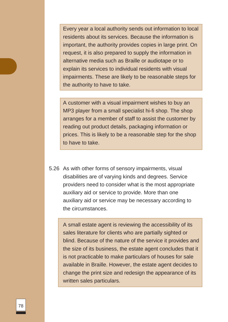Every year a local authority sends out information to local residents about its services. Because the information is important, the authority provides copies in large print. On request, it is also prepared to supply the information in alternative media such as Braille or audiotape or to explain its services to individual residents with visual impairments. These are likely to be reasonable steps for the authority to have to take.

A customer with a visual impairment wishes to buy an MP3 player from a small specialist hi-fi shop. The shop arranges for a member of staff to assist the customer by reading out product details, packaging information or prices. This is likely to be a reasonable step for the shop to have to take.

5.26 As with other forms of sensory impairments, visual disabilities are of varying kinds and degrees. Service providers need to consider what is the most appropriate auxiliary aid or service to provide. More than one auxiliary aid or service may be necessary according to the circumstances.

A small estate agent is reviewing the accessibility of its sales literature for clients who are partially sighted or blind. Because of the nature of the service it provides and the size of its business, the estate agent concludes that it is not practicable to make particulars of houses for sale available in Braille. However, the estate agent decides to change the print size and redesign the appearance of its written sales particulars.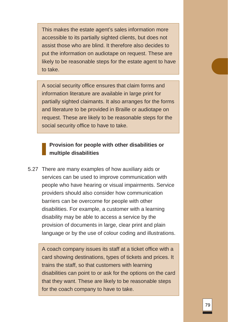This makes the estate agent's sales information more accessible to its partially sighted clients, but does not assist those who are blind. It therefore also decides to put the information on audiotape on request. These are likely to be reasonable steps for the estate agent to have to take.

A social security office ensures that claim forms and information literature are available in large print for partially sighted claimants. It also arranges for the forms and literature to be provided in Braille or audiotape on request. These are likely to be reasonable steps for the social security office to have to take.

### **Provision for people with other disabilities or multiple disabilities**

5.27 There are many examples of how auxiliary aids or services can be used to improve communication with people who have hearing or visual impairments. Service providers should also consider how communication barriers can be overcome for people with other disabilities. For example, a customer with a learning disability may be able to access a service by the provision of documents in large, clear print and plain language or by the use of colour coding and illustrations.

A coach company issues its staff at a ticket office with a card showing destinations, types of tickets and prices. It trains the staff, so that customers with learning disabilities can point to or ask for the options on the card that they want. These are likely to be reasonable steps for the coach company to have to take.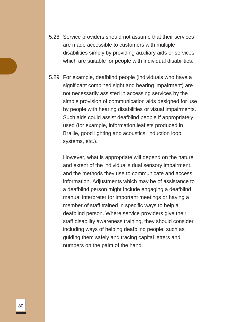- 5.28 Service providers should not assume that their services are made accessible to customers with multiple disabilities simply by providing auxiliary aids or services which are suitable for people with individual disabilities.
- 5.29 For example, deafblind people (individuals who have a significant combined sight and hearing impairment) are not necessarily assisted in accessing services by the simple provision of communication aids designed for use by people with hearing disabilities or visual impairments. Such aids could assist deafblind people if appropriately used (for example, information leaflets produced in Braille, good lighting and acoustics, induction loop systems, etc.).

However, what is appropriate will depend on the nature and extent of the individual's dual sensory impairment, and the methods they use to communicate and access information. Adjustments which may be of assistance to a deafblind person might include engaging a deafblind manual interpreter for important meetings or having a member of staff trained in specific ways to help a deafblind person. Where service providers give their staff disability awareness training, they should consider including ways of helping deafblind people, such as guiding them safely and tracing capital letters and numbers on the palm of the hand.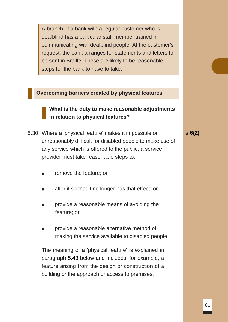A branch of a bank with a regular customer who is deafblind has a particular staff member trained in communicating with deafblind people. At the customer's request, the bank arranges for statements and letters to be sent in Braille. These are likely to be reasonable steps for the bank to have to take.

#### **Overcoming barriers created by physical features**

### **What is the duty to make reasonable adjustments in relation to physical features?**

5.30 Where a 'physical feature' makes it impossible or unreasonably difficult for disabled people to make use of any service which is offered to the public, a service provider must take reasonable steps to:

**s 6(2)**

- remove the feature; or
- alter it so that it no longer has that effect; or
- provide a reasonable means of avoiding the feature; or
- provide a reasonable alternative method of making the service available to disabled people.

The meaning of a 'physical feature' is explained in paragraph 5.43 below and includes, for example, a feature arising from the design or construction of a building or the approach or access to premises.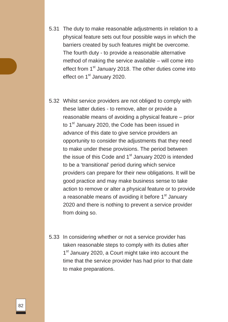- 5.31 The duty to make reasonable adjustments in relation to a physical feature sets out four possible ways in which the barriers created by such features might be overcome. The fourth duty - to provide a reasonable alternative method of making the service available – will come into effect from 1<sup>st</sup> January 2018. The other duties come into effect on 1<sup>st</sup> January 2020.
- 5.32 Whilst service providers are not obliged to comply with these latter duties - to remove, alter or provide a reasonable means of avoiding a physical feature – prior to 1<sup>st</sup> January 2020, the Code has been issued in advance of this date to give service providers an opportunity to consider the adjustments that they need to make under these provisions. The period between the issue of this Code and  $1<sup>st</sup>$  January 2020 is intended to be a 'transitional' period during which service providers can prepare for their new obligations. It will be good practice and may make business sense to take action to remove or alter a physical feature or to provide a reasonable means of avoiding it before  $1<sup>st</sup>$  January 2020 and there is nothing to prevent a service provider from doing so.
- 5.33 In considering whether or not a service provider has taken reasonable steps to comply with its duties after 1<sup>st</sup> January 2020, a Court might take into account the time that the service provider has had prior to that date to make preparations.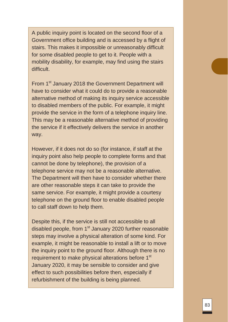A public inquiry point is located on the second floor of a Government office building and is accessed by a flight of stairs. This makes it impossible or unreasonably difficult for some disabled people to get to it. People with a mobility disability, for example, may find using the stairs difficult.

From 1<sup>st</sup> January 2018 the Government Department will have to consider what it could do to provide a reasonable alternative method of making its inquiry service accessible to disabled members of the public. For example, it might provide the service in the form of a telephone inquiry line. This may be a reasonable alternative method of providing the service if it effectively delivers the service in another way.

However, if it does not do so (for instance, if staff at the inquiry point also help people to complete forms and that cannot be done by telephone), the provision of a telephone service may not be a reasonable alternative. The Department will then have to consider whether there are other reasonable steps it can take to provide the same service. For example, it might provide a courtesy telephone on the ground floor to enable disabled people to call staff down to help them.

Despite this, if the service is still not accessible to all disabled people, from 1<sup>st</sup> January 2020 further reasonable steps may involve a physical alteration of some kind. For example, it might be reasonable to install a lift or to move the inquiry point to the ground floor. Although there is no requirement to make physical alterations before 1<sup>st</sup> January 2020, it may be sensible to consider and give effect to such possibilities before then, especially if refurbishment of the building is being planned.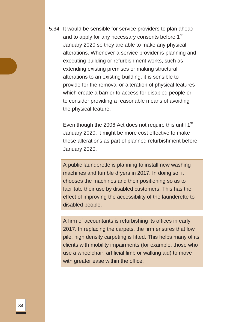5.34 It would be sensible for service providers to plan ahead and to apply for any necessary consents before 1<sup>st</sup> January 2020 so they are able to make any physical alterations. Whenever a service provider is planning and executing building or refurbishment works, such as extending existing premises or making structural alterations to an existing building, it is sensible to provide for the removal or alteration of physical features which create a barrier to access for disabled people or to consider providing a reasonable means of avoiding the physical feature.

Even though the 2006 Act does not require this until 1<sup>st</sup> January 2020, it might be more cost effective to make these alterations as part of planned refurbishment before January 2020.

A public launderette is planning to install new washing machines and tumble dryers in 2017. In doing so, it chooses the machines and their positioning so as to facilitate their use by disabled customers. This has the effect of improving the accessibility of the launderette to disabled people.

A firm of accountants is refurbishing its offices in early 2017. In replacing the carpets, the firm ensures that low pile, high density carpeting is fitted. This helps many of its clients with mobility impairments (for example, those who use a wheelchair, artificial limb or walking aid) to move with greater ease within the office.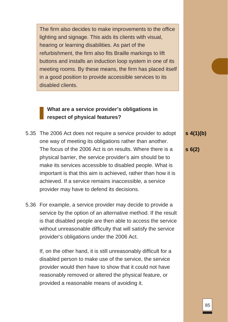The firm also decides to make improvements to the office lighting and signage. This aids its clients with visual, hearing or learning disabilities. As part of the refurbishment, the firm also fits Braille markings to lift buttons and installs an induction loop system in one of its meeting rooms. By these means, the firm has placed itself in a good position to provide accessible services to its disabled clients.

# **What are a service provider's obligations in respect of physical features?**

- 5.35 The 2006 Act does not require a service provider to adopt one way of meeting its obligations rather than another. The focus of the 2006 Act is on results. Where there is a physical barrier, the service provider's aim should be to make its services accessible to disabled people. What is important is that this aim is achieved, rather than how it is achieved. If a service remains inaccessible, a service provider may have to defend its decisions.
- 5.36 For example, a service provider may decide to provide a service by the option of an alternative method. If the result is that disabled people are then able to access the service without unreasonable difficulty that will satisfy the service provider's obligations under the 2006 Act.

If, on the other hand, it is still unreasonably difficult for a disabled person to make use of the service, the service provider would then have to show that it could not have reasonably removed or altered the physical feature, or provided a reasonable means of avoiding it.

**s 4(1)(b)**

**s 6(2)**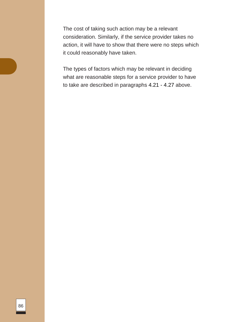The cost of taking such action may be a relevant consideration. Similarly, if the service provider takes no action, it will have to show that there were no steps which it could reasonably have taken.

The types of factors which may be relevant in deciding what are reasonable steps for a service provider to have to take are described in paragraphs 4.21 - 4.27 above.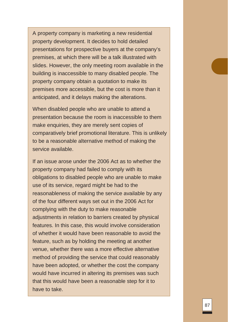A property company is marketing a new residential property development. It decides to hold detailed presentations for prospective buyers at the company's premises, at which there will be a talk illustrated with slides. However, the only meeting room available in the building is inaccessible to many disabled people. The property company obtain a quotation to make its premises more accessible, but the cost is more than it anticipated, and it delays making the alterations.

When disabled people who are unable to attend a presentation because the room is inaccessible to them make enquiries, they are merely sent copies of comparatively brief promotional literature. This is unlikely to be a reasonable alternative method of making the service available.

If an issue arose under the 2006 Act as to whether the property company had failed to comply with its obligations to disabled people who are unable to make use of its service, regard might be had to the reasonableness of making the service available by any of the four different ways set out in the 2006 Act for complying with the duty to make reasonable adjustments in relation to barriers created by physical features. In this case, this would involve consideration of whether it would have been reasonable to avoid the feature, such as by holding the meeting at another venue, whether there was a more effective alternative method of providing the service that could reasonably have been adopted, or whether the cost the company would have incurred in altering its premises was such that this would have been a reasonable step for it to have to take.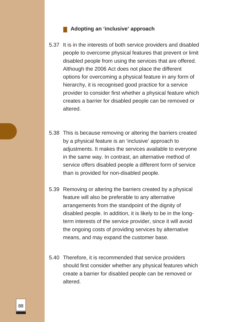#### **Adopting an 'inclusive' approach**

- 5.37 It is in the interests of both service providers and disabled people to overcome physical features that prevent or limit disabled people from using the services that are offered. Although the 2006 Act does not place the different options for overcoming a physical feature in any form of hierarchy, it is recognised good practice for a service provider to consider first whether a physical feature which creates a barrier for disabled people can be removed or altered.
- 5.38 This is because removing or altering the barriers created by a physical feature is an 'inclusive' approach to adjustments. It makes the services available to everyone in the same way. In contrast, an alternative method of service offers disabled people a different form of service than is provided for non-disabled people.
- 5.39 Removing or altering the barriers created by a physical feature will also be preferable to any alternative arrangements from the standpoint of the dignity of disabled people. In addition, it is likely to be in the longterm interests of the service provider, since it will avoid the ongoing costs of providing services by alternative means, and may expand the customer base.
- 5.40 Therefore, it is recommended that service providers should first consider whether any physical features which create a barrier for disabled people can be removed or altered.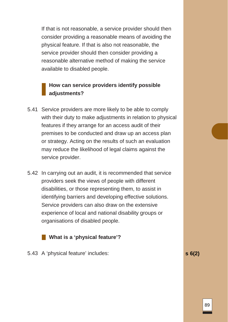If that is not reasonable, a service provider should then consider providing a reasonable means of avoiding the physical feature. If that is also not reasonable, the service provider should then consider providing a reasonable alternative method of making the service available to disabled people.

# **How can service providers identify possible adjustments?**

- 5.41 Service providers are more likely to be able to comply with their duty to make adjustments in relation to physical features if they arrange for an access audit of their premises to be conducted and draw up an access plan or strategy. Acting on the results of such an evaluation may reduce the likelihood of legal claims against the service provider.
- 5.42 In carrying out an audit, it is recommended that service providers seek the views of people with different disabilities, or those representing them, to assist in identifying barriers and developing effective solutions. Service providers can also draw on the extensive experience of local and national disability groups or organisations of disabled people.



5.43 A 'physical feature' includes: **s 6(2)**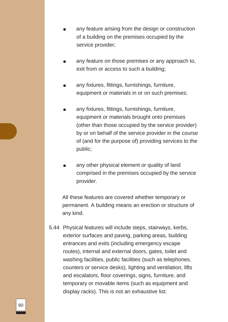- any feature arising from the design or construction of a building on the premises occupied by the service provider;
- any feature on those premises or any approach to, exit from or access to such a building;
- any fixtures, fittings, furnishings, furniture, equipment or materials in or on such premises;
- any fixtures, fittings, furnishings, furniture, equipment or materials brought onto premises (other than those occupied by the service provider) by or on behalf of the service provider in the course of (and for the purpose of) providing services to the public;
- any other physical element or quality of land comprised in the premises occupied by the service provider.

All these features are covered whether temporary or permanent. A building means an erection or structure of any kind.

5.44 Physical features will include steps, stairways, kerbs, exterior surfaces and paving, parking areas, building entrances and exits (including emergency escape routes), internal and external doors, gates, toilet and washing facilities, public facilities (such as telephones, counters or service desks), lighting and ventilation, lifts and escalators, floor coverings, signs, furniture, and temporary or movable items (such as equipment and display racks). This is not an exhaustive list.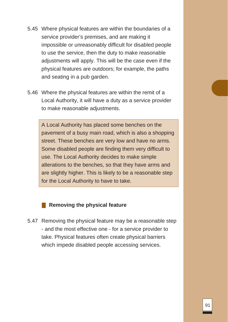- 5.45 Where physical features are within the boundaries of a service provider's premises, and are making it impossible or unreasonably difficult for disabled people to use the service, then the duty to make reasonable adjustments will apply. This will be the case even if the physical features are outdoors; for example, the paths and seating in a pub garden.
- 5.46 Where the physical features are within the remit of a Local Authority, it will have a duty as a service provider to make reasonable adjustments.

A Local Authority has placed some benches on the pavement of a busy main road, which is also a shopping street. These benches are very low and have no arms. Some disabled people are finding them very difficult to use. The Local Authority decides to make simple alterations to the benches, so that they have arms and are slightly higher. This is likely to be a reasonable step for the Local Authority to have to take.

#### **Removing the physical feature**

5.47 Removing the physical feature may be a reasonable step - and the most effective one - for a service provider to take. Physical features often create physical barriers which impede disabled people accessing services.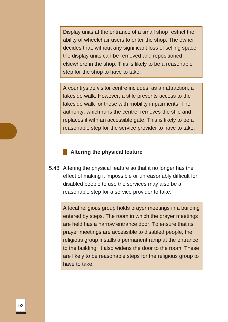Display units at the entrance of a small shop restrict the ability of wheelchair users to enter the shop. The owner decides that, without any significant loss of selling space, the display units can be removed and repositioned elsewhere in the shop. This is likely to be a reasonable step for the shop to have to take.

A countryside visitor centre includes, as an attraction, a lakeside walk. However, a stile prevents access to the lakeside walk for those with mobility impairments. The authority, which runs the centre, removes the stile and replaces it with an accessible gate. This is likely to be a reasonable step for the service provider to have to take.

#### **Altering the physical feature**

5.48 Altering the physical feature so that it no longer has the effect of making it impossible or unreasonably difficult for disabled people to use the services may also be a reasonable step for a service provider to take.

A local religious group holds prayer meetings in a building entered by steps. The room in which the prayer meetings are held has a narrow entrance door. To ensure that its prayer meetings are accessible to disabled people, the religious group installs a permanent ramp at the entrance to the building. It also widens the door to the room. These are likely to be reasonable steps for the religious group to have to take.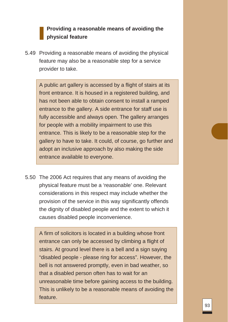# **Providing a reasonable means of avoiding the physical feature**

5.49 Providing a reasonable means of avoiding the physical feature may also be a reasonable step for a service provider to take.

A public art gallery is accessed by a flight of stairs at its front entrance. It is housed in a registered building, and has not been able to obtain consent to install a ramped entrance to the gallery. A side entrance for staff use is fully accessible and always open. The gallery arranges for people with a mobility impairment to use this entrance. This is likely to be a reasonable step for the gallery to have to take. It could, of course, go further and adopt an inclusive approach by also making the side entrance available to everyone.

5.50 The 2006 Act requires that any means of avoiding the physical feature must be a 'reasonable' one. Relevant considerations in this respect may include whether the provision of the service in this way significantly offends the dignity of disabled people and the extent to which it causes disabled people inconvenience.

A firm of solicitors is located in a building whose front entrance can only be accessed by climbing a flight of stairs. At ground level there is a bell and a sign saying "disabled people - please ring for access". However, the bell is not answered promptly, even in bad weather, so that a disabled person often has to wait for an unreasonable time before gaining access to the building. This is unlikely to be a reasonable means of avoiding the feature.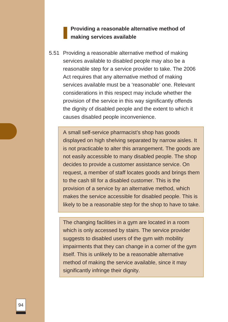### **Providing a reasonable alternative method of making services available**

5.51 Providing a reasonable alternative method of making services available to disabled people may also be a reasonable step for a service provider to take. The 2006 Act requires that any alternative method of making services available must be a 'reasonable' one. Relevant considerations in this respect may include whether the provision of the service in this way significantly offends the dignity of disabled people and the extent to which it causes disabled people inconvenience.

A small self-service pharmacist's shop has goods displayed on high shelving separated by narrow aisles. It is not practicable to alter this arrangement. The goods are not easily accessible to many disabled people. The shop decides to provide a customer assistance service. On request, a member of staff locates goods and brings them to the cash till for a disabled customer. This is the provision of a service by an alternative method, which makes the service accessible for disabled people. This is likely to be a reasonable step for the shop to have to take.

The changing facilities in a gym are located in a room which is only accessed by stairs. The service provider suggests to disabled users of the gym with mobility impairments that they can change in a corner of the gym itself. This is unlikely to be a reasonable alternative method of making the service available, since it may significantly infringe their dignity.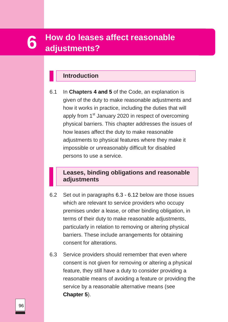# **leases and the reasonable adjustments? How do leases affect reasonable 6 adjustments?**

# **Introduction**

6.1 In **Chapters 4 and 5** of the Code, an explanation is given of the duty to make reasonable adjustments and how it works in practice, including the duties that will apply from 1<sup>st</sup> January 2020 in respect of overcoming physical barriers. This chapter addresses the issues of how leases affect the duty to make reasonable adjustments to physical features where they make it impossible or unreasonably difficult for disabled persons to use a service.

# **Leases, binding obligations and reasonable adjustments**

- 6.2 Set out in paragraphs 6.3 6.12 below are those issues which are relevant to service providers who occupy premises under a lease, or other binding obligation, in terms of their duty to make reasonable adjustments, particularly in relation to removing or altering physical barriers. These include arrangements for obtaining consent for alterations.
- 6.3 Service providers should remember that even where consent is not given for removing or altering a physical feature, they still have a duty to consider providing a reasonable means of avoiding a feature or providing the service by a reasonable alternative means (see **Chapter 5**).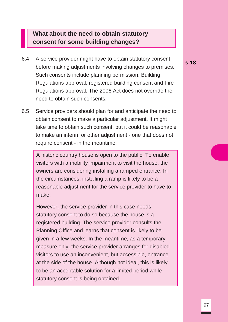# **What about the need to obtain statutory consent for some building changes?**

- 6.4 A service provider might have to obtain statutory consent before making adjustments involving changes to premises. Such consents include planning permission, Building Regulations approval, registered building consent and Fire Regulations approval. The 2006 Act does not override the need to obtain such consents.
- 6.5 Service providers should plan for and anticipate the need to obtain consent to make a particular adjustment. It might take time to obtain such consent, but it could be reasonable to make an interim or other adjustment - one that does not require consent - in the meantime.

A historic country house is open to the public. To enable visitors with a mobility impairment to visit the house, the owners are considering installing a ramped entrance. In the circumstances, installing a ramp is likely to be a reasonable adjustment for the service provider to have to make.

However, the service provider in this case needs statutory consent to do so because the house is a registered building. The service provider consults the Planning Office and learns that consent is likely to be given in a few weeks. In the meantime, as a temporary measure only, the service provider arranges for disabled visitors to use an inconvenient, but accessible, entrance at the side of the house. Although not ideal, this is likely to be an acceptable solution for a limited period while statutory consent is being obtained.

**s 18**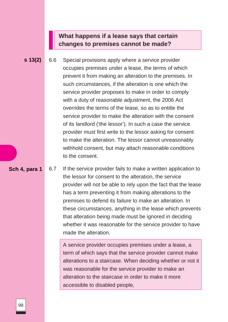# **What happens if a lease says that certain changes to premises cannot be made?**

**s 13(2)** 6.6 Special provisions apply where a service provider occupies premises under a lease, the terms of which prevent it from making an alteration to the premises. In such circumstances, if the alteration is one which the service provider proposes to make in order to comply with a duty of reasonable adjustment, the 2006 Act overrides the terms of the lease, so as to entitle the service provider to make the alteration with the consent of its landlord ('the lessor'). In such a case the service provider must first write to the lessor asking for consent to make the alteration. The lessor cannot unreasonably withhold consent, but may attach reasonable conditions to the consent.

#### **Sch 4, para 1**

6.7 If the service provider fails to make a written application to the lessor for consent to the alteration, the service provider will not be able to rely upon the fact that the lease has a term preventing it from making alterations to the premises to defend its failure to make an alteration. In these circumstances, anything in the lease which prevents that alteration being made must be ignored in deciding whether it was reasonable for the service provider to have made the alteration.

A service provider occupies premises under a lease, a term of which says that the service provider cannot make alterations to a staircase. When deciding whether or not it was reasonable for the service provider to make an alteration to the staircase in order to make it more accessible to disabled people,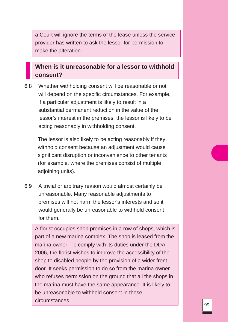a Court will ignore the terms of the lease unless the service provider has written to ask the lessor for permission to make the alteration.

# **When is it unreasonable for a lessor to withhold consent?**

6.8 Whether withholding consent will be reasonable or not will depend on the specific circumstances. For example, if a particular adjustment is likely to result in a substantial permanent reduction in the value of the lessor's interest in the premises, the lessor is likely to be acting reasonably in withholding consent.

The lessor is also likely to be acting reasonably if they withhold consent because an adjustment would cause significant disruption or inconvenience to other tenants (for example, where the premises consist of multiple adjoining units).

6.9 A trivial or arbitrary reason would almost certainly be unreasonable. Many reasonable adjustments to premises will not harm the lessor's interests and so it would generally be unreasonable to withhold consent for them.

A florist occupies shop premises in a row of shops, which is part of a new marina complex. The shop is leased from the marina owner. To comply with its duties under the DDA 2006, the florist wishes to improve the accessibility of the shop to disabled people by the provision of a wider front door. It seeks permission to do so from the marina owner who refuses permission on the ground that all the shops in the marina must have the same appearance. It is likely to be unreasonable to withhold consent in these circumstances.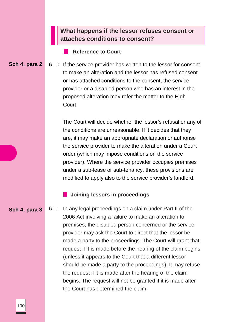# **What happens if the lessor refuses consent or attaches conditions to consent?**

#### **Reference to Court**

**Sch 4, para 2** 6.10 If the service provider has written to the lessor for consent to make an alteration and the lessor has refused consent or has attached conditions to the consent, the service provider or a disabled person who has an interest in the proposed alteration may refer the matter to the High Court.

> The Court will decide whether the lessor's refusal or any of the conditions are unreasonable. If it decides that they are, it may make an appropriate declaration or authorise the service provider to make the alteration under a Court order (which may impose conditions on the service provider). Where the service provider occupies premises under a sub-lease or sub-tenancy, these provisions are modified to apply also to the service provider's landlord.

#### **Joining lessors in proceedings**

**Sch 4, para 3**

6.11 In any legal proceedings on a claim under Part II of the 2006 Act involving a failure to make an alteration to premises, the disabled person concerned or the service provider may ask the Court to direct that the lessor be made a party to the proceedings. The Court will grant that request if it is made before the hearing of the claim begins (unless it appears to the Court that a different lessor should be made a party to the proceedings). It may refuse the request if it is made after the hearing of the claim begins. The request will not be granted if it is made after the Court has determined the claim.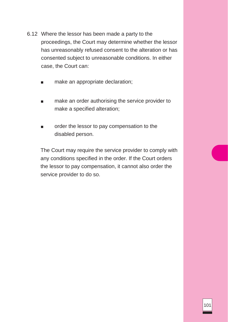- 6.12 Where the lessor has been made a party to the proceedings, the Court may determine whether the lessor has unreasonably refused consent to the alteration or has consented subject to unreasonable conditions. In either case, the Court can:
	- make an appropriate declaration;
	- make an order authorising the service provider to make a specified alteration;
	- order the lessor to pay compensation to the disabled person.

The Court may require the service provider to comply with any conditions specified in the order. If the Court orders the lessor to pay compensation, it cannot also order the service provider to do so.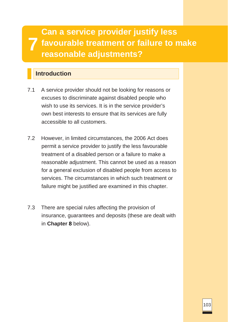**7 Can a service provider justify less favourable treatment or failure to make reasonable adjustments?**

# **Introduction**

- 7.1 A service provider should not be looking for reasons or excuses to discriminate against disabled people who wish to use its services. It is in the service provider's own best interests to ensure that its services are fully accessible to all customers.
- 7.2 However, in limited circumstances, the 2006 Act does permit a service provider to justify the less favourable treatment of a disabled person or a failure to make a reasonable adjustment. This cannot be used as a reason for a general exclusion of disabled people from access to services. The circumstances in which such treatment or failure might be justified are examined in this chapter.
- 7.3 There are special rules affecting the provision of insurance, guarantees and deposits (these are dealt with in **Chapter 8** below).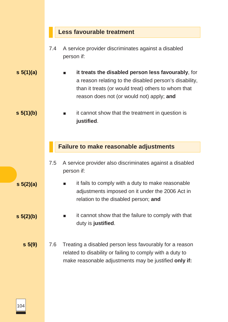### **Less favourable treatment**

- 7.4 A service provider discriminates against a disabled person if:
- **s 5(1)(a)** ■ **it treats the disabled person less favourably**, for a reason relating to the disabled person's disability, than it treats (or would treat) others to whom that reason does not (or would not) apply; **and**
	- it cannot show that the treatment in question is **justified**.

#### **Failure to make reasonable adjustments**

- 7.5 A service provider also discriminates against a disabled person if:
	- it fails to comply with a duty to make reasonable adjustments imposed on it under the 2006 Act in relation to the disabled person; **and**
		- it cannot show that the failure to comply with that duty is **justified**.
- **s 5(9)** 7.6 Treating a disabled person less favourably for a reason related to disability or failing to comply with a duty to make reasonable adjustments may be justified **only if:**

**s 5(1)(b)**

**s 5(2)(a)**

**s 5(2)(b)**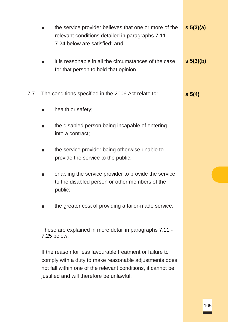|     | $\blacksquare$                                                                                                                                                                                                                   | the service provider believes that one or more of the<br>relevant conditions detailed in paragraphs 7.11 -<br>7.24 below are satisfied; and | $s \, 5(3)(a)$ |  |
|-----|----------------------------------------------------------------------------------------------------------------------------------------------------------------------------------------------------------------------------------|---------------------------------------------------------------------------------------------------------------------------------------------|----------------|--|
|     |                                                                                                                                                                                                                                  | it is reasonable in all the circumstances of the case<br>for that person to hold that opinion.                                              | $s \, 5(3)(b)$ |  |
| 7.7 | The conditions specified in the 2006 Act relate to:                                                                                                                                                                              |                                                                                                                                             | $s \; 5(4)$    |  |
|     |                                                                                                                                                                                                                                  | health or safety;                                                                                                                           |                |  |
|     | ш                                                                                                                                                                                                                                | the disabled person being incapable of entering<br>into a contract;                                                                         |                |  |
|     |                                                                                                                                                                                                                                  | the service provider being otherwise unable to<br>provide the service to the public;                                                        |                |  |
|     |                                                                                                                                                                                                                                  | enabling the service provider to provide the service<br>to the disabled person or other members of the<br>public;                           |                |  |
|     |                                                                                                                                                                                                                                  | the greater cost of providing a tailor-made service.                                                                                        |                |  |
|     | These are explained in more detail in paragraphs 7.11 -<br>7.25 below.                                                                                                                                                           |                                                                                                                                             |                |  |
|     | If the reason for less favourable treatment or failure to<br>comply with a duty to make reasonable adjustments does<br>not fall within one of the relevant conditions, it cannot be<br>justified and will therefore be unlawful. |                                                                                                                                             |                |  |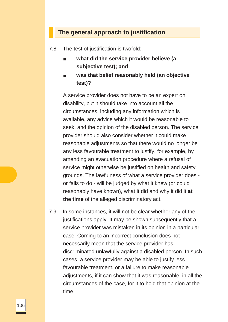### **The general approach to justification**

7.8 The test of justification is twofold:

- **what did the service provider believe (a subjective test); and**
- **was that belief reasonably held (an objective test)?**

A service provider does not have to be an expert on disability, but it should take into account all the circumstances, including any information which is available, any advice which it would be reasonable to seek, and the opinion of the disabled person. The service provider should also consider whether it could make reasonable adjustments so that there would no longer be any less favourable treatment to justify, for example, by amending an evacuation procedure where a refusal of service might otherwise be justified on health and safety grounds. The lawfulness of what a service provider does or fails to do - will be judged by what it knew (or could reasonably have known), what it did and why it did it **at the time** of the alleged discriminatory act.

7.9 In some instances, it will not be clear whether any of the justifications apply. It may be shown subsequently that a service provider was mistaken in its opinion in a particular case. Coming to an incorrect conclusion does not necessarily mean that the service provider has discriminated unlawfully against a disabled person. In such cases, a service provider may be able to justify less favourable treatment, or a failure to make reasonable adjustments, if it can show that it was reasonable, in all the circumstances of the case, for it to hold that opinion at the time.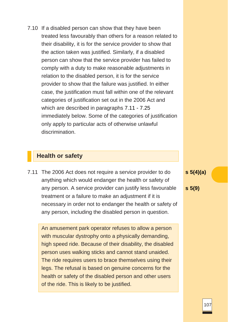7.10 If a disabled person can show that they have been treated less favourably than others for a reason related to their disability, it is for the service provider to show that the action taken was justified. Similarly, if a disabled person can show that the service provider has failed to comply with a duty to make reasonable adjustments in relation to the disabled person, it is for the service provider to show that the failure was justified. In either case, the justification must fall within one of the relevant categories of justification set out in the 2006 Act and which are described in paragraphs 7.11 - 7.25 immediately below. Some of the categories of justification only apply to particular acts of otherwise unlawful discrimination.

### **Health or safety**

7.11 The 2006 Act does not require a service provider to do anything which would endanger the health or safety of any person. A service provider can justify less favourable treatment or a failure to make an adjustment if it is necessary in order not to endanger the health or safety of any person, including the disabled person in question.

An amusement park operator refuses to allow a person with muscular dystrophy onto a physically demanding, high speed ride. Because of their disability, the disabled person uses walking sticks and cannot stand unaided. The ride requires users to brace themselves using their legs. The refusal is based on genuine concerns for the health or safety of the disabled person and other users of the ride. This is likely to be justified.

**s 5(4)(a)**

**s 5(9)**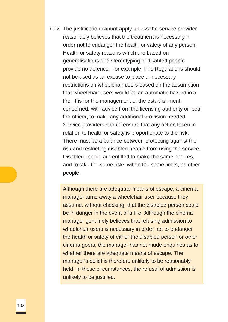7.12 The justification cannot apply unless the service provider reasonably believes that the treatment is necessary in order not to endanger the health or safety of any person. Health or safety reasons which are based on generalisations and stereotyping of disabled people provide no defence. For example, Fire Regulations should not be used as an excuse to place unnecessary restrictions on wheelchair users based on the assumption that wheelchair users would be an automatic hazard in a fire. It is for the management of the establishment concerned, with advice from the licensing authority or local fire officer, to make any additional provision needed. Service providers should ensure that any action taken in relation to health or safety is proportionate to the risk. There must be a balance between protecting against the risk and restricting disabled people from using the service. Disabled people are entitled to make the same choices, and to take the same risks within the same limits, as other people.

Although there are adequate means of escape, a cinema manager turns away a wheelchair user because they assume, without checking, that the disabled person could be in danger in the event of a fire. Although the cinema manager genuinely believes that refusing admission to wheelchair users is necessary in order not to endanger the health or safety of either the disabled person or other cinema goers, the manager has not made enquiries as to whether there are adequate means of escape. The manager's belief is therefore unlikely to be reasonably held. In these circumstances, the refusal of admission is unlikely to be justified.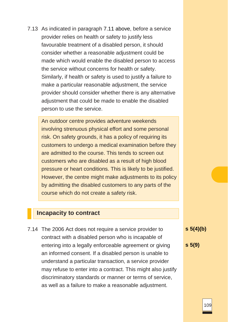7.13 As indicated in paragraph 7.11 above, before a service provider relies on health or safety to justify less favourable treatment of a disabled person, it should consider whether a reasonable adjustment could be made which would enable the disabled person to access the service without concerns for health or safety. Similarly, if health or safety is used to justify a failure to make a particular reasonable adjustment, the service provider should consider whether there is any alternative adjustment that could be made to enable the disabled person to use the service.

An outdoor centre provides adventure weekends involving strenuous physical effort and some personal risk. On safety grounds, it has a policy of requiring its customers to undergo a medical examination before they are admitted to the course. This tends to screen out customers who are disabled as a result of high blood pressure or heart conditions. This is likely to be justified. However, the centre might make adjustments to its policy by admitting the disabled customers to any parts of the course which do not create a safety risk.

#### **Incapacity to contract**

7.14 The 2006 Act does not require a service provider to contract with a disabled person who is incapable of entering into a legally enforceable agreement or giving an informed consent. If a disabled person is unable to understand a particular transaction, a service provider may refuse to enter into a contract. This might also justify discriminatory standards or manner or terms of service, as well as a failure to make a reasonable adjustment.

**s 5(4)(b)**

**s 5(9)**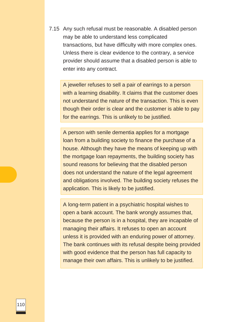7.15 Any such refusal must be reasonable. A disabled person may be able to understand less complicated transactions, but have difficulty with more complex ones. Unless there is clear evidence to the contrary, a service provider should assume that a disabled person is able to enter into any contract.

A jeweller refuses to sell a pair of earrings to a person with a learning disability. It claims that the customer does not understand the nature of the transaction. This is even though their order is clear and the customer is able to pay for the earrings. This is unlikely to be justified.

A person with senile dementia applies for a mortgage loan from a building society to finance the purchase of a house. Although they have the means of keeping up with the mortgage loan repayments, the building society has sound reasons for believing that the disabled person does not understand the nature of the legal agreement and obligations involved. The building society refuses the application. This is likely to be justified.

A long-term patient in a psychiatric hospital wishes to open a bank account. The bank wrongly assumes that, because the person is in a hospital, they are incapable of managing their affairs. It refuses to open an account unless it is provided with an enduring power of attorney. The bank continues with its refusal despite being provided with good evidence that the person has full capacity to manage their own affairs. This is unlikely to be justified.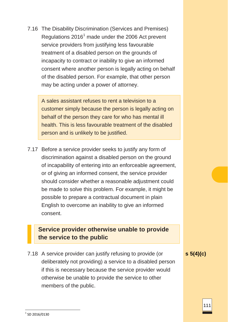7.16 The Disability Discrimination (Services and Premises) Regulations  $2016<sup>1</sup>$  $2016<sup>1</sup>$  $2016<sup>1</sup>$  made under the 2006 Act prevent service providers from justifying less favourable treatment of a disabled person on the grounds of incapacity to contract or inability to give an informed consent where another person is legally acting on behalf of the disabled person. For example, that other person may be acting under a power of attorney.

A sales assistant refuses to rent a television to a customer simply because the person is legally acting on behalf of the person they care for who has mental ill health. This is less favourable treatment of the disabled person and is unlikely to be justified.

7.17 Before a service provider seeks to justify any form of discrimination against a disabled person on the ground of incapability of entering into an enforceable agreement, or of giving an informed consent, the service provider should consider whether a reasonable adjustment could be made to solve this problem. For example, it might be possible to prepare a contractual document in plain English to overcome an inability to give an informed consent.

# **Service provider otherwise unable to provide the service to the public**

7.18 A service provider can justify refusing to provide (or deliberately not providing) a service to a disabled person if this is necessary because the service provider would otherwise be unable to provide the service to other members of the public.

**s 5(4)(c)**

 $1$  SD 2016/0130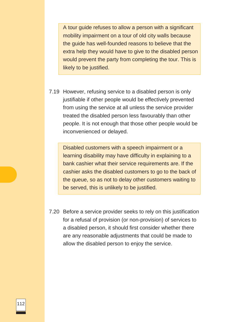A tour guide refuses to allow a person with a significant mobility impairment on a tour of old city walls because the guide has well-founded reasons to believe that the extra help they would have to give to the disabled person would prevent the party from completing the tour. This is likely to be justified.

7.19 However, refusing service to a disabled person is only justifiable if other people would be effectively prevented from using the service at all unless the service provider treated the disabled person less favourably than other people. It is not enough that those other people would be inconvenienced or delayed.

Disabled customers with a speech impairment or a learning disability may have difficulty in explaining to a bank cashier what their service requirements are. If the cashier asks the disabled customers to go to the back of the queue, so as not to delay other customers waiting to be served, this is unlikely to be justified.

7.20 Before a service provider seeks to rely on this justification for a refusal of provision (or non-provision) of services to a disabled person, it should first consider whether there are any reasonable adjustments that could be made to allow the disabled person to enjoy the service.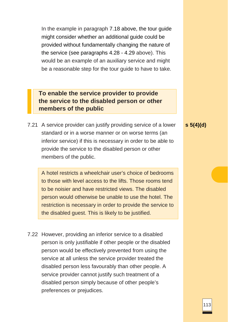In the example in paragraph 7.18 above, the tour guide might consider whether an additional guide could be provided without fundamentally changing the nature of the service (see paragraphs 4.28 - 4.29 above). This would be an example of an auxiliary service and might be a reasonable step for the tour guide to have to take.

**To enable the service provider to provide the service to the disabled person or other members of the public**

7.21 A service provider can justify providing service of a lower standard or in a worse manner or on worse terms (an inferior service) if this is necessary in order to be able to provide the service to the disabled person or other members of the public.

A hotel restricts a wheelchair user's choice of bedrooms to those with level access to the lifts. Those rooms tend to be noisier and have restricted views. The disabled person would otherwise be unable to use the hotel. The restriction is necessary in order to provide the service to the disabled guest. This is likely to be justified.

7.22 However, providing an inferior service to a disabled person is only justifiable if other people or the disabled person would be effectively prevented from using the service at all unless the service provider treated the disabled person less favourably than other people. A service provider cannot justify such treatment of a disabled person simply because of other people's preferences or prejudices.

**s 5(4)(d)**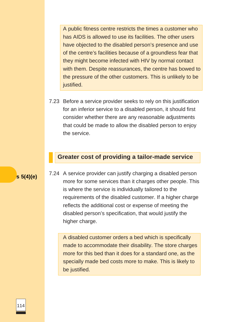A public fitness centre restricts the times a customer who has AIDS is allowed to use its facilities. The other users have objected to the disabled person's presence and use of the centre's facilities because of a groundless fear that they might become infected with HIV by normal contact with them. Despite reassurances, the centre has bowed to the pressure of the other customers. This is unlikely to be justified.

7.23 Before a service provider seeks to rely on this justification for an inferior service to a disabled person, it should first consider whether there are any reasonable adjustments that could be made to allow the disabled person to enjoy the service.

#### **Greater cost of providing a tailor-made service**

**<sup>s</sup> 5(4)(e)** 7.24 A service provider can justify charging a disabled person more for some services than it charges other people. This is where the service is individually tailored to the requirements of the disabled customer. If a higher charge reflects the additional cost or expense of meeting the disabled person's specification, that would justify the higher charge.

> A disabled customer orders a bed which is specifically made to accommodate their disability. The store charges more for this bed than it does for a standard one, as the specially made bed costs more to make. This is likely to be justified.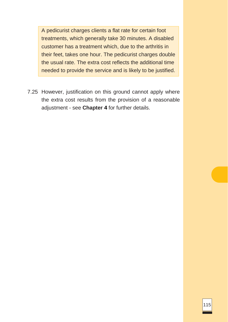A pedicurist charges clients a flat rate for certain foot treatments, which generally take 30 minutes. A disabled customer has a treatment which, due to the arthritis in their feet, takes one hour. The pedicurist charges double the usual rate. The extra cost reflects the additional time needed to provide the service and is likely to be justified.

7.25 However, justification on this ground cannot apply where the extra cost results from the provision of a reasonable adjustment - see **Chapter 4** for further details.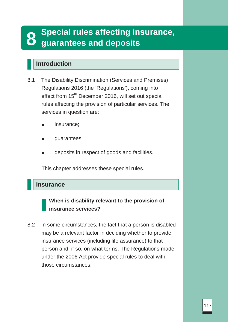# **8 Special rules affecting insurance, guarantees and deposits**

# **Introduction**

- 8.1 The Disability Discrimination (Services and Premises) Regulations 2016 (the 'Regulations'), coming into effect from 15<sup>th</sup> December 2016, will set out special rules affecting the provision of particular services. The services in question are:
	- insurance;
	- guarantees;
	- deposits in respect of goods and facilities.

This chapter addresses these special rules.

#### **Insurance**

# **When is disability relevant to the provision of insurance services?**

8.2 In some circumstances, the fact that a person is disabled may be a relevant factor in deciding whether to provide insurance services (including life assurance) to that person and, if so, on what terms. The Regulations made under the 2006 Act provide special rules to deal with those circumstances.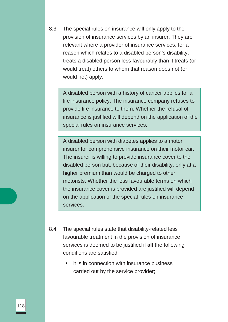8.3 The special rules on insurance will only apply to the provision of insurance services by an insurer. They are relevant where a provider of insurance services, for a reason which relates to a disabled person's disability, treats a disabled person less favourably than it treats (or would treat) others to whom that reason does not (or would not) apply.

A disabled person with a history of cancer applies for a life insurance policy. The insurance company refuses to provide life insurance to them. Whether the refusal of insurance is justified will depend on the application of the special rules on insurance services.

A disabled person with diabetes applies to a motor insurer for comprehensive insurance on their motor car. The insurer is willing to provide insurance cover to the disabled person but, because of their disability, only at a higher premium than would be charged to other motorists. Whether the less favourable terms on which the insurance cover is provided are justified will depend on the application of the special rules on insurance services.

- 8.4 The special rules state that disability-related less favourable treatment in the provision of insurance services is deemed to be justified if **all** the following conditions are satisfied:
	- it is in connection with insurance business carried out by the service provider;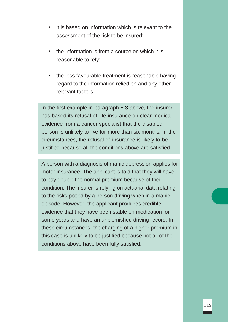- it is based on information which is relevant to the assessment of the risk to be insured;
- the information is from a source on which it is reasonable to rely;
- the less favourable treatment is reasonable having regard to the information relied on and any other relevant factors.

In the first example in paragraph 8.3 above, the insurer has based its refusal of life insurance on clear medical evidence from a cancer specialist that the disabled person is unlikely to live for more than six months. In the circumstances, the refusal of insurance is likely to be justified because all the conditions above are satisfied.

A person with a diagnosis of manic depression applies for motor insurance. The applicant is told that they will have to pay double the normal premium because of their condition. The insurer is relying on actuarial data relating to the risks posed by a person driving when in a manic episode. However, the applicant produces credible evidence that they have been stable on medication for some years and have an unblemished driving record. In these circumstances, the charging of a higher premium in this case is unlikely to be justified because not all of the conditions above have been fully satisfied.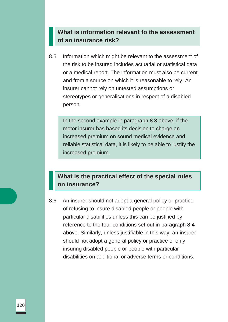# **What is information relevant to the assessment of an insurance risk?**

8.5 Information which might be relevant to the assessment of the risk to be insured includes actuarial or statistical data or a medical report. The information must also be current and from a source on which it is reasonable to rely. An insurer cannot rely on untested assumptions or stereotypes or generalisations in respect of a disabled person.

In the second example in paragraph 8.3 above, if the motor insurer has based its decision to charge an increased premium on sound medical evidence and reliable statistical data, it is likely to be able to justify the increased premium.

# **What is the practical effect of the special rules on insurance?**

8.6 An insurer should not adopt a general policy or practice of refusing to insure disabled people or people with particular disabilities unless this can be justified by reference to the four conditions set out in paragraph 8.4 above. Similarly, unless justifiable in this way, an insurer should not adopt a general policy or practice of only insuring disabled people or people with particular disabilities on additional or adverse terms or conditions.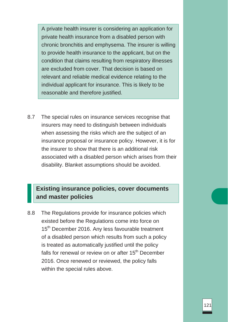A private health insurer is considering an application for private health insurance from a disabled person with chronic bronchitis and emphysema. The insurer is willing to provide health insurance to the applicant, but on the condition that claims resulting from respiratory illnesses are excluded from cover. That decision is based on relevant and reliable medical evidence relating to the individual applicant for insurance. This is likely to be reasonable and therefore justified.

8.7 The special rules on insurance services recognise that insurers may need to distinguish between individuals when assessing the risks which are the subject of an insurance proposal or insurance policy. However, it is for the insurer to show that there is an additional risk associated with a disabled person which arises from their disability. Blanket assumptions should be avoided.

# **Existing insurance policies, cover documents and master policies**

8.8 The Regulations provide for insurance policies which existed before the Regulations come into force on 15<sup>th</sup> December 2016. Any less favourable treatment of a disabled person which results from such a policy is treated as automatically justified until the policy falls for renewal or review on or after 15<sup>th</sup> December 2016. Once renewed or reviewed, the policy falls within the special rules above.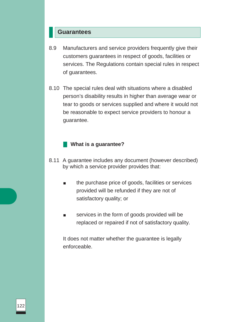#### **Guarantees**

- 8.9 Manufacturers and service providers frequently give their customers guarantees in respect of goods, facilities or services. The Regulations contain special rules in respect of guarantees.
- 8.10 The special rules deal with situations where a disabled person's disability results in higher than average wear or tear to goods or services supplied and where it would not be reasonable to expect service providers to honour a guarantee.

#### **What is a guarantee?**

- 8.11 A guarantee includes any document (however described) by which a service provider provides that:
	- the purchase price of goods, facilities or services provided will be refunded if they are not of satisfactory quality; or
	- services in the form of goods provided will be replaced or repaired if not of satisfactory quality.

It does not matter whether the guarantee is legally enforceable.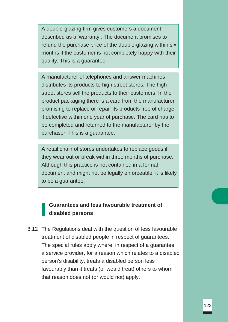A double-glazing firm gives customers a document described as a 'warranty'. The document promises to refund the purchase price of the double-glazing within six months if the customer is not completely happy with their quality. This is a guarantee.

A manufacturer of telephones and answer machines distributes its products to high street stores. The high street stores sell the products to their customers. In the product packaging there is a card from the manufacturer promising to replace or repair its products free of charge if defective within one year of purchase. The card has to be completed and returned to the manufacturer by the purchaser. This is a guarantee.

A retail chain of stores undertakes to replace goods if they wear out or break within three months of purchase. Although this practice is not contained in a formal document and might not be legally enforceable, it is likely to be a guarantee.

# **Guarantees and less favourable treatment of disabled persons**

8.12 The Regulations deal with the question of less favourable treatment of disabled people in respect of guarantees. The special rules apply where, in respect of a guarantee, a service provider, for a reason which relates to a disabled person's disability, treats a disabled person less favourably than it treats (or would treat) others to whom that reason does not (or would not) apply.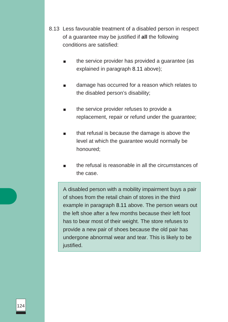- 8.13 Less favourable treatment of a disabled person in respect of a guarantee may be justified if **all** the following conditions are satisfied:
	- the service provider has provided a guarantee (as explained in paragraph 8.11 above);
	- damage has occurred for a reason which relates to the disabled person's disability;
	- the service provider refuses to provide a replacement, repair or refund under the guarantee;
	- that refusal is because the damage is above the level at which the guarantee would normally be honoured;
	- the refusal is reasonable in all the circumstances of the case.

A disabled person with a mobility impairment buys a pair of shoes from the retail chain of stores in the third example in paragraph 8.11 above. The person wears out the left shoe after a few months because their left foot has to bear most of their weight. The store refuses to provide a new pair of shoes because the old pair has undergone abnormal wear and tear. This is likely to be justified.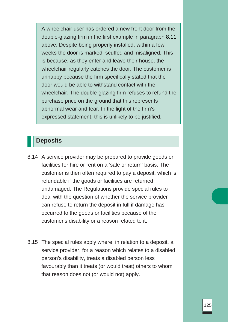A wheelchair user has ordered a new front door from the double-glazing firm in the first example in paragraph 8.11 above. Despite being properly installed, within a few weeks the door is marked, scuffed and misaligned. This is because, as they enter and leave their house, the wheelchair regularly catches the door. The customer is unhappy because the firm specifically stated that the door would be able to withstand contact with the wheelchair. The double-glazing firm refuses to refund the purchase price on the ground that this represents abnormal wear and tear. In the light of the firm's expressed statement, this is unlikely to be justified.

# **Deposits**

- 8.14 A service provider may be prepared to provide goods or facilities for hire or rent on a 'sale or return' basis. The customer is then often required to pay a deposit, which is refundable if the goods or facilities are returned undamaged. The Regulations provide special rules to deal with the question of whether the service provider can refuse to return the deposit in full if damage has occurred to the goods or facilities because of the customer's disability or a reason related to it.
- 8.15 The special rules apply where, in relation to a deposit, a service provider, for a reason which relates to a disabled person's disability, treats a disabled person less favourably than it treats (or would treat) others to whom that reason does not (or would not) apply.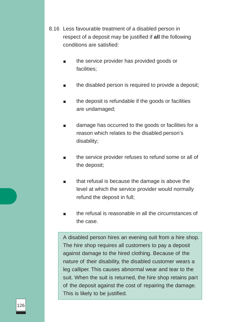- 8.16 Less favourable treatment of a disabled person in respect of a deposit may be justified if **all** the following conditions are satisfied:
	- the service provider has provided goods or facilities;
	- the disabled person is required to provide a deposit;
	- the deposit is refundable if the goods or facilities are undamaged;
	- damage has occurred to the goods or facilities for a reason which relates to the disabled person's disability;
	- the service provider refuses to refund some or all of the deposit;
	- that refusal is because the damage is above the level at which the service provider would normally refund the deposit in full;
	- the refusal is reasonable in all the circumstances of the case.

A disabled person hires an evening suit from a hire shop. The hire shop requires all customers to pay a deposit against damage to the hired clothing. Because of the nature of their disability, the disabled customer wears a leg calliper. This causes abnormal wear and tear to the suit. When the suit is returned, the hire shop retains part of the deposit against the cost of repairing the damage. This is likely to be justified.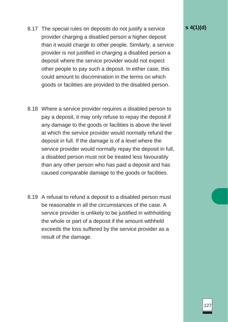- 8.17 The special rules on deposits do not justify a service provider charging a disabled person a higher deposit than it would charge to other people. Similarly, a service provider is not justified in charging a disabled person a deposit where the service provider would not expect other people to pay such a deposit. In either case, this could amount to discrimination in the terms on which goods or facilities are provided to the disabled person.
- 8.18 Where a service provider requires a disabled person to pay a deposit, it may only refuse to repay the deposit if any damage to the goods or facilities is above the level at which the service provider would normally refund the deposit in full. If the damage is of a level where the service provider would normally repay the deposit in full, a disabled person must not be treated less favourably than any other person who has paid a deposit and has caused comparable damage to the goods or facilities.
- 8.19 A refusal to refund a deposit to a disabled person must be reasonable in all the circumstances of the case. A service provider is unlikely to be justified in withholding the whole or part of a deposit if the amount withheld exceeds the loss suffered by the service provider as a result of the damage.

**s 4(1)(d)**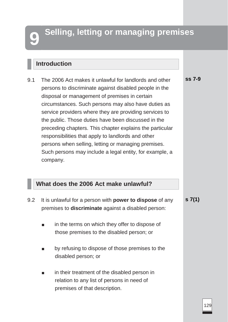# **Selling, letting or managing premises**

# **Introduction**

9.1 The 2006 Act makes it unlawful for landlords and other persons to discriminate against disabled people in the disposal or management of premises in certain circumstances. Such persons may also have duties as service providers where they are providing services to the public. Those duties have been discussed in the preceding chapters. This chapter explains the particular responsibilities that apply to landlords and other persons when selling, letting or managing premises. Such persons may include a legal entity, for example, a company. **ss 7-9**

# **What does the 2006 Act make unlawful?**

premises of that description.

9.2 It is unlawful for a person with **power to dispose** of any premises to **discriminate** against a disabled person: in the terms on which they offer to dispose of those premises to the disabled person; or ■ by refusing to dispose of those premises to the disabled person; or in their treatment of the disabled person in relation to any list of persons in need of **s 7(1)**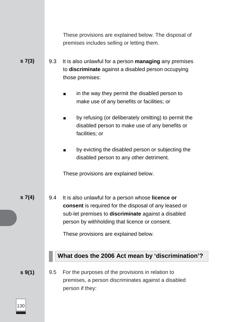|             |     | These provisions are explained below. The disposal of<br>premises includes selling or letting them.                                                                                                                                                                 |
|-------------|-----|---------------------------------------------------------------------------------------------------------------------------------------------------------------------------------------------------------------------------------------------------------------------|
| 57(3)       | 9.3 | It is also unlawful for a person <b>managing</b> any premises<br>to discriminate against a disabled person occupying<br>those premises:                                                                                                                             |
|             |     | in the way they permit the disabled person to<br>make use of any benefits or facilities; or                                                                                                                                                                         |
|             |     | by refusing (or deliberately omitting) to permit the<br>■<br>disabled person to make use of any benefits or<br>facilities; or                                                                                                                                       |
|             |     | by evicting the disabled person or subjecting the<br>п<br>disabled person to any other detriment.                                                                                                                                                                   |
|             |     | These provisions are explained below.                                                                                                                                                                                                                               |
| $s \, 7(4)$ | 9.4 | It is also unlawful for a person whose <b>licence or</b><br>consent is required for the disposal of any leased or<br>sub-let premises to discriminate against a disabled<br>person by withholding that licence or consent.<br>These provisions are explained below. |
|             |     | What does the 2006 Act mean by 'discrimination'?                                                                                                                                                                                                                    |
| $s \, 9(1)$ | 9.5 | For the purposes of the provisions in relation to<br>premises, a person discriminates against a disabled<br>person if they:                                                                                                                                         |

 $\boxed{130}$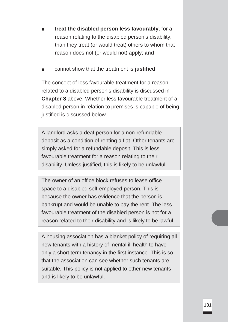- **treat the disabled person less favourably, for a** reason relating to the disabled person's disability, than they treat (or would treat) others to whom that reason does not (or would not) apply; **and**
- cannot show that the treatment is **justified**.

The concept of less favourable treatment for a reason related to a disabled person's disability is discussed in **Chapter 3** above. Whether less favourable treatment of a disabled person in relation to premises is capable of being justified is discussed below.

A landlord asks a deaf person for a non-refundable deposit as a condition of renting a flat. Other tenants are simply asked for a refundable deposit. This is less favourable treatment for a reason relating to their disability. Unless justified, this is likely to be unlawful.

The owner of an office block refuses to lease office space to a disabled self-employed person. This is because the owner has evidence that the person is bankrupt and would be unable to pay the rent. The less favourable treatment of the disabled person is not for a reason related to their disability and is likely to be lawful.

A housing association has a blanket policy of requiring all new tenants with a history of mental ill health to have only a short term tenancy in the first instance. This is so that the association can see whether such tenants are suitable. This policy is not applied to other new tenants and is likely to be unlawful.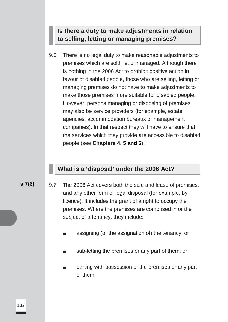# **Is there a duty to make adjustments in relation to selling, letting or managing premises?**

9.6 There is no legal duty to make reasonable adjustments to premises which are sold, let or managed. Although there is nothing in the 2006 Act to prohibit positive action in favour of disabled people, those who are selling, letting or managing premises do not have to make adjustments to make those premises more suitable for disabled people. However, persons managing or disposing of premises may also be service providers (for example, estate agencies, accommodation bureaux or management companies). In that respect they will have to ensure that the services which they provide are accessible to disabled people (see **Chapters 4, 5 and 6**).

# **What is a 'disposal' under the 2006 Act?**

- **s 7(6)** 9.7 The 2006 Act covers both the sale and lease of premises, and any other form of legal disposal (for example, by licence). It includes the grant of a right to occupy the premises. Where the premises are comprised in or the subject of a tenancy, they include:
	- assigning (or the assignation of) the tenancy; or
	- sub-letting the premises or any part of them; or
	- parting with possession of the premises or any part of them.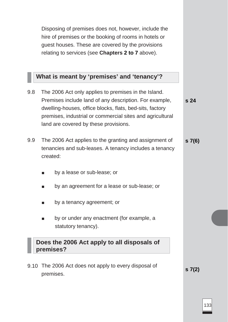Disposing of premises does not, however, include the hire of premises or the booking of rooms in hotels or guest houses. These are covered by the provisions relating to services (see **Chapters 2 to 7** above).

# **What is meant by 'premises' and 'tenancy'?**

9.8 The 2006 Act only applies to premises in the Island. Premises include land of any description. For example, dwelling-houses, office blocks, flats, bed-sits, factory premises, industrial or commercial sites and agricultural land are covered by these provisions. 9.9 The 2006 Act applies to the granting and assignment of tenancies and sub-leases. A tenancy includes a tenancy created: by a lease or sub-lease; or ■ by an agreement for a lease or sub-lease; or ■ by a tenancy agreement; or ■ by or under any enactment (for example, a statutory tenancy). **Does the 2006 Act apply to all disposals of premises?** 9.10 The 2006 Act does not apply to every disposal of premises. **s 24 s 7(6) s 7(2)**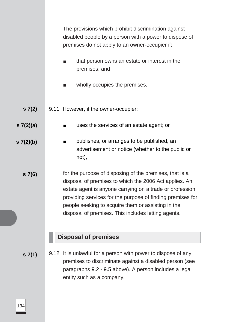|                | The provisions which prohibit discrimination against<br>disabled people by a person with a power to dispose of<br>premises do not apply to an owner-occupier if:                                                                                                                                                                                         |
|----------------|----------------------------------------------------------------------------------------------------------------------------------------------------------------------------------------------------------------------------------------------------------------------------------------------------------------------------------------------------------|
|                | that person owns an estate or interest in the<br>$\mathbf{r}$<br>premises; and                                                                                                                                                                                                                                                                           |
|                | wholly occupies the premises.                                                                                                                                                                                                                                                                                                                            |
| s7(2)          | 9.11 However, if the owner-occupier:                                                                                                                                                                                                                                                                                                                     |
| s7(2)(a)       | uses the services of an estate agent; or                                                                                                                                                                                                                                                                                                                 |
| $s \, 7(2)(b)$ | publishes, or arranges to be published, an<br>$\blacksquare$<br>advertisement or notice (whether to the public or<br>not),                                                                                                                                                                                                                               |
| s7(6)          | for the purpose of disposing of the premises, that is a<br>disposal of premises to which the 2006 Act applies. An<br>estate agent is anyone carrying on a trade or profession<br>providing services for the purpose of finding premises for<br>people seeking to acquire them or assisting in the<br>disposal of premises. This includes letting agents. |
|                | <b>Disposal of premises</b>                                                                                                                                                                                                                                                                                                                              |
| $s \, 7(1)$    | 9.12 It is unlawful for a person with power to dispose of any<br>premises to discriminate against a disabled person (see<br>paragraphs 9.2 - 9.5 above). A person includes a legal<br>entity such as a company.                                                                                                                                          |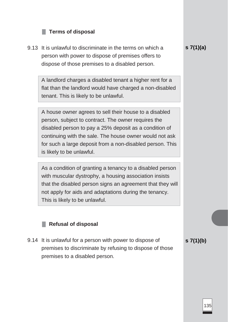#### **Terms of disposal**

9.13 It is unlawful to discriminate in the terms on which a person with power to dispose of premises offers to dispose of those premises to a disabled person.

> A landlord charges a disabled tenant a higher rent for a flat than the landlord would have charged a non-disabled tenant. This is likely to be unlawful.

> A house owner agrees to sell their house to a disabled person, subject to contract. The owner requires the disabled person to pay a 25% deposit as a condition of continuing with the sale. The house owner would not ask for such a large deposit from a non-disabled person. This is likely to be unlawful.

> As a condition of granting a tenancy to a disabled person with muscular dystrophy, a housing association insists that the disabled person signs an agreement that they will not apply for aids and adaptations during the tenancy. This is likely to be unlawful.

#### **Refusal of disposal**

9.14 It is unlawful for a person with power to dispose of premises to discriminate by refusing to dispose of those premises to a disabled person.

**s 7(1)(b)**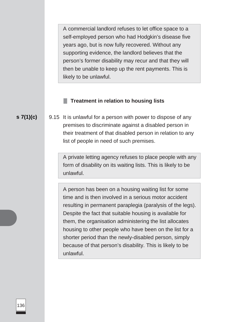A commercial landlord refuses to let office space to a self-employed person who had Hodgkin's disease five years ago, but is now fully recovered. Without any supporting evidence, the landlord believes that the person's former disability may recur and that they will then be unable to keep up the rent payments. This is likely to be unlawful.

#### **Treatment in relation to housing lists**

**s 7(1)(c)** 9.15 It is unlawful for a person with power to dispose of any premises to discriminate against a disabled person in their treatment of that disabled person in relation to any list of people in need of such premises.

> A private letting agency refuses to place people with any form of disability on its waiting lists. This is likely to be unlawful.

> A person has been on a housing waiting list for some time and is then involved in a serious motor accident resulting in permanent paraplegia (paralysis of the legs). Despite the fact that suitable housing is available for them, the organisation administering the list allocates housing to other people who have been on the list for a shorter period than the newly-disabled person, simply because of that person's disability. This is likely to be unlawful.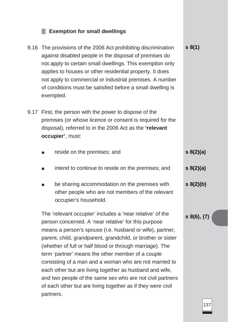# **Exemption for small dwellings**

| 9.16 | The provisions of the 2006 Act prohibiting discrimination<br>against disabled people in the disposal of premises do<br>not apply to certain small dwellings. This exemption only<br>applies to houses or other residential property. It does<br>not apply to commercial or industrial premises. A number<br>of conditions must be satisfied before a small dwelling is<br>exempted.                                                                                                                                                                                                                                          | s 8(1)             |  |  |
|------|------------------------------------------------------------------------------------------------------------------------------------------------------------------------------------------------------------------------------------------------------------------------------------------------------------------------------------------------------------------------------------------------------------------------------------------------------------------------------------------------------------------------------------------------------------------------------------------------------------------------------|--------------------|--|--|
| 9.17 | First, the person with the power to dispose of the<br>premises (or whose licence or consent is required for the<br>disposal), referred to in the 2006 Act as the 'relevant<br>occupier', must:                                                                                                                                                                                                                                                                                                                                                                                                                               |                    |  |  |
|      | reside on the premises; and<br><b>The State</b>                                                                                                                                                                                                                                                                                                                                                                                                                                                                                                                                                                              | $s \ 8(2)(a)$      |  |  |
|      | intend to continue to reside on the premises; and<br>$\blacksquare$                                                                                                                                                                                                                                                                                                                                                                                                                                                                                                                                                          | $s \ 8(2)(a)$      |  |  |
|      | be sharing accommodation on the premises with<br><b>The State</b><br>other people who are not members of the relevant<br>occupier's household.                                                                                                                                                                                                                                                                                                                                                                                                                                                                               | $s \frac{8(2)}{b}$ |  |  |
|      | The 'relevant occupier' includes a 'near relative' of the<br>person concerned. A 'near relative' for this purpose<br>means a person's spouse (i.e. husband or wife), partner,<br>parent, child, grandparent, grandchild, or brother or sister<br>(whether of full or half blood or through marriage). The<br>term 'partner' means the other member of a couple<br>consisting of a man and a woman who are not married to<br>each other but are living together as husband and wife,<br>and two people of the same sex who are not civil partners<br>of each other but are living together as if they were civil<br>partners. |                    |  |  |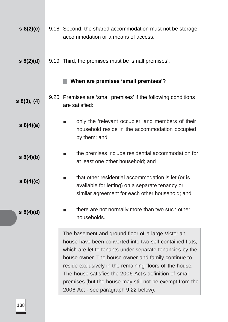| s(2)(c)            | 9.18 Second, the shared accommodation must not be storage<br>accommodation or a means of access.                                                                                                                                                                                                                                                                                                                                                             |
|--------------------|--------------------------------------------------------------------------------------------------------------------------------------------------------------------------------------------------------------------------------------------------------------------------------------------------------------------------------------------------------------------------------------------------------------------------------------------------------------|
| $s \ 8(2)(d)$      | 9.19 Third, the premises must be 'small premises'.                                                                                                                                                                                                                                                                                                                                                                                                           |
|                    | When are premises 'small premises'?                                                                                                                                                                                                                                                                                                                                                                                                                          |
| $s\ 8(3),\ (4)$    | 9.20 Premises are 'small premises' if the following conditions<br>are satisfied:                                                                                                                                                                                                                                                                                                                                                                             |
| $s \ 8(4)(a)$      | only the 'relevant occupier' and members of their<br>household reside in the accommodation occupied<br>by them; and                                                                                                                                                                                                                                                                                                                                          |
| $s \frac{8(4)}{b}$ | the premises include residential accommodation for<br>$\blacksquare$<br>at least one other household; and                                                                                                                                                                                                                                                                                                                                                    |
| s 8(4)(c)          | that other residential accommodation is let (or is<br>$\blacksquare$<br>available for letting) on a separate tenancy or<br>similar agreement for each other household; and                                                                                                                                                                                                                                                                                   |
| $s \ 8(4)(d)$      | there are not normally more than two such other<br>households.                                                                                                                                                                                                                                                                                                                                                                                               |
|                    | The basement and ground floor of a large Victorian<br>house have been converted into two self-contained flats,<br>which are let to tenants under separate tenancies by the<br>house owner. The house owner and family continue to<br>reside exclusively in the remaining floors of the house.<br>The house satisfies the 2006 Act's definition of small<br>premises (but the house may still not be exempt from the<br>2006 Act - see paragraph 9.22 below). |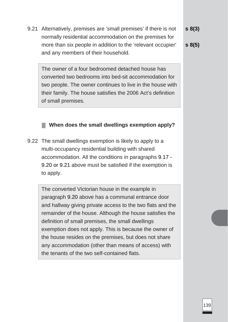9.21 Alternatively, premises are 'small premises' if there is not normally residential accommodation on the premises for more than six people in addition to the 'relevant occupier' and any members of their household. **s 8(3)**

The owner of a four bedroomed detached house has converted two bedrooms into bed-sit accommodation for two people. The owner continues to live in the house with their family. The house satisfies the 2006 Act's definition of small premises.

#### **s 8(5)**

**When does the small dwellings exemption apply?**

9.22 The small dwellings exemption is likely to apply to a multi-occupancy residential building with shared accommodation. All the conditions in paragraphs 9.17 - 9.20 or 9.21 above must be satisfied if the exemption is to apply.

The converted Victorian house in the example in paragraph 9.20 above has a communal entrance door and hallway giving private access to the two flats and the remainder of the house. Although the house satisfies the definition of small premises, the small dwellings exemption does not apply. This is because the owner of the house resides on the premises, but does not share any accommodation (other than means of access) with the tenants of the two self-contained flats.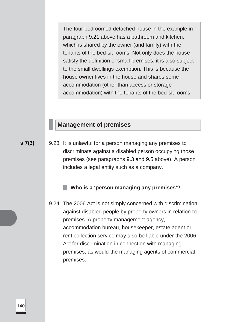The four bedroomed detached house in the example in paragraph 9.21 above has a bathroom and kitchen, which is shared by the owner (and family) with the tenants of the bed-sit rooms. Not only does the house satisfy the definition of small premises, it is also subject to the small dwellings exemption. This is because the house owner lives in the house and shares some accommodation (other than access or storage accommodation) with the tenants of the bed-sit rooms.

### **Management of premises**

**s 7(3)** 9.23 It is unlawful for a person managing any premises to discriminate against a disabled person occupying those premises (see paragraphs 9.3 and 9.5 above). A person includes a legal entity such as a company.

#### **Who is a 'person managing any premises'?**

9.24 The 2006 Act is not simply concerned with discrimination against disabled people by property owners in relation to premises. A property management agency, accommodation bureau, housekeeper, estate agent or rent collection service may also be liable under the 2006 Act for discrimination in connection with managing premises, as would the managing agents of commercial premises.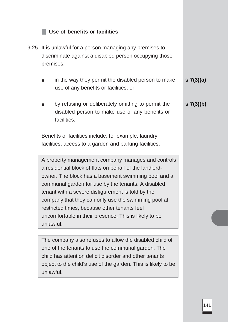# **Use of benefits or facilities**

- 9.25 It is unlawful for a person managing any premises to discriminate against a disabled person occupying those premises:
	- in the way they permit the disabled person to make use of any benefits or facilities; or **s 7(3)(a)**
	- by refusing or deliberately omitting to permit the disabled person to make use of any benefits or facilities. **s 7(3)(b)**

Benefits or facilities include, for example, laundry facilities, access to a garden and parking facilities.

A property management company manages and controls a residential block of flats on behalf of the landlordowner. The block has a basement swimming pool and a communal garden for use by the tenants. A disabled tenant with a severe disfigurement is told by the company that they can only use the swimming pool at restricted times, because other tenants feel uncomfortable in their presence. This is likely to be unlawful.

The company also refuses to allow the disabled child of one of the tenants to use the communal garden. The child has attention deficit disorder and other tenants object to the child's use of the garden. This is likely to be unlawful.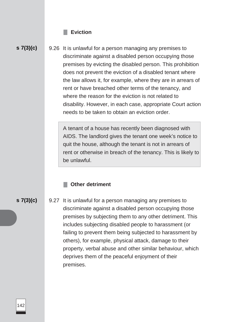#### **Eviction**

# **s 7(3)(c)**

9.26 It is unlawful for a person managing any premises to discriminate against a disabled person occupying those premises by evicting the disabled person. This prohibition does not prevent the eviction of a disabled tenant where the law allows it, for example, where they are in arrears of rent or have breached other terms of the tenancy, and where the reason for the eviction is not related to disability. However, in each case, appropriate Court action needs to be taken to obtain an eviction order.

A tenant of a house has recently been diagnosed with AIDS. The landlord gives the tenant one week's notice to quit the house, although the tenant is not in arrears of rent or otherwise in breach of the tenancy. This is likely to be unlawful.

#### **Other detriment**

**s 7(3)(c)**

9.27 It is unlawful for a person managing any premises to discriminate against a disabled person occupying those premises by subjecting them to any other detriment. This includes subjecting disabled people to harassment (or failing to prevent them being subjected to harassment by others), for example, physical attack, damage to their property, verbal abuse and other similar behaviour, which deprives them of the peaceful enjoyment of their premises.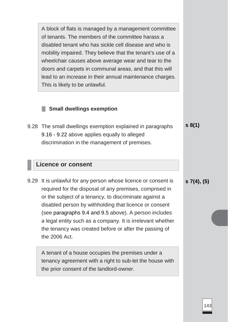A block of flats is managed by a management committee of tenants. The members of the committee harass a disabled tenant who has sickle cell disease and who is mobility impaired. They believe that the tenant's use of a wheelchair causes above average wear and tear to the doors and carpets in communal areas, and that this will lead to an increase in their annual maintenance charges. This is likely to be unlawful.

#### **Small dwellings exemption**

9.28 The small dwellings exemption explained in paragraphs 9.16 - 9.22 above applies equally to alleged discrimination in the management of premises. **s 8(1)**

#### **Licence or consent**

9.29 It is unlawful for any person whose licence or consent is required for the disposal of any premises, comprised in or the subject of a tenancy, to discriminate against a disabled person by withholding that licence or consent (see paragraphs 9.4 and 9.5 above). A person includes a legal entity such as a company. It is irrelevant whether the tenancy was created before or after the passing of the 2006 Act.

A tenant of a house occupies the premises under a tenancy agreement with a right to sub-let the house with the prior consent of the landlord-owner.

**s 7(4), (5)**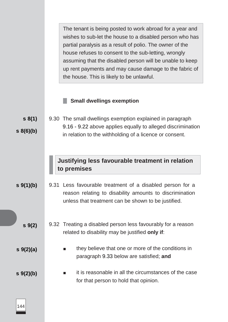The tenant is being posted to work abroad for a year and wishes to sub-let the house to a disabled person who has partial paralysis as a result of polio. The owner of the house refuses to consent to the sub-letting, wrongly assuming that the disabled person will be unable to keep up rent payments and may cause damage to the fabric of the house. This is likely to be unlawful.

#### **Small dwellings exemption**

**s 8(1) s 8(6)(b)** 9.30 The small dwellings exemption explained in paragraph 9.16 - 9.22 above applies equally to alleged discrimination in relation to the withholding of a licence or consent.

# **Justifying less favourable treatment in relation to premises**

**s 9(1)(b)** 9.31 Less favourable treatment of a disabled person for a reason relating to disability amounts to discrimination unless that treatment can be shown to be justified.

- **s 9(2)** 9.32 Treating a disabled person less favourably for a reason related to disability may be justified **only if**:
	- they believe that one or more of the conditions in paragraph 9.33 below are satisfied; **and**
- **s 9(2)(b)** it is reasonable in all the circumstances of the case for that person to hold that opinion.

**s 9(2)(a)**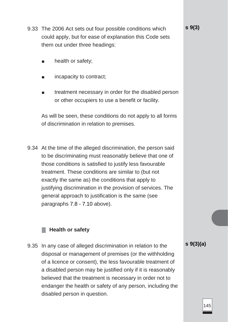- 9.33 The 2006 Act sets out four possible conditions which could apply, but for ease of explanation this Code sets them out under three headings:
	- health or safety;
	- incapacity to contract;
	- treatment necessary in order for the disabled person or other occupiers to use a benefit or facility.

As will be seen, these conditions do not apply to all forms of discrimination in relation to premises.

9.34 At the time of the alleged discrimination, the person said to be discriminating must reasonably believe that one of those conditions is satisfied to justify less favourable treatment. These conditions are similar to (but not exactly the same as) the conditions that apply to justifying discrimination in the provision of services. The general approach to justification is the same (see paragraphs 7.8 - 7.10 above).

#### **Health or safety**

9.35 In any case of alleged discrimination in relation to the disposal or management of premises (or the withholding of a licence or consent), the less favourable treatment of a disabled person may be justified only if it is reasonably believed that the treatment is necessary in order not to endanger the health or safety of any person, including the disabled person in question.

**s 9(3)(a)**

**s 9(3)**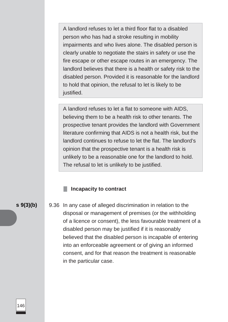A landlord refuses to let a third floor flat to a disabled person who has had a stroke resulting in mobility impairments and who lives alone. The disabled person is clearly unable to negotiate the stairs in safety or use the fire escape or other escape routes in an emergency. The landlord believes that there is a health or safety risk to the disabled person. Provided it is reasonable for the landlord to hold that opinion, the refusal to let is likely to be justified.

A landlord refuses to let a flat to someone with AIDS, believing them to be a health risk to other tenants. The prospective tenant provides the landlord with Government literature confirming that AIDS is not a health risk, but the landlord continues to refuse to let the flat. The landlord's opinion that the prospective tenant is a health risk is unlikely to be a reasonable one for the landlord to hold. The refusal to let is unlikely to be justified.

#### **Incapacity to contract**

**s 9(3)(b)** 9.36 In any case of alleged discrimination in relation to the disposal or management of premises (or the withholding of a licence or consent), the less favourable treatment of a disabled person may be justified if it is reasonably believed that the disabled person is incapable of entering into an enforceable agreement or of giving an informed consent, and for that reason the treatment is reasonable in the particular case.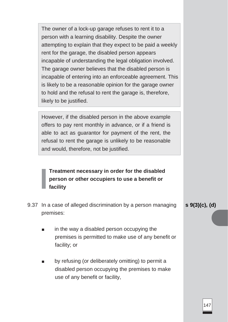The owner of a lock-up garage refuses to rent it to a person with a learning disability. Despite the owner attempting to explain that they expect to be paid a weekly rent for the garage, the disabled person appears incapable of understanding the legal obligation involved. The garage owner believes that the disabled person is incapable of entering into an enforceable agreement. This is likely to be a reasonable opinion for the garage owner to hold and the refusal to rent the garage is, therefore, likely to be justified.

However, if the disabled person in the above example offers to pay rent monthly in advance, or if a friend is able to act as guarantor for payment of the rent, the refusal to rent the garage is unlikely to be reasonable and would, therefore, not be justified.

# **Treatment necessary in order for the disabled person or other occupiers to use a benefit or facility**

- 9.37 In a case of alleged discrimination by a person managing premises:
	- in the way a disabled person occupying the premises is permitted to make use of any benefit or facility; or
	- by refusing (or deliberately omitting) to permit a disabled person occupying the premises to make use of any benefit or facility,

**s 9(3)(c), (d)**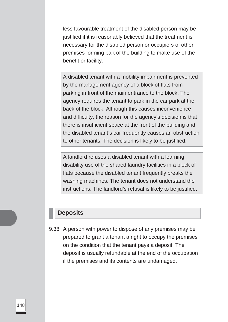less favourable treatment of the disabled person may be justified if it is reasonably believed that the treatment is necessary for the disabled person or occupiers of other premises forming part of the building to make use of the benefit or facility.

A disabled tenant with a mobility impairment is prevented by the management agency of a block of flats from parking in front of the main entrance to the block. The agency requires the tenant to park in the car park at the back of the block. Although this causes inconvenience and difficulty, the reason for the agency's decision is that there is insufficient space at the front of the building and the disabled tenant's car frequently causes an obstruction to other tenants. The decision is likely to be justified.

A landlord refuses a disabled tenant with a learning disability use of the shared laundry facilities in a block of flats because the disabled tenant frequently breaks the washing machines. The tenant does not understand the instructions. The landlord's refusal is likely to be justified.

# **Deposits**

9.38 A person with power to dispose of any premises may be prepared to grant a tenant a right to occupy the premises on the condition that the tenant pays a deposit. The deposit is usually refundable at the end of the occupation if the premises and its contents are undamaged.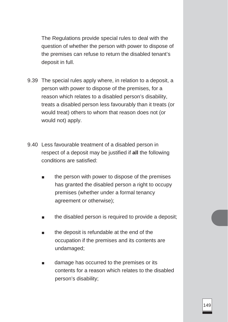The Regulations provide special rules to deal with the question of whether the person with power to dispose of the premises can refuse to return the disabled tenant's deposit in full.

- 9.39 The special rules apply where, in relation to a deposit, a person with power to dispose of the premises, for a reason which relates to a disabled person's disability, treats a disabled person less favourably than it treats (or would treat) others to whom that reason does not (or would not) apply.
- 9.40 Less favourable treatment of a disabled person in respect of a deposit may be justified if **all** the following conditions are satisfied:
	- the person with power to dispose of the premises has granted the disabled person a right to occupy premises (whether under a formal tenancy agreement or otherwise);
	- the disabled person is required to provide a deposit;
	- the deposit is refundable at the end of the occupation if the premises and its contents are undamaged;
	- damage has occurred to the premises or its contents for a reason which relates to the disabled person's disability;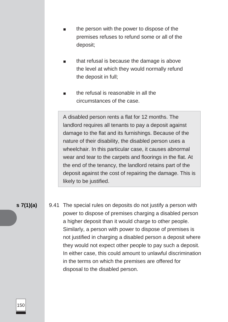- the person with the power to dispose of the premises refuses to refund some or all of the deposit;
- that refusal is because the damage is above the level at which they would normally refund the deposit in full;
- the refusal is reasonable in all the circumstances of the case.

A disabled person rents a flat for 12 months. The landlord requires all tenants to pay a deposit against damage to the flat and its furnishings. Because of the nature of their disability, the disabled person uses a wheelchair. In this particular case, it causes abnormal wear and tear to the carpets and floorings in the flat. At the end of the tenancy, the landlord retains part of the deposit against the cost of repairing the damage. This is likely to be justified.

**s 7(1)(a)** 9.41 The special rules on deposits do not justify a person with power to dispose of premises charging a disabled person a higher deposit than it would charge to other people. Similarly, a person with power to dispose of premises is not justified in charging a disabled person a deposit where they would not expect other people to pay such a deposit. In either case, this could amount to unlawful discrimination in the terms on which the premises are offered for disposal to the disabled person.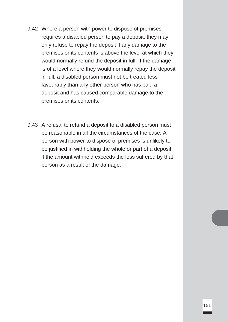- 9.42 Where a person with power to dispose of premises requires a disabled person to pay a deposit, they may only refuse to repay the deposit if any damage to the premises or its contents is above the level at which they would normally refund the deposit in full. If the damage is of a level where they would normally repay the deposit in full, a disabled person must not be treated less favourably than any other person who has paid a deposit and has caused comparable damage to the premises or its contents.
- 9.43 A refusal to refund a deposit to a disabled person must be reasonable in all the circumstances of the case. A person with power to dispose of premises is unlikely to be justified in withholding the whole or part of a deposit if the amount withheld exceeds the loss suffered by that person as a result of the damage.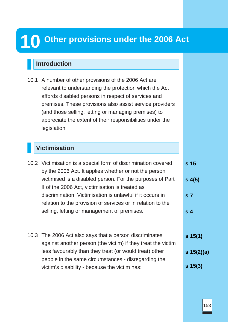# **10 Other provisions under the 2006 Act**

# **Introduction**

10.1 A number of other provisions of the 2006 Act are relevant to understanding the protection which the Act affords disabled persons in respect of services and premises. These provisions also assist service providers (and those selling, letting or managing premises) to appreciate the extent of their responsibilities under the legislation.

# **Victimisation**

- 10.2 Victimisation is a special form of discrimination covered by the 2006 Act. It applies whether or not the person victimised is a disabled person. For the purposes of Part II of the 2006 Act, victimisation is treated as discrimination. Victimisation is unlawful if it occurs in relation to the provision of services or in relation to the selling, letting or management of premises. 10.3 The 2006 Act also says that a person discriminates against another person (the victim) if they treat the victim less favourably than they treat (or would treat) other **s 15 s 4(5) s 7 s 4 s 15(1) s 15(2)(a)**
	- people in the same circumstances disregarding the victim's disability - because the victim has: **s 15(3)**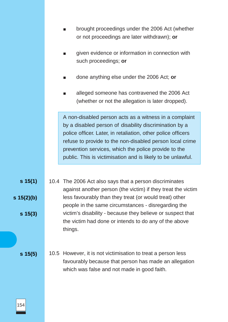|              | brought proceedings under the 2006 Act (whether<br>or not proceedings are later withdrawn); or                                                                                                                                                                                                                                                                      |
|--------------|---------------------------------------------------------------------------------------------------------------------------------------------------------------------------------------------------------------------------------------------------------------------------------------------------------------------------------------------------------------------|
|              | given evidence or information in connection with<br>$\blacksquare$<br>such proceedings; or                                                                                                                                                                                                                                                                          |
|              | done anything else under the 2006 Act; or<br>$\blacksquare$                                                                                                                                                                                                                                                                                                         |
|              | alleged someone has contravened the 2006 Act<br>ш<br>(whether or not the allegation is later dropped).                                                                                                                                                                                                                                                              |
|              | A non-disabled person acts as a witness in a complaint<br>by a disabled person of disability discrimination by a<br>police officer. Later, in retaliation, other police officers<br>refuse to provide to the non-disabled person local crime<br>prevention services, which the police provide to the<br>public. This is victimisation and is likely to be unlawful. |
|              |                                                                                                                                                                                                                                                                                                                                                                     |
| $s \, 15(1)$ | 10.4 The 2006 Act also says that a person discriminates<br>against another person (the victim) if they treat the victim                                                                                                                                                                                                                                             |
| s 15(2)(b)   | less favourably than they treat (or would treat) other<br>people in the same circumstances - disregarding the                                                                                                                                                                                                                                                       |
| $s \; 15(3)$ | victim's disability - because they believe or suspect that<br>the victim had done or intends to do any of the above<br>things.                                                                                                                                                                                                                                      |
|              |                                                                                                                                                                                                                                                                                                                                                                     |
| $s \; 15(5)$ | 10.5 However, it is not victimisation to treat a person less<br>favourably because that person has made an allegation<br>which was false and not made in good faith.                                                                                                                                                                                                |
|              |                                                                                                                                                                                                                                                                                                                                                                     |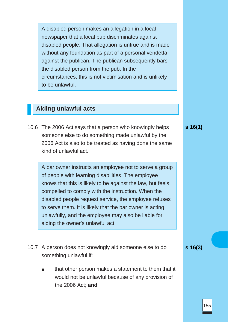A disabled person makes an allegation in a local newspaper that a local pub discriminates against disabled people. That allegation is untrue and is made without any foundation as part of a personal vendetta against the publican. The publican subsequently bars the disabled person from the pub. In the circumstances, this is not victimisation and is unlikely to be unlawful.

# **Aiding unlawful acts**

10.6 The 2006 Act says that a person who knowingly helps someone else to do something made unlawful by the 2006 Act is also to be treated as having done the same kind of unlawful act.

A bar owner instructs an employee not to serve a group of people with learning disabilities. The employee knows that this is likely to be against the law, but feels compelled to comply with the instruction. When the disabled people request service, the employee refuses to serve them. It is likely that the bar owner is acting unlawfully, and the employee may also be liable for aiding the owner's unlawful act.

- 10.7 A person does not knowingly aid someone else to do something unlawful if:
	- that other person makes a statement to them that it would not be unlawful because of any provision of the 2006 Act; **and**

**s 16(1)**

**s 16(3)**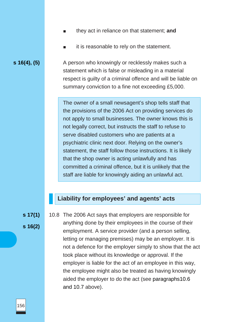- they act in reliance on that statement; **and**
- it is reasonable to rely on the statement.

**s 16(4), (5)** A person who knowingly or recklessly makes such a statement which is false or misleading in a material respect is guilty of a criminal offence and will be liable on summary conviction to a fine not exceeding £5,000.

> The owner of a small newsagent's shop tells staff that the provisions of the 2006 Act on providing services do not apply to small businesses. The owner knows this is not legally correct, but instructs the staff to refuse to serve disabled customers who are patients at a psychiatric clinic next door. Relying on the owner's statement, the staff follow those instructions. It is likely that the shop owner is acting unlawfully and has committed a criminal offence, but it is unlikely that the staff are liable for knowingly aiding an unlawful act.

## **Liability for employees' and agents' acts**

**s 17(1)**

**s 16(2)**

10.8 The 2006 Act says that employers are responsible for anything done by their employees in the course of their employment. A service provider (and a person selling, letting or managing premises) may be an employer. It is not a defence for the employer simply to show that the act took place without its knowledge or approval. If the employer is liable for the act of an employee in this way, the employee might also be treated as having knowingly aided the employer to do the act (see paragraphs10.6 and 10.7 above).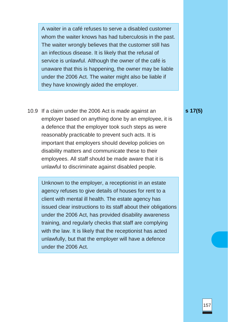A waiter in a café refuses to serve a disabled customer whom the waiter knows has had tuberculosis in the past. The waiter wrongly believes that the customer still has an infectious disease. It is likely that the refusal of service is unlawful. Although the owner of the café is unaware that this is happening, the owner may be liable under the 2006 Act. The waiter might also be liable if they have knowingly aided the employer.

10.9 If a claim under the 2006 Act is made against an employer based on anything done by an employee, it is a defence that the employer took such steps as were reasonably practicable to prevent such acts. It is important that employers should develop policies on disability matters and communicate these to their employees. All staff should be made aware that it is unlawful to discriminate against disabled people.

Unknown to the employer, a receptionist in an estate agency refuses to give details of houses for rent to a client with mental ill health. The estate agency has issued clear instructions to its staff about their obligations under the 2006 Act, has provided disability awareness training, and regularly checks that staff are complying with the law. It is likely that the receptionist has acted unlawfully, but that the employer will have a defence under the 2006 Act.

#### **s 17(5)**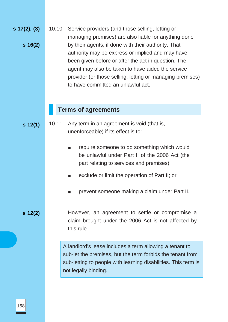**s 17(2), (3) s 16(2)** 10.10 Service providers (and those selling, letting or managing premises) are also liable for anything done by their agents, if done with their authority. That authority may be express or implied and may have been given before or after the act in question. The agent may also be taken to have aided the service provider (or those selling, letting or managing premises) to have committed an unlawful act.

#### **Terms of agreements**

- **s 12(1)** 10.11 Any term in an agreement is void (that is, unenforceable) if its effect is to:
	- require someone to do something which would be unlawful under Part II of the 2006 Act (the part relating to services and premises);
	- exclude or limit the operation of Part II; or
	- prevent someone making a claim under Part II.

**s 12(2)**

However, an agreement to settle or compromise a claim brought under the 2006 Act is not affected by this rule.

A landlord's lease includes a term allowing a tenant to sub-let the premises, but the term forbids the tenant from sub-letting to people with learning disabilities. This term is not legally binding.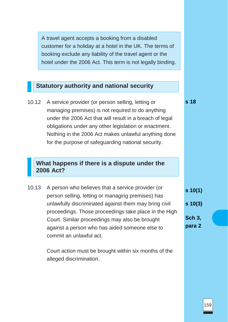A travel agent accepts a booking from a disabled customer for a holiday at a hotel in the UK. The terms of booking exclude any liability of the travel agent or the hotel under the 2006 Act. This term is not legally binding.

# **Statutory authority and national security**

10.12 A service provider (or person selling, letting or managing premises) is not required to do anything under the 2006 Act that will result in a breach of legal obligations under any other legislation or enactment. Nothing in the 2006 Act makes unlawful anything done for the purpose of safeguarding national security.

# **What happens if there is a dispute under the 2006 Act?**

10.13 A person who believes that a service provider (or person selling, letting or managing premises) has unlawfully discriminated against them may bring civil proceedings. Those proceedings take place in the High Court. Similar proceedings may also be brought against a person who has aided someone else to commit an unlawful act.

> Court action must be brought within six months of the alleged discrimination.

**s 18**

**s 10(1) s 10(3) Sch 3,**

**para 2**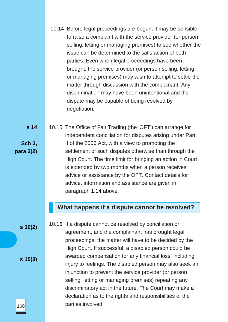|                                      | 10.14 Before legal proceedings are begun, it may be sensible<br>to raise a complaint with the service provider (or person<br>selling, letting or managing premises) to see whether the<br>issue can be determined to the satisfaction of both<br>parties. Even when legal proceedings have been<br>brought, the service provider (or person selling, letting,<br>or managing premises) may wish to attempt to settle the<br>matter through discussion with the complainant. Any<br>discrimination may have been unintentional and the<br>dispute may be capable of being resolved by<br>negotiation. |
|--------------------------------------|------------------------------------------------------------------------------------------------------------------------------------------------------------------------------------------------------------------------------------------------------------------------------------------------------------------------------------------------------------------------------------------------------------------------------------------------------------------------------------------------------------------------------------------------------------------------------------------------------|
| s 14<br><b>Sch 3,</b><br>para $2(2)$ | 10.15 The Office of Fair Trading (the 'OFT') can arrange for<br>independent conciliation for disputes arising under Part<br>II of the 2006 Act, with a view to promoting the<br>settlement of such disputes otherwise than through the<br>High Court. The time limit for bringing an action in Court<br>is extended by two months when a person receives<br>advice or assistance by the OFT. Contact details for<br>advice, information and assistance are given in<br>paragraph 1.14 above.                                                                                                         |
|                                      | What happens if a dispute cannot be resolved?                                                                                                                                                                                                                                                                                                                                                                                                                                                                                                                                                        |
| $s \ 10(2)$                          | 10.16 If a dispute cannot be resolved by conciliation or<br>agreement, and the complainant has brought legal<br>proceedings, the matter will have to be decided by the<br>High Court. If successful, a disabled person could be                                                                                                                                                                                                                                                                                                                                                                      |
| $s \, 10(3)$                         | awarded compensation for any financial loss, including                                                                                                                                                                                                                                                                                                                                                                                                                                                                                                                                               |

**s 10(3)** injury to feelings. The disabled person may also seek an injunction to prevent the service provider (or person selling, letting or managing premises) repeating any discriminatory act in the future. The Court may make a declaration as to the rights and responsibilities of the parties involved.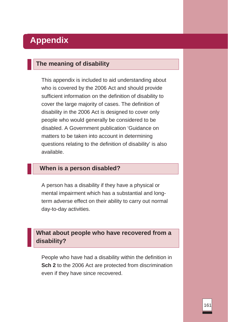# **Appendix**

# **The meaning of disability**

This appendix is included to aid understanding about who is covered by the 2006 Act and should provide sufficient information on the definition of disability to cover the large majority of cases. The definition of disability in the 2006 Act is designed to cover only people who would generally be considered to be disabled. A Government publication 'Guidance on matters to be taken into account in determining questions relating to the definition of disability' is also available.

# **When is a person disabled?**

A person has a disability if they have a physical or mental impairment which has a substantial and longterm adverse effect on their ability to carry out normal day-to-day activities.

# **What about people who have recovered from a disability?**

People who have had a disability within the definition in **Sch 2** to the 2006 Act are protected from discrimination even if they have since recovered.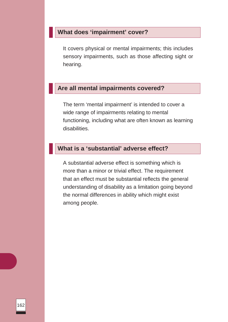# **What does 'impairment' cover?**

It covers physical or mental impairments; this includes sensory impairments, such as those affecting sight or hearing.

## **Are all mental impairments covered?**

The term 'mental impairment' is intended to cover a wide range of impairments relating to mental functioning, including what are often known as learning disabilities.

# **What is a 'substantial' adverse effect?**

A substantial adverse effect is something which is more than a minor or trivial effect. The requirement that an effect must be substantial reflects the general understanding of disability as a limitation going beyond the normal differences in ability which might exist among people.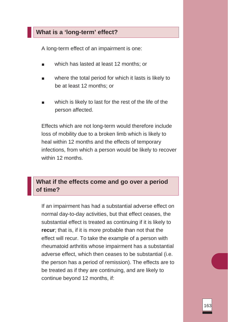## **What is a 'long-term' effect?**

A long-term effect of an impairment is one:

- which has lasted at least 12 months; or
- where the total period for which it lasts is likely to be at least 12 months; or
- which is likely to last for the rest of the life of the person affected.

Effects which are not long-term would therefore include loss of mobility due to a broken limb which is likely to heal within 12 months and the effects of temporary infections, from which a person would be likely to recover within 12 months.

## **What if the effects come and go over a period of time?**

If an impairment has had a substantial adverse effect on normal day-to-day activities, but that effect ceases, the substantial effect is treated as continuing if it is likely to **recur**; that is, if it is more probable than not that the effect will recur. To take the example of a person with rheumatoid arthritis whose impairment has a substantial adverse effect, which then ceases to be substantial (i.e. the person has a period of remission). The effects are to be treated as if they are continuing, and are likely to continue beyond 12 months, if: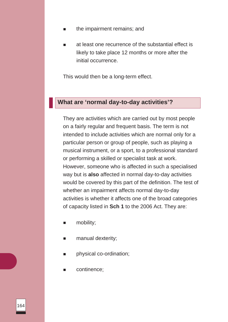- the impairment remains; and
- at least one recurrence of the substantial effect is likely to take place 12 months or more after the initial occurrence.

This would then be a long-term effect.

## **What are 'normal day-to-day activities'?**

They are activities which are carried out by most people on a fairly regular and frequent basis. The term is not intended to include activities which are normal only for a particular person or group of people, such as playing a musical instrument, or a sport, to a professional standard or performing a skilled or specialist task at work. However, someone who is affected in such a specialised way but is **also** affected in normal day-to-day activities would be covered by this part of the definition. The test of whether an impairment affects normal day-to-day activities is whether it affects one of the broad categories of capacity listed in **Sch 1** to the 2006 Act. They are:

- mobility;
- manual dexterity;
- physical co-ordination;
- continence;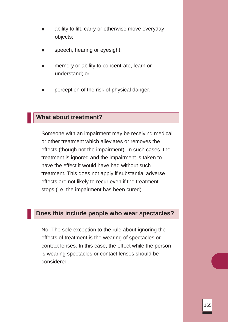- ability to lift, carry or otherwise move everyday objects;
- speech, hearing or eyesight;
- memory or ability to concentrate, learn or understand; or
- perception of the risk of physical danger.

#### **What about treatment?**

Someone with an impairment may be receiving medical or other treatment which alleviates or removes the effects (though not the impairment). In such cases, the treatment is ignored and the impairment is taken to have the effect it would have had without such treatment. This does not apply if substantial adverse effects are not likely to recur even if the treatment stops (i.e. the impairment has been cured).

#### **Does this include people who wear spectacles?**

No. The sole exception to the rule about ignoring the effects of treatment is the wearing of spectacles or contact lenses. In this case, the effect while the person is wearing spectacles or contact lenses should be considered.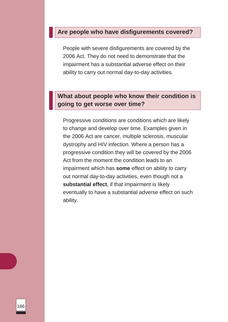#### **Are people who have disfigurements covered?**

People with severe disfigurements are covered by the 2006 Act. They do not need to demonstrate that the impairment has a substantial adverse effect on their ability to carry out normal day-to-day activities.

## **What about people who know their condition is going to get worse over time?**

Progressive conditions are conditions which are likely to change and develop over time. Examples given in the 2006 Act are cancer, multiple sclerosis, muscular dystrophy and HIV infection. Where a person has a progressive condition they will be covered by the 2006 Act from the moment the condition leads to an impairment which has **some** effect on ability to carry out normal day-to-day activities, even though not a **substantial effect**, if that impairment is likely eventually to have a substantial adverse effect on such ability.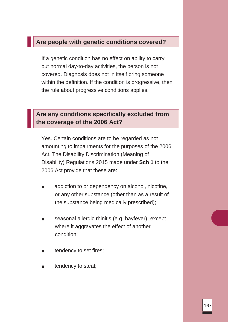## **Are people with genetic conditions covered?**

If a genetic condition has no effect on ability to carry out normal day-to-day activities, the person is not covered. Diagnosis does not in itself bring someone within the definition. If the condition is progressive, then the rule about progressive conditions applies.

## **Are any conditions specifically excluded from the coverage of the 2006 Act?**

Yes. Certain conditions are to be regarded as not amounting to impairments for the purposes of the 2006 Act. The Disability Discrimination (Meaning of Disability) Regulations 2015 made under **Sch 1** to the 2006 Act provide that these are:

- addiction to or dependency on alcohol, nicotine, or any other substance (other than as a result of the substance being medically prescribed);
- seasonal allergic rhinitis (e.g. hayfever), except where it aggravates the effect of another condition;
- tendency to set fires;
- tendency to steal;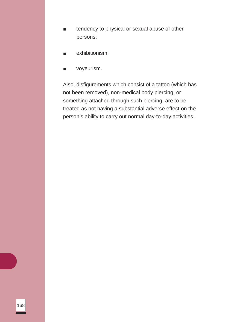- tendency to physical or sexual abuse of other persons;
- exhibitionism;
- voyeurism.

Also, disfigurements which consist of a tattoo (which has not been removed), non-medical body piercing, or something attached through such piercing, are to be treated as not having a substantial adverse effect on the person's ability to carry out normal day-to-day activities.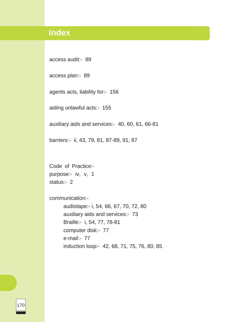# **Index**

access audit:- 89

access plan:- 89

agents acts, liability for:- 156

aiding unlawful acts:- 155

auxiliary aids and services:- 40, 60, 61, 66-81

barriers:- ii, 43, 79, 81, 87-89, 91, 97

Code of Practice: purpose:- iv, v, 1 status:- 2

communication:-

audiotape:- i, 54, 66, 67, 70, 72, 80 auxiliary aids and services:- 73 Braille:- i, 54, 77, 78-81 computer disk:- 77 e-mail:- 77 induction loop:- 42, 68, 71, 75, 76, 80, 85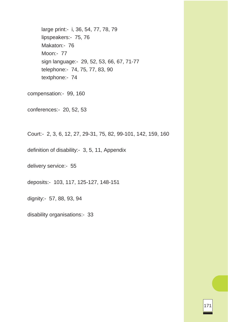large print:- i, 36, 54, 77, 78, 79 lipspeakers:- 75, 76 Makaton:- 76 Moon:- 77 sign language:- 29, 52, 53, 66, 67, 71-77 telephone:- 74, 75, 77, 83, 90 textphone:- 74

compensation:- 99, 160

conferences:- 20, 52, 53

Court:- 2, 3, 6, 12, 27, 29-31, 75, 82, 99-101, 142, 159, 160

definition of disability:- 3, 5, 11, Appendix

delivery service:- 55

deposits:- 103, 117, 125-127, 148-151

dignity:- 57, 88, 93, 94

disability organisations:- 33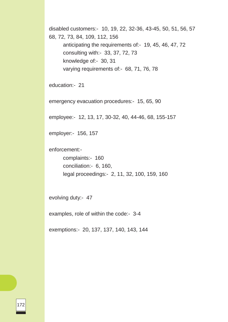disabled customers:- 10, 19, 22, 32-36, 43-45, 50, 51, 56, 57 68, 72, 73, 84, 109, 112, 156 anticipating the requirements of:- 19, 45, 46, 47, 72 consulting with:- 33, 37, 72, 73 knowledge of:- 30, 31 varying requirements of:- 68, 71, 76, 78

education:- 21

emergency evacuation procedures:- 15, 65, 90

employee:- 12, 13, 17, 30-32, 40, 44-46, 68, 155-157

employer:- 156, 157

enforcement:-

complaints:- 160 conciliation:- 6, 160, legal proceedings:- 2, 11, 32, 100, 159, 160

evolving duty:- 47

examples, role of within the code:- 3-4

exemptions:- 20, 137, 137, 140, 143, 144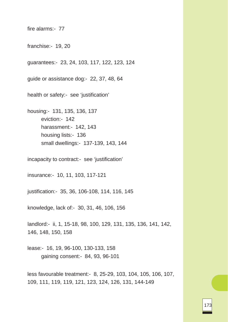fire alarms:- 77

franchise:- 19, 20

guarantees:- 23, 24, 103, 117, 122, 123, 124

guide or assistance dog:- 22, 37, 48, 64

health or safety:- see 'justification'

housing:- 131, 135, 136, 137 eviction:- 142 harassment:- 142, 143 housing lists:- 136 small dwellings:- 137-139, 143, 144

incapacity to contract:- see 'justification'

insurance:- 10, 11, 103, 117-121

justification:- 35, 36, 106-108, 114, 116, 145

knowledge, lack of:- 30, 31, 46, 106, 156

landlord:- ii, 1, 15-18, 98, 100, 129, 131, 135, 136, 141, 142, 146, 148, 150, 158

lease:- 16, 19, 96-100, 130-133, 158 gaining consent:- 84, 93, 96-101

less favourable treatment:- 8, 25-29, 103, 104, 105, 106, 107, 109, 111, 119, 119, 121, 123, 124, 126, 131, 144-149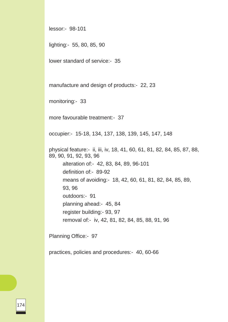lessor:- 98-101

lighting:- 55, 80, 85, 90

lower standard of service:- 35

manufacture and design of products:- 22, 23

monitoring:- 33

more favourable treatment:- 37

occupier:- 15-18, 134, 137, 138, 139, 145, 147, 148

physical feature:- ii, iii, iv, 18, 41, 60, 61, 81, 82, 84, 85, 87, 88, 89, 90, 91, 92, 93, 96 alteration of:- 42, 83, 84, 89, 96-101 definition of:- 89-92

means of avoiding:- 18, 42, 60, 61, 81, 82, 84, 85, 89,

93, 96

outdoors:- 91

planning ahead:- 45, 84

register building:- 93, 97

removal of:- iv, 42, 81, 82, 84, 85, 88, 91, 96

Planning Office:- 97

practices, policies and procedures:- 40, 60-66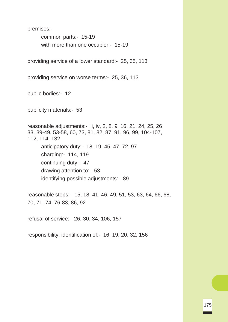premises:-

common parts:- 15-19 with more than one occupier:- 15-19

providing service of a lower standard:- 25, 35, 113

providing service on worse terms:- 25, 36, 113

public bodies:- 12

publicity materials:- 53

reasonable adjustments:- ii, iv, 2, 8, 9, 16, 21, 24, 25, 26 33, 39-49, 53-58, 60, 73, 81, 82, 87, 91, 96, 99, 104-107, 112, 114, 132 anticipatory duty:- 18, 19, 45, 47, 72, 97 charging:- 114, 119 continuing duty:- 47 drawing attention to:- 53 identifying possible adjustments:- 89

reasonable steps:- 15, 18, 41, 46, 49, 51, 53, 63, 64, 66, 68, 70, 71, 74, 76-83, 86, 92

refusal of service:- 26, 30, 34, 106, 157

responsibility, identification of:- 16, 19, 20, 32, 156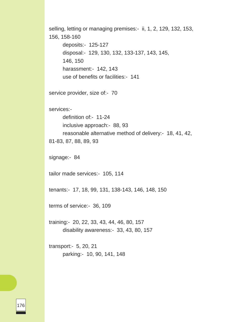selling, letting or managing premises:- ii, 1, 2, 129, 132, 153, 156, 158-160 deposits:- 125-127 disposal:- 129, 130, 132, 133-137, 143, 145, 146, 150 harassment:- 142, 143 use of benefits or facilities:- 141 service provider, size of:- 70 services: definition of:- 11-24 inclusive approach:- 88, 93 reasonable alternative method of delivery:- 18, 41, 42, 81-83, 87, 88, 89, 93 signage:- 84 tailor made services:- 105, 114 tenants:- 17, 18, 99, 131, 138-143, 146, 148, 150 terms of service:- 36, 109 training:- 20, 22, 33, 43, 44, 46, 80, 157 disability awareness:- 33, 43, 80, 157 transport:- 5, 20, 21 parking:- 10, 90, 141, 148